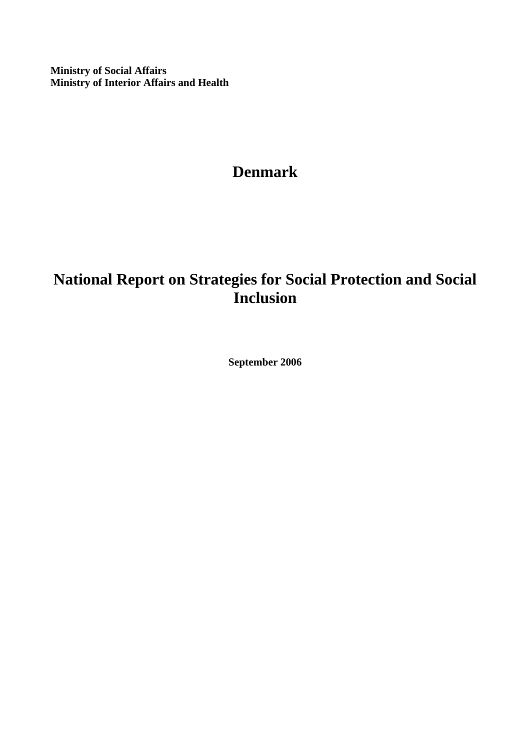**Ministry of Social Affairs Ministry of Interior Affairs and Health** 

# **Denmark**

# **National Report on Strategies for Social Protection and Social Inclusion**

**September 2006**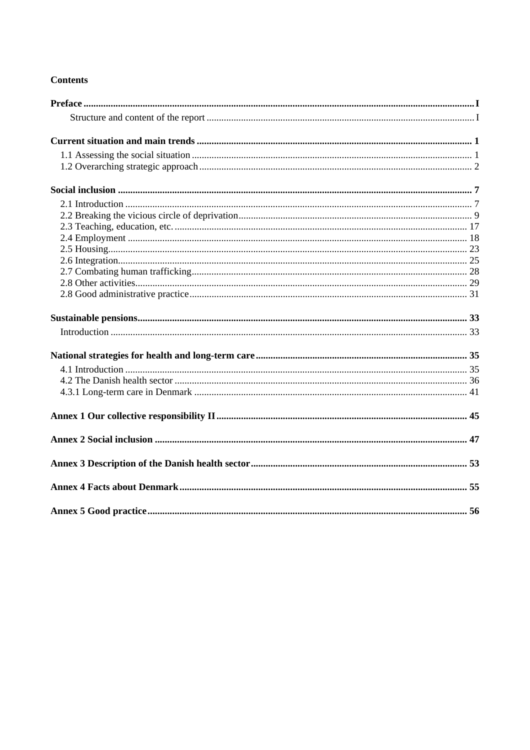# **Contents**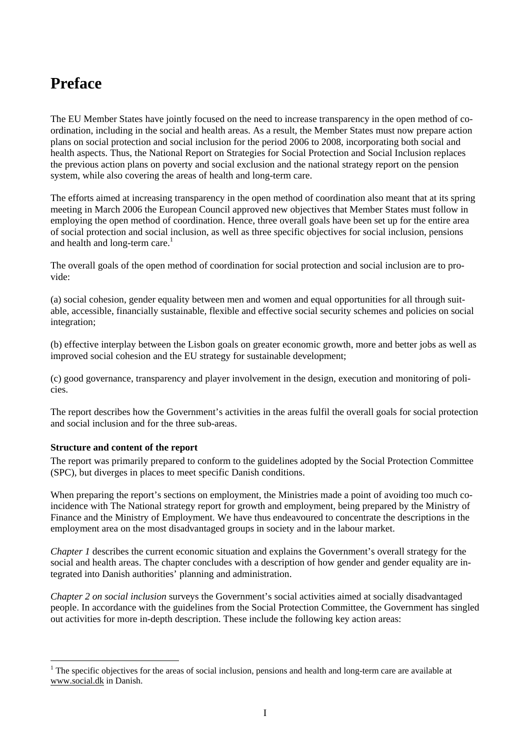# **Preface**

The EU Member States have jointly focused on the need to increase transparency in the open method of coordination, including in the social and health areas. As a result, the Member States must now prepare action plans on social protection and social inclusion for the period 2006 to 2008, incorporating both social and health aspects. Thus, the National Report on Strategies for Social Protection and Social Inclusion replaces the previous action plans on poverty and social exclusion and the national strategy report on the pension system, while also covering the areas of health and long-term care.

The efforts aimed at increasing transparency in the open method of coordination also meant that at its spring meeting in March 2006 the European Council approved new objectives that Member States must follow in employing the open method of coordination. Hence, three overall goals have been set up for the entire area of social protection and social inclusion, as well as three specific objectives for social inclusion, pensions and health and long-term care. $<sup>1</sup>$ </sup>

The overall goals of the open method of coordination for social protection and social inclusion are to provide:

(a) social cohesion, gender equality between men and women and equal opportunities for all through suitable, accessible, financially sustainable, flexible and effective social security schemes and policies on social integration;

(b) effective interplay between the Lisbon goals on greater economic growth, more and better jobs as well as improved social cohesion and the EU strategy for sustainable development;

(c) good governance, transparency and player involvement in the design, execution and monitoring of policies.

The report describes how the Government's activities in the areas fulfil the overall goals for social protection and social inclusion and for the three sub-areas.

#### **Structure and content of the report**

l

The report was primarily prepared to conform to the guidelines adopted by the Social Protection Committee (SPC), but diverges in places to meet specific Danish conditions.

When preparing the report's sections on employment, the Ministries made a point of avoiding too much coincidence with The National strategy report for growth and employment, being prepared by the Ministry of Finance and the Ministry of Employment. We have thus endeavoured to concentrate the descriptions in the employment area on the most disadvantaged groups in society and in the labour market.

*Chapter 1* describes the current economic situation and explains the Government's overall strategy for the social and health areas. The chapter concludes with a description of how gender and gender equality are integrated into Danish authorities' planning and administration.

*Chapter 2 on social inclusion* surveys the Government's social activities aimed at socially disadvantaged people. In accordance with the guidelines from the Social Protection Committee, the Government has singled out activities for more in-depth description. These include the following key action areas:

 $1$ <sup>1</sup> The specific objectives for the areas of social inclusion, pensions and health and long-term care are available at www.social.dk in Danish.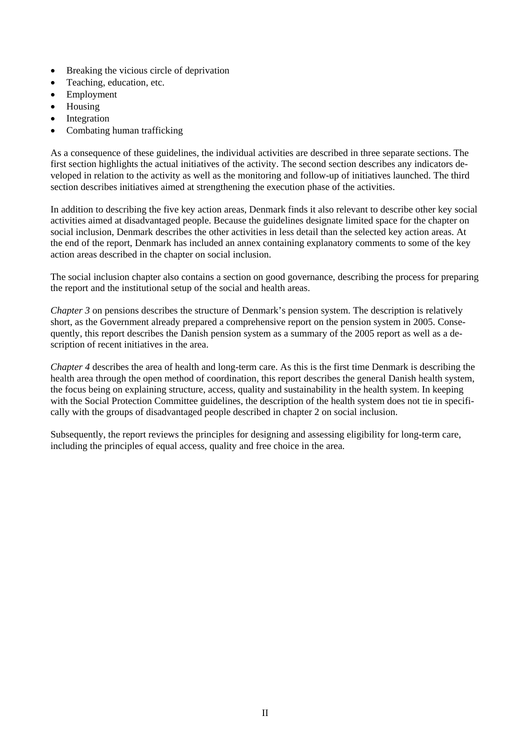- Breaking the vicious circle of deprivation
- Teaching, education, etc.
- Employment
- Housing
- **Integration**
- Combating human trafficking

As a consequence of these guidelines, the individual activities are described in three separate sections. The first section highlights the actual initiatives of the activity. The second section describes any indicators developed in relation to the activity as well as the monitoring and follow-up of initiatives launched. The third section describes initiatives aimed at strengthening the execution phase of the activities.

In addition to describing the five key action areas, Denmark finds it also relevant to describe other key social activities aimed at disadvantaged people. Because the guidelines designate limited space for the chapter on social inclusion, Denmark describes the other activities in less detail than the selected key action areas. At the end of the report, Denmark has included an annex containing explanatory comments to some of the key action areas described in the chapter on social inclusion.

The social inclusion chapter also contains a section on good governance, describing the process for preparing the report and the institutional setup of the social and health areas.

*Chapter 3* on pensions describes the structure of Denmark's pension system. The description is relatively short, as the Government already prepared a comprehensive report on the pension system in 2005. Consequently, this report describes the Danish pension system as a summary of the 2005 report as well as a description of recent initiatives in the area.

*Chapter 4* describes the area of health and long-term care. As this is the first time Denmark is describing the health area through the open method of coordination, this report describes the general Danish health system, the focus being on explaining structure, access, quality and sustainability in the health system. In keeping with the Social Protection Committee guidelines, the description of the health system does not tie in specifically with the groups of disadvantaged people described in chapter 2 on social inclusion.

Subsequently, the report reviews the principles for designing and assessing eligibility for long-term care, including the principles of equal access, quality and free choice in the area.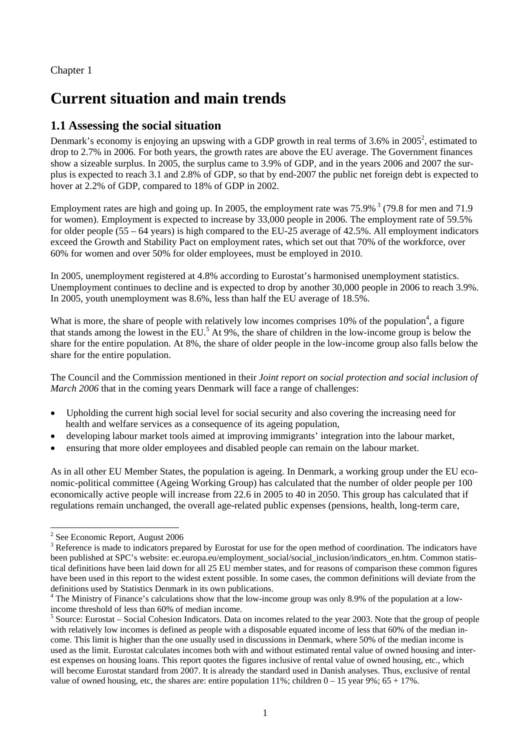Chapter 1

# **Current situation and main trends**

# **1.1 Assessing the social situation**

Denmark's economy is enjoying an upswing with a GDP growth in real terms of 3.6% in  $2005^2$ , estimated to drop to 2.7% in 2006. For both years, the growth rates are above the EU average. The Government finances show a sizeable surplus. In 2005, the surplus came to 3.9% of GDP, and in the years 2006 and 2007 the surplus is expected to reach 3.1 and 2.8% of GDP, so that by end-2007 the public net foreign debt is expected to hover at 2.2% of GDP, compared to 18% of GDP in 2002.

Employment rates are high and going up. In 2005, the employment rate was 75.9% <sup>3</sup> (79.8 for men and 71.9) for women). Employment is expected to increase by 33,000 people in 2006. The employment rate of 59.5% for older people (55 – 64 years) is high compared to the EU-25 average of 42.5%. All employment indicators exceed the Growth and Stability Pact on employment rates, which set out that 70% of the workforce, over 60% for women and over 50% for older employees, must be employed in 2010.

In 2005, unemployment registered at 4.8% according to Eurostat's harmonised unemployment statistics. Unemployment continues to decline and is expected to drop by another 30,000 people in 2006 to reach 3.9%. In 2005, youth unemployment was 8.6%, less than half the EU average of 18.5%.

What is more, the share of people with relatively low incomes comprises  $10\%$  of the population<sup>4</sup>, a figure that stands among the lowest in the EU.<sup>5</sup> At 9%, the share of children in the low-income group is below the share for the entire population. At 8%, the share of older people in the low-income group also falls below the share for the entire population.

The Council and the Commission mentioned in their *Joint report on social protection and social inclusion of March 2006* that in the coming years Denmark will face a range of challenges:

- Upholding the current high social level for social security and also covering the increasing need for health and welfare services as a consequence of its ageing population,
- developing labour market tools aimed at improving immigrants' integration into the labour market,
- ensuring that more older employees and disabled people can remain on the labour market.

As in all other EU Member States, the population is ageing. In Denmark, a working group under the EU economic-political committee (Ageing Working Group) has calculated that the number of older people per 100 economically active people will increase from 22.6 in 2005 to 40 in 2050. This group has calculated that if regulations remain unchanged, the overall age-related public expenses (pensions, health, long-term care,

l <sup>2</sup> See Economic Report, August 2006

 $3$  Reference is made to indicators prepared by Eurostat for use for the open method of coordination. The indicators have been published at SPC's website: ec.europa.eu/employment\_social/social\_inclusion/indicators\_en.htm. Common statistical definitions have been laid down for all 25 EU member states, and for reasons of comparison these common figures have been used in this report to the widest extent possible. In some cases, the common definitions will deviate from the definitions used by Statistics Denmark in its own publications.

<sup>&</sup>lt;sup>4</sup> The Ministry of Finance's calculations show that the low-income group was only 8.9% of the population at a lowincome threshold of less than 60% of median income.

 $<sup>5</sup>$  Source: Eurostat – Social Cohesion Indicators. Data on incomes related to the year 2003. Note that the group of people</sup> with relatively low incomes is defined as people with a disposable equated income of less that 60% of the median income. This limit is higher than the one usually used in discussions in Denmark, where 50% of the median income is used as the limit. Eurostat calculates incomes both with and without estimated rental value of owned housing and interest expenses on housing loans. This report quotes the figures inclusive of rental value of owned housing, etc., which will become Eurostat standard from 2007. It is already the standard used in Danish analyses. Thus, exclusive of rental value of owned housing, etc, the shares are: entire population  $11\%$ ; children  $0 - 15$  year 9%; 65 + 17%.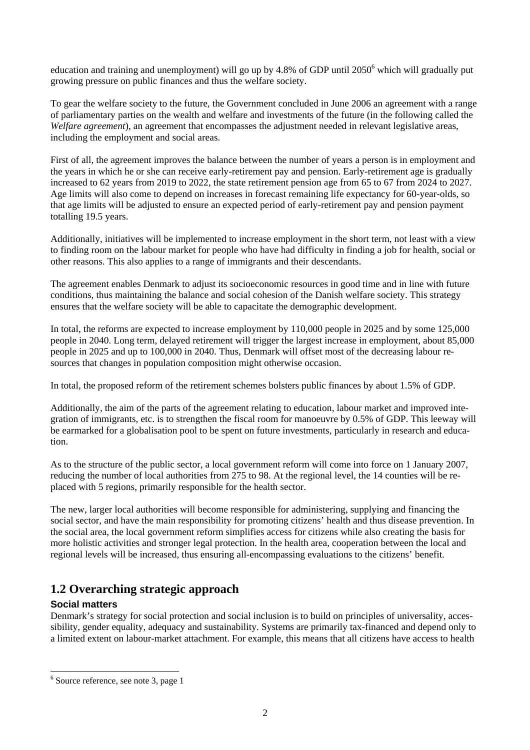education and training and unemployment) will go up by 4.8% of GDP until 2050<sup>6</sup> which will gradually put growing pressure on public finances and thus the welfare society.

To gear the welfare society to the future, the Government concluded in June 2006 an agreement with a range of parliamentary parties on the wealth and welfare and investments of the future (in the following called the *Welfare agreement*), an agreement that encompasses the adjustment needed in relevant legislative areas, including the employment and social areas.

First of all, the agreement improves the balance between the number of years a person is in employment and the years in which he or she can receive early-retirement pay and pension. Early-retirement age is gradually increased to 62 years from 2019 to 2022, the state retirement pension age from 65 to 67 from 2024 to 2027. Age limits will also come to depend on increases in forecast remaining life expectancy for 60-year-olds, so that age limits will be adjusted to ensure an expected period of early-retirement pay and pension payment totalling 19.5 years.

Additionally, initiatives will be implemented to increase employment in the short term, not least with a view to finding room on the labour market for people who have had difficulty in finding a job for health, social or other reasons. This also applies to a range of immigrants and their descendants.

The agreement enables Denmark to adjust its socioeconomic resources in good time and in line with future conditions, thus maintaining the balance and social cohesion of the Danish welfare society. This strategy ensures that the welfare society will be able to capacitate the demographic development.

In total, the reforms are expected to increase employment by 110,000 people in 2025 and by some 125,000 people in 2040. Long term, delayed retirement will trigger the largest increase in employment, about 85,000 people in 2025 and up to 100,000 in 2040. Thus, Denmark will offset most of the decreasing labour resources that changes in population composition might otherwise occasion.

In total, the proposed reform of the retirement schemes bolsters public finances by about 1.5% of GDP.

Additionally, the aim of the parts of the agreement relating to education, labour market and improved integration of immigrants, etc. is to strengthen the fiscal room for manoeuvre by 0.5% of GDP. This leeway will be earmarked for a globalisation pool to be spent on future investments, particularly in research and education.

As to the structure of the public sector, a local government reform will come into force on 1 January 2007, reducing the number of local authorities from 275 to 98. At the regional level, the 14 counties will be replaced with 5 regions, primarily responsible for the health sector.

The new, larger local authorities will become responsible for administering, supplying and financing the social sector, and have the main responsibility for promoting citizens' health and thus disease prevention. In the social area, the local government reform simplifies access for citizens while also creating the basis for more holistic activities and stronger legal protection. In the health area, cooperation between the local and regional levels will be increased, thus ensuring all-encompassing evaluations to the citizens' benefit.

# **1.2 Overarching strategic approach**

# **Social matters**

l

Denmark's strategy for social protection and social inclusion is to build on principles of universality, accessibility, gender equality, adequacy and sustainability. Systems are primarily tax-financed and depend only to a limited extent on labour-market attachment. For example, this means that all citizens have access to health

<sup>6</sup> Source reference, see note 3, page 1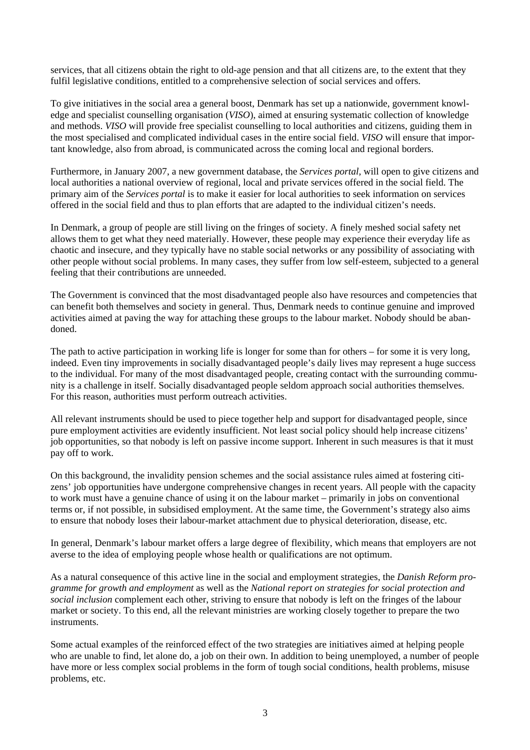services, that all citizens obtain the right to old-age pension and that all citizens are, to the extent that they fulfil legislative conditions, entitled to a comprehensive selection of social services and offers.

To give initiatives in the social area a general boost, Denmark has set up a nationwide, government knowledge and specialist counselling organisation (*VISO*), aimed at ensuring systematic collection of knowledge and methods. *VISO* will provide free specialist counselling to local authorities and citizens, guiding them in the most specialised and complicated individual cases in the entire social field. *VISO* will ensure that important knowledge, also from abroad, is communicated across the coming local and regional borders.

Furthermore, in January 2007, a new government database, the *Services portal,* will open to give citizens and local authorities a national overview of regional, local and private services offered in the social field. The primary aim of the *Services portal* is to make it easier for local authorities to seek information on services offered in the social field and thus to plan efforts that are adapted to the individual citizen's needs.

In Denmark, a group of people are still living on the fringes of society. A finely meshed social safety net allows them to get what they need materially. However, these people may experience their everyday life as chaotic and insecure, and they typically have no stable social networks or any possibility of associating with other people without social problems. In many cases, they suffer from low self-esteem, subjected to a general feeling that their contributions are unneeded.

The Government is convinced that the most disadvantaged people also have resources and competencies that can benefit both themselves and society in general. Thus, Denmark needs to continue genuine and improved activities aimed at paving the way for attaching these groups to the labour market. Nobody should be abandoned.

The path to active participation in working life is longer for some than for others – for some it is very long, indeed. Even tiny improvements in socially disadvantaged people's daily lives may represent a huge success to the individual. For many of the most disadvantaged people, creating contact with the surrounding community is a challenge in itself. Socially disadvantaged people seldom approach social authorities themselves. For this reason, authorities must perform outreach activities.

All relevant instruments should be used to piece together help and support for disadvantaged people, since pure employment activities are evidently insufficient. Not least social policy should help increase citizens' job opportunities, so that nobody is left on passive income support. Inherent in such measures is that it must pay off to work.

On this background, the invalidity pension schemes and the social assistance rules aimed at fostering citizens' job opportunities have undergone comprehensive changes in recent years. All people with the capacity to work must have a genuine chance of using it on the labour market – primarily in jobs on conventional terms or, if not possible, in subsidised employment. At the same time, the Government's strategy also aims to ensure that nobody loses their labour-market attachment due to physical deterioration, disease, etc.

In general, Denmark's labour market offers a large degree of flexibility, which means that employers are not averse to the idea of employing people whose health or qualifications are not optimum.

As a natural consequence of this active line in the social and employment strategies, the *Danish Reform programme for growth and employment* as well as the *National report on strategies for social protection and social inclusion* complement each other, striving to ensure that nobody is left on the fringes of the labour market or society. To this end, all the relevant ministries are working closely together to prepare the two instruments.

Some actual examples of the reinforced effect of the two strategies are initiatives aimed at helping people who are unable to find, let alone do, a job on their own. In addition to being unemployed, a number of people have more or less complex social problems in the form of tough social conditions, health problems, misuse problems, etc.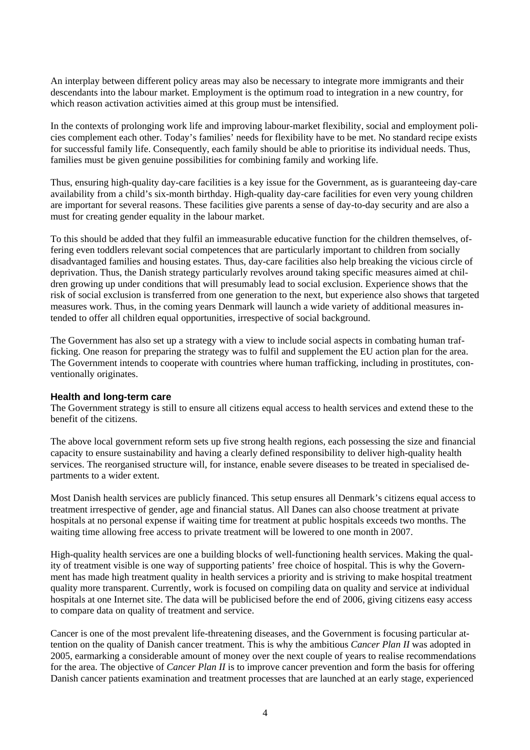An interplay between different policy areas may also be necessary to integrate more immigrants and their descendants into the labour market. Employment is the optimum road to integration in a new country, for which reason activation activities aimed at this group must be intensified.

In the contexts of prolonging work life and improving labour-market flexibility, social and employment policies complement each other. Today's families' needs for flexibility have to be met. No standard recipe exists for successful family life. Consequently, each family should be able to prioritise its individual needs. Thus, families must be given genuine possibilities for combining family and working life.

Thus, ensuring high-quality day-care facilities is a key issue for the Government, as is guaranteeing day-care availability from a child's six-month birthday. High-quality day-care facilities for even very young children are important for several reasons. These facilities give parents a sense of day-to-day security and are also a must for creating gender equality in the labour market.

To this should be added that they fulfil an immeasurable educative function for the children themselves, offering even toddlers relevant social competences that are particularly important to children from socially disadvantaged families and housing estates. Thus, day-care facilities also help breaking the vicious circle of deprivation. Thus, the Danish strategy particularly revolves around taking specific measures aimed at children growing up under conditions that will presumably lead to social exclusion. Experience shows that the risk of social exclusion is transferred from one generation to the next, but experience also shows that targeted measures work. Thus, in the coming years Denmark will launch a wide variety of additional measures intended to offer all children equal opportunities, irrespective of social background.

The Government has also set up a strategy with a view to include social aspects in combating human trafficking. One reason for preparing the strategy was to fulfil and supplement the EU action plan for the area. The Government intends to cooperate with countries where human trafficking, including in prostitutes, conventionally originates.

#### **Health and long-term care**

The Government strategy is still to ensure all citizens equal access to health services and extend these to the benefit of the citizens.

The above local government reform sets up five strong health regions, each possessing the size and financial capacity to ensure sustainability and having a clearly defined responsibility to deliver high-quality health services. The reorganised structure will, for instance, enable severe diseases to be treated in specialised departments to a wider extent.

Most Danish health services are publicly financed. This setup ensures all Denmark's citizens equal access to treatment irrespective of gender, age and financial status. All Danes can also choose treatment at private hospitals at no personal expense if waiting time for treatment at public hospitals exceeds two months. The waiting time allowing free access to private treatment will be lowered to one month in 2007.

High-quality health services are one a building blocks of well-functioning health services. Making the quality of treatment visible is one way of supporting patients' free choice of hospital. This is why the Government has made high treatment quality in health services a priority and is striving to make hospital treatment quality more transparent. Currently, work is focused on compiling data on quality and service at individual hospitals at one Internet site. The data will be publicised before the end of 2006, giving citizens easy access to compare data on quality of treatment and service.

Cancer is one of the most prevalent life-threatening diseases, and the Government is focusing particular attention on the quality of Danish cancer treatment. This is why the ambitious *Cancer Plan II* was adopted in 2005, earmarking a considerable amount of money over the next couple of years to realise recommendations for the area. The objective of *Cancer Plan II* is to improve cancer prevention and form the basis for offering Danish cancer patients examination and treatment processes that are launched at an early stage, experienced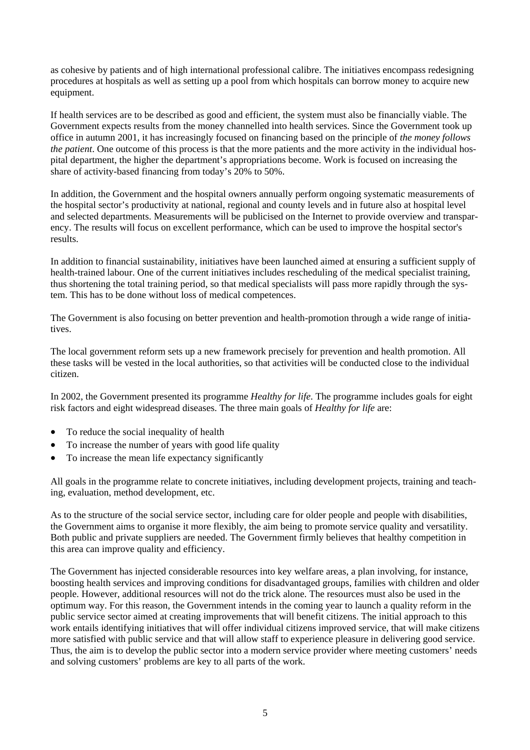as cohesive by patients and of high international professional calibre. The initiatives encompass redesigning procedures at hospitals as well as setting up a pool from which hospitals can borrow money to acquire new equipment.

If health services are to be described as good and efficient, the system must also be financially viable. The Government expects results from the money channelled into health services. Since the Government took up office in autumn 2001, it has increasingly focused on financing based on the principle of *the money follows the patient*. One outcome of this process is that the more patients and the more activity in the individual hospital department, the higher the department's appropriations become. Work is focused on increasing the share of activity-based financing from today's 20% to 50%.

In addition, the Government and the hospital owners annually perform ongoing systematic measurements of the hospital sector's productivity at national, regional and county levels and in future also at hospital level and selected departments. Measurements will be publicised on the Internet to provide overview and transparency. The results will focus on excellent performance, which can be used to improve the hospital sector's results.

In addition to financial sustainability, initiatives have been launched aimed at ensuring a sufficient supply of health-trained labour. One of the current initiatives includes rescheduling of the medical specialist training, thus shortening the total training period, so that medical specialists will pass more rapidly through the system. This has to be done without loss of medical competences.

The Government is also focusing on better prevention and health-promotion through a wide range of initiatives.

The local government reform sets up a new framework precisely for prevention and health promotion. All these tasks will be vested in the local authorities, so that activities will be conducted close to the individual citizen.

In 2002, the Government presented its programme *Healthy for life*. The programme includes goals for eight risk factors and eight widespread diseases. The three main goals of *Healthy for life* are:

- To reduce the social inequality of health
- To increase the number of years with good life quality
- To increase the mean life expectancy significantly

All goals in the programme relate to concrete initiatives, including development projects, training and teaching, evaluation, method development, etc.

As to the structure of the social service sector, including care for older people and people with disabilities, the Government aims to organise it more flexibly, the aim being to promote service quality and versatility. Both public and private suppliers are needed. The Government firmly believes that healthy competition in this area can improve quality and efficiency.

The Government has injected considerable resources into key welfare areas, a plan involving, for instance, boosting health services and improving conditions for disadvantaged groups, families with children and older people. However, additional resources will not do the trick alone. The resources must also be used in the optimum way. For this reason, the Government intends in the coming year to launch a quality reform in the public service sector aimed at creating improvements that will benefit citizens. The initial approach to this work entails identifying initiatives that will offer individual citizens improved service, that will make citizens more satisfied with public service and that will allow staff to experience pleasure in delivering good service. Thus, the aim is to develop the public sector into a modern service provider where meeting customers' needs and solving customers' problems are key to all parts of the work.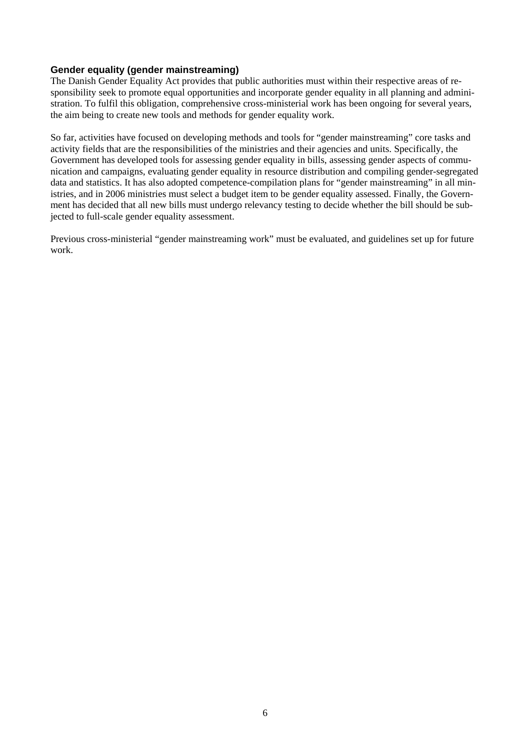#### **Gender equality (gender mainstreaming)**

The Danish Gender Equality Act provides that public authorities must within their respective areas of responsibility seek to promote equal opportunities and incorporate gender equality in all planning and administration. To fulfil this obligation, comprehensive cross-ministerial work has been ongoing for several years, the aim being to create new tools and methods for gender equality work.

So far, activities have focused on developing methods and tools for "gender mainstreaming" core tasks and activity fields that are the responsibilities of the ministries and their agencies and units. Specifically, the Government has developed tools for assessing gender equality in bills, assessing gender aspects of communication and campaigns, evaluating gender equality in resource distribution and compiling gender-segregated data and statistics. It has also adopted competence-compilation plans for "gender mainstreaming" in all ministries, and in 2006 ministries must select a budget item to be gender equality assessed. Finally, the Government has decided that all new bills must undergo relevancy testing to decide whether the bill should be subjected to full-scale gender equality assessment.

Previous cross-ministerial "gender mainstreaming work" must be evaluated, and guidelines set up for future work.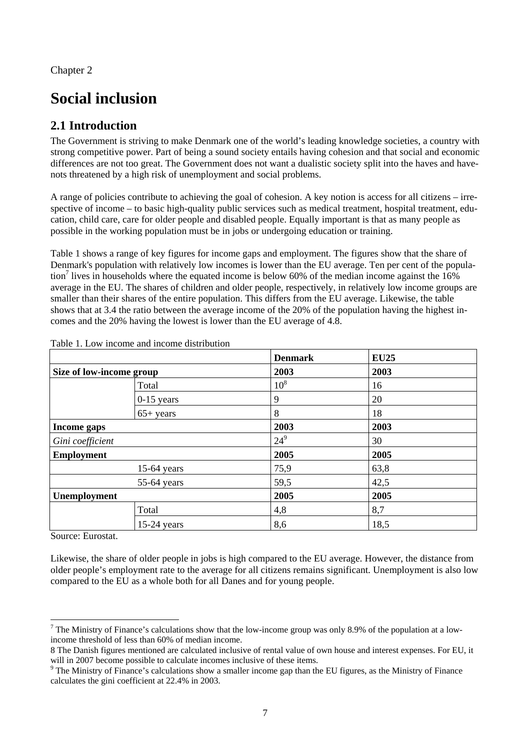Chapter 2

# **Social inclusion**

# **2.1 Introduction**

The Government is striving to make Denmark one of the world's leading knowledge societies, a country with strong competitive power. Part of being a sound society entails having cohesion and that social and economic differences are not too great. The Government does not want a dualistic society split into the haves and havenots threatened by a high risk of unemployment and social problems.

A range of policies contribute to achieving the goal of cohesion. A key notion is access for all citizens – irrespective of income – to basic high-quality public services such as medical treatment, hospital treatment, education, child care, care for older people and disabled people. Equally important is that as many people as possible in the working population must be in jobs or undergoing education or training.

Table 1 shows a range of key figures for income gaps and employment. The figures show that the share of Denmark's population with relatively low incomes is lower than the EU average. Ten per cent of the population<sup>7</sup> lives in households where the equated income is below 60% of the median income against the  $16\%$ average in the EU. The shares of children and older people, respectively, in relatively low income groups are smaller than their shares of the entire population. This differs from the EU average. Likewise, the table shows that at 3.4 the ratio between the average income of the 20% of the population having the highest incomes and the 20% having the lowest is lower than the EU average of 4.8.

|                          |               | <b>Denmark</b>  | <b>EU25</b> |  |
|--------------------------|---------------|-----------------|-------------|--|
| Size of low-income group |               | 2003            | 2003        |  |
|                          | Total         | 10 <sup>8</sup> | 16          |  |
|                          | $0-15$ years  | 9               | 20          |  |
|                          | $65+$ years   | 8               | 18          |  |
| Income gaps              |               | 2003            | 2003        |  |
| Gini coefficient         |               | $24^{9}$        | 30          |  |
| <b>Employment</b>        |               | 2005            | 2005        |  |
|                          | $15-64$ years | 75,9            | 63,8        |  |
| 55-64 years              |               | 59,5            | 42,5        |  |
| Unemployment             |               | 2005            | 2005        |  |
|                          | Total         | 4,8             | 8,7         |  |
|                          | $15-24$ years | 8,6             | 18,5        |  |

Table 1. Low income and income distribution

Source: Eurostat.

l

Likewise, the share of older people in jobs is high compared to the EU average. However, the distance from older people's employment rate to the average for all citizens remains significant. Unemployment is also low compared to the EU as a whole both for all Danes and for young people.

<sup>&</sup>lt;sup>7</sup> The Ministry of Finance's calculations show that the low-income group was only 8.9% of the population at a lowincome threshold of less than 60% of median income.

<sup>8</sup> The Danish figures mentioned are calculated inclusive of rental value of own house and interest expenses. For EU, it will in 2007 become possible to calculate incomes inclusive of these items.

 $9$  The Ministry of Finance's calculations show a smaller income gap than the EU figures, as the Ministry of Finance calculates the gini coefficient at 22.4% in 2003.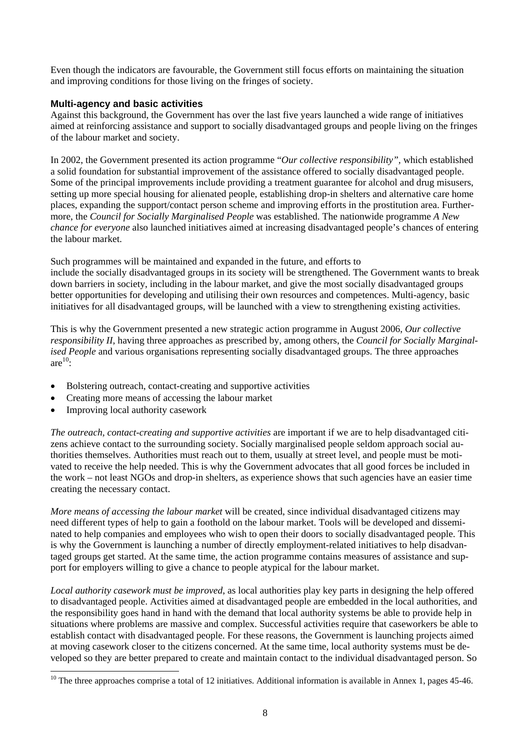Even though the indicators are favourable, the Government still focus efforts on maintaining the situation and improving conditions for those living on the fringes of society.

# **Multi-agency and basic activities**

Against this background, the Government has over the last five years launched a wide range of initiatives aimed at reinforcing assistance and support to socially disadvantaged groups and people living on the fringes of the labour market and society.

In 2002, the Government presented its action programme "*Our collective responsibility",* which established a solid foundation for substantial improvement of the assistance offered to socially disadvantaged people. Some of the principal improvements include providing a treatment guarantee for alcohol and drug misusers, setting up more special housing for alienated people, establishing drop-in shelters and alternative care home places, expanding the support/contact person scheme and improving efforts in the prostitution area. Furthermore, the *Council for Socially Marginalised People* was established. The nationwide programme *A New chance for everyone* also launched initiatives aimed at increasing disadvantaged people's chances of entering the labour market.

Such programmes will be maintained and expanded in the future, and efforts to include the socially disadvantaged groups in its society will be strengthened. The Government wants to break down barriers in society, including in the labour market, and give the most socially disadvantaged groups better opportunities for developing and utilising their own resources and competences. Multi-agency, basic initiatives for all disadvantaged groups, will be launched with a view to strengthening existing activities.

This is why the Government presented a new strategic action programme in August 2006, *Our collective responsibility II,* having three approaches as prescribed by, among others, the *Council for Socially Marginalised People* and various organisations representing socially disadvantaged groups. The three approaches are $^{10}$ :

- Bolstering outreach, contact-creating and supportive activities
- Creating more means of accessing the labour market
- Improving local authority casework

l

*The outreach, contact-creating and supportive activities are important if we are to help disadvantaged citi*zens achieve contact to the surrounding society. Socially marginalised people seldom approach social authorities themselves. Authorities must reach out to them, usually at street level, and people must be motivated to receive the help needed. This is why the Government advocates that all good forces be included in the work – not least NGOs and drop-in shelters, as experience shows that such agencies have an easier time creating the necessary contact.

*More means of accessing the labour market* will be created, since individual disadvantaged citizens may need different types of help to gain a foothold on the labour market. Tools will be developed and disseminated to help companies and employees who wish to open their doors to socially disadvantaged people. This is why the Government is launching a number of directly employment-related initiatives to help disadvantaged groups get started. At the same time, the action programme contains measures of assistance and support for employers willing to give a chance to people atypical for the labour market.

*Local authority casework must be improved*, as local authorities play key parts in designing the help offered to disadvantaged people. Activities aimed at disadvantaged people are embedded in the local authorities, and the responsibility goes hand in hand with the demand that local authority systems be able to provide help in situations where problems are massive and complex. Successful activities require that caseworkers be able to establish contact with disadvantaged people. For these reasons, the Government is launching projects aimed at moving casework closer to the citizens concerned. At the same time, local authority systems must be developed so they are better prepared to create and maintain contact to the individual disadvantaged person. So

 $10$  The three approaches comprise a total of 12 initiatives. Additional information is available in Annex 1, pages 45-46.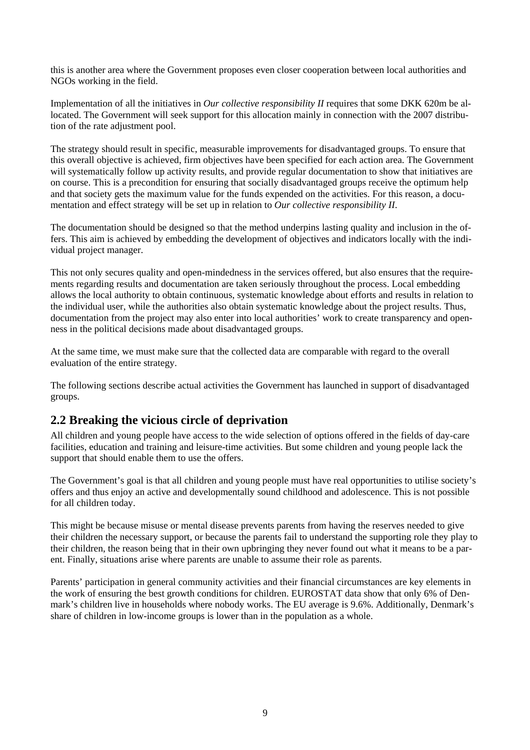this is another area where the Government proposes even closer cooperation between local authorities and NGOs working in the field.

Implementation of all the initiatives in *Our collective responsibility II* requires that some DKK 620m be allocated. The Government will seek support for this allocation mainly in connection with the 2007 distribution of the rate adjustment pool.

The strategy should result in specific, measurable improvements for disadvantaged groups. To ensure that this overall objective is achieved, firm objectives have been specified for each action area. The Government will systematically follow up activity results, and provide regular documentation to show that initiatives are on course. This is a precondition for ensuring that socially disadvantaged groups receive the optimum help and that society gets the maximum value for the funds expended on the activities. For this reason, a documentation and effect strategy will be set up in relation to *Our collective responsibility II*.

The documentation should be designed so that the method underpins lasting quality and inclusion in the offers. This aim is achieved by embedding the development of objectives and indicators locally with the individual project manager.

This not only secures quality and open-mindedness in the services offered, but also ensures that the requirements regarding results and documentation are taken seriously throughout the process. Local embedding allows the local authority to obtain continuous, systematic knowledge about efforts and results in relation to the individual user, while the authorities also obtain systematic knowledge about the project results. Thus, documentation from the project may also enter into local authorities' work to create transparency and openness in the political decisions made about disadvantaged groups.

At the same time, we must make sure that the collected data are comparable with regard to the overall evaluation of the entire strategy.

The following sections describe actual activities the Government has launched in support of disadvantaged groups.

# **2.2 Breaking the vicious circle of deprivation**

All children and young people have access to the wide selection of options offered in the fields of day-care facilities, education and training and leisure-time activities. But some children and young people lack the support that should enable them to use the offers.

The Government's goal is that all children and young people must have real opportunities to utilise society's offers and thus enjoy an active and developmentally sound childhood and adolescence. This is not possible for all children today.

This might be because misuse or mental disease prevents parents from having the reserves needed to give their children the necessary support, or because the parents fail to understand the supporting role they play to their children, the reason being that in their own upbringing they never found out what it means to be a parent. Finally, situations arise where parents are unable to assume their role as parents.

Parents' participation in general community activities and their financial circumstances are key elements in the work of ensuring the best growth conditions for children. EUROSTAT data show that only 6% of Denmark's children live in households where nobody works. The EU average is 9.6%. Additionally, Denmark's share of children in low-income groups is lower than in the population as a whole.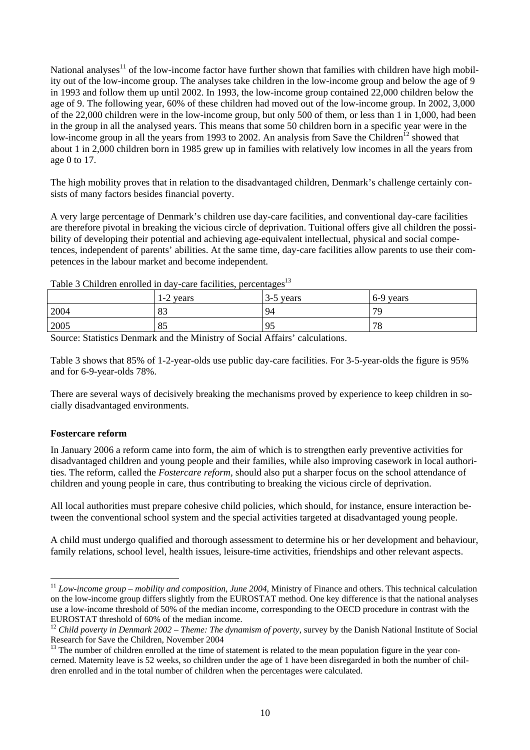National analyses<sup>11</sup> of the low-income factor have further shown that families with children have high mobility out of the low-income group. The analyses take children in the low-income group and below the age of 9 in 1993 and follow them up until 2002. In 1993, the low-income group contained 22,000 children below the age of 9. The following year, 60% of these children had moved out of the low-income group. In 2002, 3,000 of the 22,000 children were in the low-income group, but only 500 of them, or less than 1 in 1,000, had been in the group in all the analysed years. This means that some 50 children born in a specific year were in the low-income group in all the years from 1993 to 2002. An analysis from Save the Children<sup>12</sup> showed that about 1 in 2,000 children born in 1985 grew up in families with relatively low incomes in all the years from age 0 to 17.

The high mobility proves that in relation to the disadvantaged children, Denmark's challenge certainly consists of many factors besides financial poverty.

A very large percentage of Denmark's children use day-care facilities, and conventional day-care facilities are therefore pivotal in breaking the vicious circle of deprivation. Tuitional offers give all children the possibility of developing their potential and achieving age-equivalent intellectual, physical and social competences, independent of parents' abilities. At the same time, day-care facilities allow parents to use their competences in the labour market and become independent.

Table 3 Children enrolled in day-care facilities, percentages $13$ 

|      | 1-2 years | 3-5 years | 6-9 years |
|------|-----------|-----------|-----------|
| 2004 | OQ<br>OJ. | 94        | 79        |
| 2005 | 85        | 95        | 78        |

Source: Statistics Denmark and the Ministry of Social Affairs' calculations.

Table 3 shows that 85% of 1-2-year-olds use public day-care facilities. For 3-5-year-olds the figure is 95% and for 6-9-year-olds 78%.

There are several ways of decisively breaking the mechanisms proved by experience to keep children in socially disadvantaged environments.

#### **Fostercare reform**

 $\overline{\phantom{a}}$ 

In January 2006 a reform came into form, the aim of which is to strengthen early preventive activities for disadvantaged children and young people and their families, while also improving casework in local authorities. The reform, called the *Fostercare reform,* should also put a sharper focus on the school attendance of children and young people in care, thus contributing to breaking the vicious circle of deprivation.

All local authorities must prepare cohesive child policies, which should, for instance, ensure interaction between the conventional school system and the special activities targeted at disadvantaged young people.

A child must undergo qualified and thorough assessment to determine his or her development and behaviour, family relations, school level, health issues, leisure-time activities, friendships and other relevant aspects.

<sup>&</sup>lt;sup>11</sup> *Low-income group – mobility and composition, June 2004*, Ministry of Finance and others. This technical calculation on the low-income group differs slightly from the EUROSTAT method. One key difference is that the national analyses use a low-income threshold of 50% of the median income, corresponding to the OECD procedure in contrast with the EUROSTAT threshold of 60% of the median income.

<sup>&</sup>lt;sup>12</sup> Child poverty in Denmark 2002 – Theme: The dynamism of poverty, survey by the Danish National Institute of Social Research for Save the Children, November 2004

 $13$  The number of children enrolled at the time of statement is related to the mean population figure in the year concerned. Maternity leave is 52 weeks, so children under the age of 1 have been disregarded in both the number of children enrolled and in the total number of children when the percentages were calculated.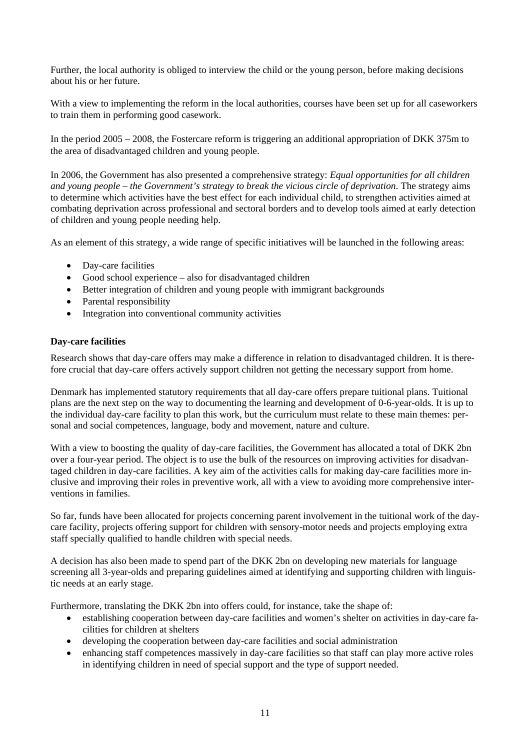Further, the local authority is obliged to interview the child or the young person, before making decisions about his or her future.

With a view to implementing the reform in the local authorities, courses have been set up for all caseworkers to train them in performing good casework.

In the period 2005 – 2008, the Fostercare reform is triggering an additional appropriation of DKK 375m to the area of disadvantaged children and young people.

In 2006, the Government has also presented a comprehensive strategy: *Equal opportunities for all children and young people – the Government's strategy to break the vicious circle of deprivation*. The strategy aims to determine which activities have the best effect for each individual child, to strengthen activities aimed at combating deprivation across professional and sectoral borders and to develop tools aimed at early detection of children and young people needing help.

As an element of this strategy, a wide range of specific initiatives will be launched in the following areas:

- Day-care facilities
- Good school experience also for disadvantaged children
- Better integration of children and young people with immigrant backgrounds
- Parental responsibility
- Integration into conventional community activities

#### **Day-care facilities**

Research shows that day-care offers may make a difference in relation to disadvantaged children. It is therefore crucial that day-care offers actively support children not getting the necessary support from home.

Denmark has implemented statutory requirements that all day-care offers prepare tuitional plans. Tuitional plans are the next step on the way to documenting the learning and development of 0-6-year-olds. It is up to the individual day-care facility to plan this work, but the curriculum must relate to these main themes: personal and social competences, language, body and movement, nature and culture.

With a view to boosting the quality of day-care facilities, the Government has allocated a total of DKK 2bn over a four-year period. The object is to use the bulk of the resources on improving activities for disadvantaged children in day-care facilities. A key aim of the activities calls for making day-care facilities more inclusive and improving their roles in preventive work, all with a view to avoiding more comprehensive interventions in families.

So far, funds have been allocated for projects concerning parent involvement in the tuitional work of the daycare facility, projects offering support for children with sensory-motor needs and projects employing extra staff specially qualified to handle children with special needs.

A decision has also been made to spend part of the DKK 2bn on developing new materials for language screening all 3-year-olds and preparing guidelines aimed at identifying and supporting children with linguistic needs at an early stage.

Furthermore, translating the DKK 2bn into offers could, for instance, take the shape of:

- establishing cooperation between day-care facilities and women's shelter on activities in day-care facilities for children at shelters
- developing the cooperation between day-care facilities and social administration
- enhancing staff competences massively in day-care facilities so that staff can play more active roles in identifying children in need of special support and the type of support needed.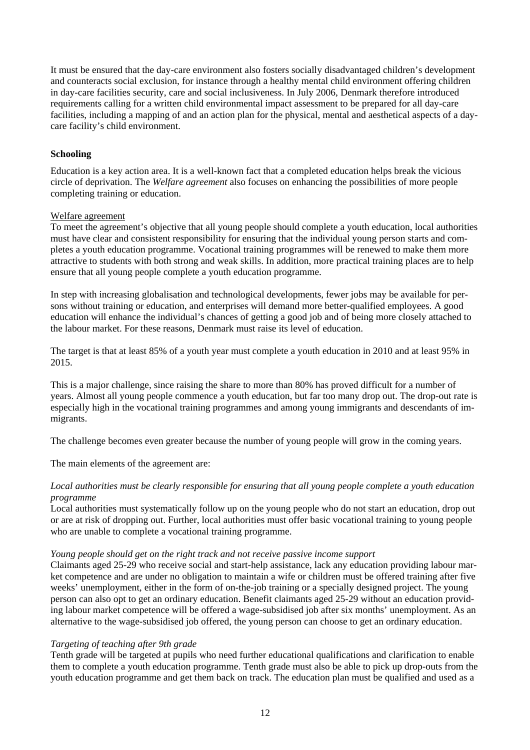It must be ensured that the day-care environment also fosters socially disadvantaged children's development and counteracts social exclusion, for instance through a healthy mental child environment offering children in day-care facilities security, care and social inclusiveness. In July 2006, Denmark therefore introduced requirements calling for a written child environmental impact assessment to be prepared for all day-care facilities, including a mapping of and an action plan for the physical, mental and aesthetical aspects of a daycare facility's child environment.

#### **Schooling**

Education is a key action area. It is a well-known fact that a completed education helps break the vicious circle of deprivation. The *Welfare agreement* also focuses on enhancing the possibilities of more people completing training or education.

#### Welfare agreement

To meet the agreement's objective that all young people should complete a youth education, local authorities must have clear and consistent responsibility for ensuring that the individual young person starts and completes a youth education programme. Vocational training programmes will be renewed to make them more attractive to students with both strong and weak skills. In addition, more practical training places are to help ensure that all young people complete a youth education programme.

In step with increasing globalisation and technological developments, fewer jobs may be available for persons without training or education, and enterprises will demand more better-qualified employees. A good education will enhance the individual's chances of getting a good job and of being more closely attached to the labour market. For these reasons, Denmark must raise its level of education.

The target is that at least 85% of a youth year must complete a youth education in 2010 and at least 95% in 2015.

This is a major challenge, since raising the share to more than 80% has proved difficult for a number of years. Almost all young people commence a youth education, but far too many drop out. The drop-out rate is especially high in the vocational training programmes and among young immigrants and descendants of immigrants.

The challenge becomes even greater because the number of young people will grow in the coming years.

The main elements of the agreement are:

#### *Local authorities must be clearly responsible for ensuring that all young people complete a youth education programme*

Local authorities must systematically follow up on the young people who do not start an education, drop out or are at risk of dropping out. Further, local authorities must offer basic vocational training to young people who are unable to complete a vocational training programme.

#### *Young people should get on the right track and not receive passive income support*

Claimants aged 25-29 who receive social and start-help assistance, lack any education providing labour market competence and are under no obligation to maintain a wife or children must be offered training after five weeks' unemployment, either in the form of on-the-job training or a specially designed project. The young person can also opt to get an ordinary education. Benefit claimants aged 25-29 without an education providing labour market competence will be offered a wage-subsidised job after six months' unemployment. As an alternative to the wage-subsidised job offered, the young person can choose to get an ordinary education.

#### *Targeting of teaching after 9th grade*

Tenth grade will be targeted at pupils who need further educational qualifications and clarification to enable them to complete a youth education programme. Tenth grade must also be able to pick up drop-outs from the youth education programme and get them back on track. The education plan must be qualified and used as a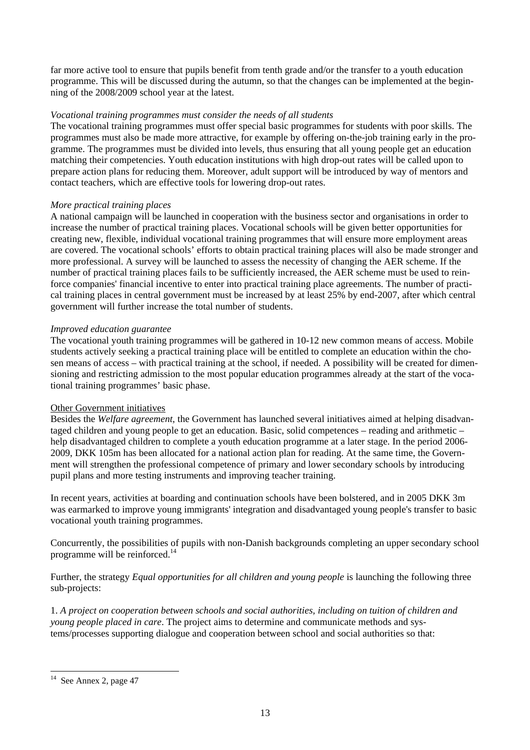far more active tool to ensure that pupils benefit from tenth grade and/or the transfer to a youth education programme. This will be discussed during the autumn, so that the changes can be implemented at the beginning of the 2008/2009 school year at the latest.

#### *Vocational training programmes must consider the needs of all students*

The vocational training programmes must offer special basic programmes for students with poor skills. The programmes must also be made more attractive, for example by offering on-the-job training early in the programme. The programmes must be divided into levels, thus ensuring that all young people get an education matching their competencies. Youth education institutions with high drop-out rates will be called upon to prepare action plans for reducing them. Moreover, adult support will be introduced by way of mentors and contact teachers, which are effective tools for lowering drop-out rates.

## *More practical training places*

A national campaign will be launched in cooperation with the business sector and organisations in order to increase the number of practical training places. Vocational schools will be given better opportunities for creating new, flexible, individual vocational training programmes that will ensure more employment areas are covered. The vocational schools' efforts to obtain practical training places will also be made stronger and more professional. A survey will be launched to assess the necessity of changing the AER scheme. If the number of practical training places fails to be sufficiently increased, the AER scheme must be used to reinforce companies' financial incentive to enter into practical training place agreements. The number of practical training places in central government must be increased by at least 25% by end-2007, after which central government will further increase the total number of students.

## *Improved education guarantee*

The vocational youth training programmes will be gathered in 10-12 new common means of access. Mobile students actively seeking a practical training place will be entitled to complete an education within the chosen means of access – with practical training at the school, if needed. A possibility will be created for dimensioning and restricting admission to the most popular education programmes already at the start of the vocational training programmes' basic phase.

#### Other Government initiatives

Besides the *Welfare agreement*, the Government has launched several initiatives aimed at helping disadvantaged children and young people to get an education. Basic, solid competences – reading and arithmetic – help disadvantaged children to complete a youth education programme at a later stage. In the period 2006- 2009, DKK 105m has been allocated for a national action plan for reading. At the same time, the Government will strengthen the professional competence of primary and lower secondary schools by introducing pupil plans and more testing instruments and improving teacher training.

In recent years, activities at boarding and continuation schools have been bolstered, and in 2005 DKK 3m was earmarked to improve young immigrants' integration and disadvantaged young people's transfer to basic vocational youth training programmes.

Concurrently, the possibilities of pupils with non-Danish backgrounds completing an upper secondary school programme will be reinforced.14

Further, the strategy *Equal opportunities for all children and young people* is launching the following three sub-projects:

1. *A project on cooperation between schools and social authorities, including on tuition of children and young people placed in care*. The project aims to determine and communicate methods and systems/processes supporting dialogue and cooperation between school and social authorities so that:

l

 $14$  See Annex 2, page 47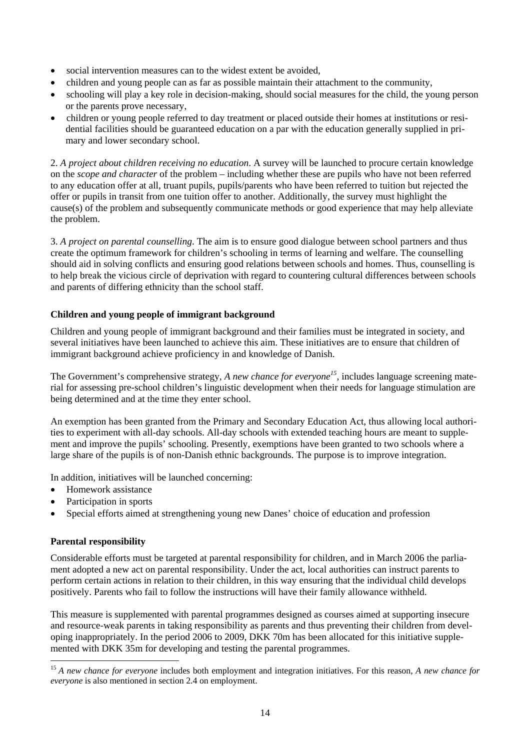- social intervention measures can to the widest extent be avoided,
- children and young people can as far as possible maintain their attachment to the community,
- schooling will play a key role in decision-making, should social measures for the child, the young person or the parents prove necessary,
- children or young people referred to day treatment or placed outside their homes at institutions or residential facilities should be guaranteed education on a par with the education generally supplied in primary and lower secondary school.

2. *A project about children receiving no education*. A survey will be launched to procure certain knowledge on the *scope and character* of the problem – including whether these are pupils who have not been referred to any education offer at all, truant pupils, pupils/parents who have been referred to tuition but rejected the offer or pupils in transit from one tuition offer to another. Additionally, the survey must highlight the cause(s) of the problem and subsequently communicate methods or good experience that may help alleviate the problem.

3. *A project on parental counselling*. The aim is to ensure good dialogue between school partners and thus create the optimum framework for children's schooling in terms of learning and welfare. The counselling should aid in solving conflicts and ensuring good relations between schools and homes. Thus, counselling is to help break the vicious circle of deprivation with regard to countering cultural differences between schools and parents of differing ethnicity than the school staff.

## **Children and young people of immigrant background**

Children and young people of immigrant background and their families must be integrated in society, and several initiatives have been launched to achieve this aim. These initiatives are to ensure that children of immigrant background achieve proficiency in and knowledge of Danish.

The Government's comprehensive strategy, *A new chance for everyone*<sup>15</sup>, includes language screening material for assessing pre-school children's linguistic development when their needs for language stimulation are being determined and at the time they enter school.

An exemption has been granted from the Primary and Secondary Education Act, thus allowing local authorities to experiment with all-day schools. All-day schools with extended teaching hours are meant to supplement and improve the pupils' schooling. Presently, exemptions have been granted to two schools where a large share of the pupils is of non-Danish ethnic backgrounds. The purpose is to improve integration.

In addition, initiatives will be launched concerning:

- Homework assistance
- Participation in sports
- Special efforts aimed at strengthening young new Danes' choice of education and profession

#### **Parental responsibility**

l

Considerable efforts must be targeted at parental responsibility for children, and in March 2006 the parliament adopted a new act on parental responsibility. Under the act, local authorities can instruct parents to perform certain actions in relation to their children, in this way ensuring that the individual child develops positively. Parents who fail to follow the instructions will have their family allowance withheld.

This measure is supplemented with parental programmes designed as courses aimed at supporting insecure and resource-weak parents in taking responsibility as parents and thus preventing their children from developing inappropriately. In the period 2006 to 2009, DKK 70m has been allocated for this initiative supplemented with DKK 35m for developing and testing the parental programmes.

<sup>15</sup> *A new chance for everyone* includes both employment and integration initiatives. For this reason, *A new chance for everyone* is also mentioned in section 2.4 on employment.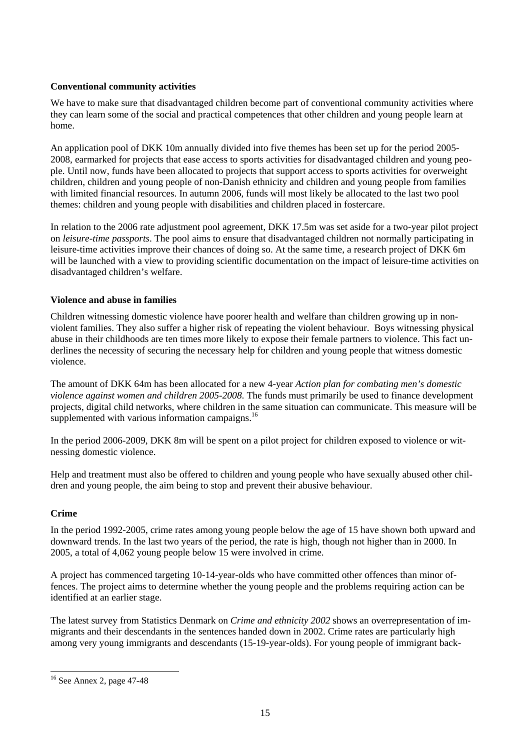# **Conventional community activities**

We have to make sure that disadvantaged children become part of conventional community activities where they can learn some of the social and practical competences that other children and young people learn at home.

An application pool of DKK 10m annually divided into five themes has been set up for the period 2005- 2008, earmarked for projects that ease access to sports activities for disadvantaged children and young people. Until now, funds have been allocated to projects that support access to sports activities for overweight children, children and young people of non-Danish ethnicity and children and young people from families with limited financial resources. In autumn 2006, funds will most likely be allocated to the last two pool themes: children and young people with disabilities and children placed in fostercare.

In relation to the 2006 rate adjustment pool agreement, DKK 17.5m was set aside for a two-year pilot project on *leisure-time passports*. The pool aims to ensure that disadvantaged children not normally participating in leisure-time activities improve their chances of doing so. At the same time, a research project of DKK 6m will be launched with a view to providing scientific documentation on the impact of leisure-time activities on disadvantaged children's welfare.

## **Violence and abuse in families**

Children witnessing domestic violence have poorer health and welfare than children growing up in nonviolent families. They also suffer a higher risk of repeating the violent behaviour. Boys witnessing physical abuse in their childhoods are ten times more likely to expose their female partners to violence. This fact underlines the necessity of securing the necessary help for children and young people that witness domestic violence.

The amount of DKK 64m has been allocated for a new 4-year *Action plan for combating men's domestic violence against women and children 2005-2008*. The funds must primarily be used to finance development projects, digital child networks, where children in the same situation can communicate. This measure will be supplemented with various information campaigns. $^{16}$ 

In the period 2006-2009, DKK 8m will be spent on a pilot project for children exposed to violence or witnessing domestic violence.

Help and treatment must also be offered to children and young people who have sexually abused other children and young people, the aim being to stop and prevent their abusive behaviour.

# **Crime**

l

In the period 1992-2005, crime rates among young people below the age of 15 have shown both upward and downward trends. In the last two years of the period, the rate is high, though not higher than in 2000. In 2005, a total of 4,062 young people below 15 were involved in crime.

A project has commenced targeting 10-14-year-olds who have committed other offences than minor offences. The project aims to determine whether the young people and the problems requiring action can be identified at an earlier stage.

The latest survey from Statistics Denmark on *Crime and ethnicity 2002* shows an overrepresentation of immigrants and their descendants in the sentences handed down in 2002. Crime rates are particularly high among very young immigrants and descendants (15-19-year-olds). For young people of immigrant back-

<sup>16</sup> See Annex 2, page 47-48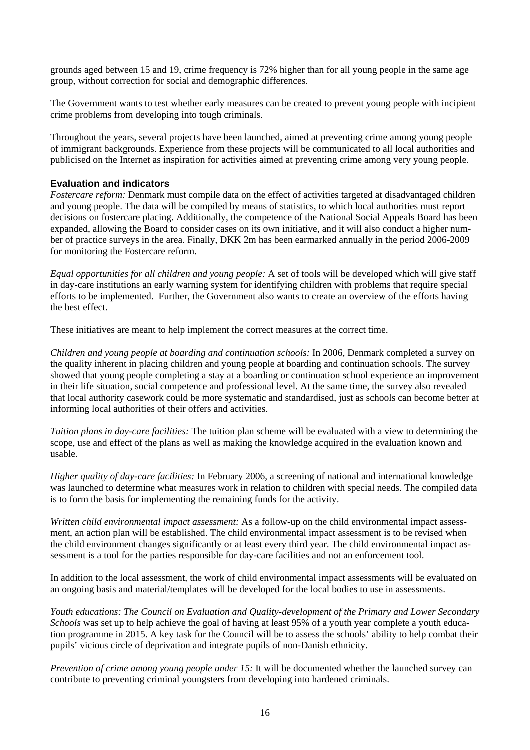grounds aged between 15 and 19, crime frequency is 72% higher than for all young people in the same age group, without correction for social and demographic differences.

The Government wants to test whether early measures can be created to prevent young people with incipient crime problems from developing into tough criminals.

Throughout the years, several projects have been launched, aimed at preventing crime among young people of immigrant backgrounds. Experience from these projects will be communicated to all local authorities and publicised on the Internet as inspiration for activities aimed at preventing crime among very young people.

#### **Evaluation and indicators**

*Fostercare reform:* Denmark must compile data on the effect of activities targeted at disadvantaged children and young people. The data will be compiled by means of statistics, to which local authorities must report decisions on fostercare placing. Additionally, the competence of the National Social Appeals Board has been expanded, allowing the Board to consider cases on its own initiative, and it will also conduct a higher number of practice surveys in the area. Finally, DKK 2m has been earmarked annually in the period 2006-2009 for monitoring the Fostercare reform.

*Equal opportunities for all children and young people:* A set of tools will be developed which will give staff in day-care institutions an early warning system for identifying children with problems that require special efforts to be implemented. Further, the Government also wants to create an overview of the efforts having the best effect.

These initiatives are meant to help implement the correct measures at the correct time.

*Children and young people at boarding and continuation schools:* In 2006, Denmark completed a survey on the quality inherent in placing children and young people at boarding and continuation schools. The survey showed that young people completing a stay at a boarding or continuation school experience an improvement in their life situation, social competence and professional level. At the same time, the survey also revealed that local authority casework could be more systematic and standardised, just as schools can become better at informing local authorities of their offers and activities.

*Tuition plans in day-care facilities:* The tuition plan scheme will be evaluated with a view to determining the scope, use and effect of the plans as well as making the knowledge acquired in the evaluation known and usable.

*Higher quality of day-care facilities:* In February 2006, a screening of national and international knowledge was launched to determine what measures work in relation to children with special needs. The compiled data is to form the basis for implementing the remaining funds for the activity.

*Written child environmental impact assessment:* As a follow-up on the child environmental impact assessment, an action plan will be established. The child environmental impact assessment is to be revised when the child environment changes significantly or at least every third year. The child environmental impact assessment is a tool for the parties responsible for day-care facilities and not an enforcement tool.

In addition to the local assessment, the work of child environmental impact assessments will be evaluated on an ongoing basis and material/templates will be developed for the local bodies to use in assessments.

*Youth educations: The Council on Evaluation and Quality-development of the Primary and Lower Secondary Schools* was set up to help achieve the goal of having at least 95% of a youth year complete a youth education programme in 2015. A key task for the Council will be to assess the schools' ability to help combat their pupils' vicious circle of deprivation and integrate pupils of non-Danish ethnicity.

*Prevention of crime among young people under 15:* It will be documented whether the launched survey can contribute to preventing criminal youngsters from developing into hardened criminals.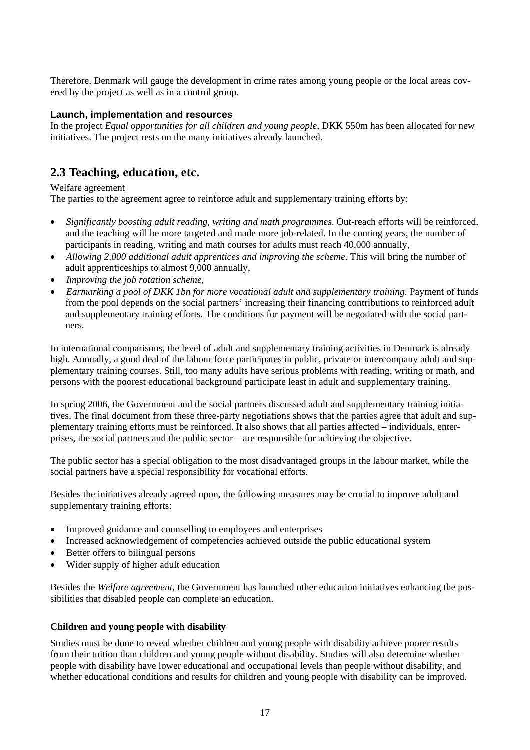Therefore, Denmark will gauge the development in crime rates among young people or the local areas covered by the project as well as in a control group.

## **Launch, implementation and resources**

In the project *Equal opportunities for all children and young people*, DKK 550m has been allocated for new initiatives. The project rests on the many initiatives already launched.

# **2.3 Teaching, education, etc.**

## Welfare agreement

The parties to the agreement agree to reinforce adult and supplementary training efforts by:

- *Significantly boosting adult reading, writing and math programmes*. Out-reach efforts will be reinforced, and the teaching will be more targeted and made more job-related. In the coming years, the number of participants in reading, writing and math courses for adults must reach 40,000 annually,
- *Allowing 2,000 additional adult apprentices and improving the scheme*. This will bring the number of adult apprenticeships to almost 9,000 annually,
- *Improving the job rotation scheme*,
- *Earmarking a pool of DKK 1bn for more vocational adult and supplementary training*. Payment of funds from the pool depends on the social partners' increasing their financing contributions to reinforced adult and supplementary training efforts. The conditions for payment will be negotiated with the social partners.

In international comparisons, the level of adult and supplementary training activities in Denmark is already high. Annually, a good deal of the labour force participates in public, private or intercompany adult and supplementary training courses. Still, too many adults have serious problems with reading, writing or math, and persons with the poorest educational background participate least in adult and supplementary training.

In spring 2006, the Government and the social partners discussed adult and supplementary training initiatives. The final document from these three-party negotiations shows that the parties agree that adult and supplementary training efforts must be reinforced. It also shows that all parties affected – individuals, enterprises, the social partners and the public sector – are responsible for achieving the objective.

The public sector has a special obligation to the most disadvantaged groups in the labour market, while the social partners have a special responsibility for vocational efforts.

Besides the initiatives already agreed upon, the following measures may be crucial to improve adult and supplementary training efforts:

- Improved guidance and counselling to employees and enterprises
- Increased acknowledgement of competencies achieved outside the public educational system
- Better offers to bilingual persons
- Wider supply of higher adult education

Besides the *Welfare agreement*, the Government has launched other education initiatives enhancing the possibilities that disabled people can complete an education.

#### **Children and young people with disability**

Studies must be done to reveal whether children and young people with disability achieve poorer results from their tuition than children and young people without disability. Studies will also determine whether people with disability have lower educational and occupational levels than people without disability, and whether educational conditions and results for children and young people with disability can be improved.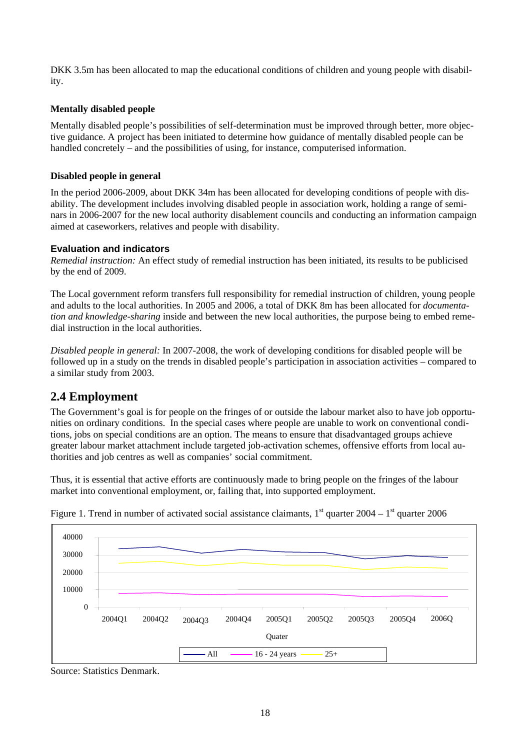DKK 3.5m has been allocated to map the educational conditions of children and young people with disability.

## **Mentally disabled people**

Mentally disabled people's possibilities of self-determination must be improved through better, more objective guidance. A project has been initiated to determine how guidance of mentally disabled people can be handled concretely – and the possibilities of using, for instance, computerised information.

#### **Disabled people in general**

In the period 2006-2009, about DKK 34m has been allocated for developing conditions of people with disability. The development includes involving disabled people in association work, holding a range of seminars in 2006-2007 for the new local authority disablement councils and conducting an information campaign aimed at caseworkers, relatives and people with disability.

## **Evaluation and indicators**

*Remedial instruction:* An effect study of remedial instruction has been initiated*,* its results to be publicised by the end of 2009.

The Local government reform transfers full responsibility for remedial instruction of children, young people and adults to the local authorities. In 2005 and 2006, a total of DKK 8m has been allocated for *documentation and knowledge-sharing* inside and between the new local authorities, the purpose being to embed remedial instruction in the local authorities.

*Disabled people in general:* In 2007-2008, the work of developing conditions for disabled people will be followed up in a study on the trends in disabled people's participation in association activities – compared to a similar study from 2003.

# **2.4 Employment**

The Government's goal is for people on the fringes of or outside the labour market also to have job opportunities on ordinary conditions. In the special cases where people are unable to work on conventional conditions, jobs on special conditions are an option. The means to ensure that disadvantaged groups achieve greater labour market attachment include targeted job-activation schemes, offensive efforts from local authorities and job centres as well as companies' social commitment.

Thus, it is essential that active efforts are continuously made to bring people on the fringes of the labour market into conventional employment, or, failing that, into supported employment.



Figure 1. Trend in number of activated social assistance claimants,  $1<sup>st</sup>$  quarter 2004 –  $1<sup>st</sup>$  quarter 2006

Source: Statistics Denmark.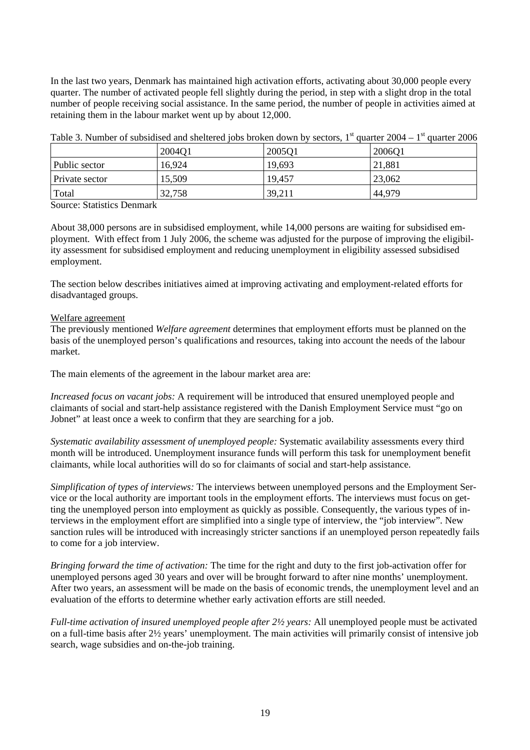In the last two years, Denmark has maintained high activation efforts, activating about 30,000 people every quarter. The number of activated people fell slightly during the period, in step with a slight drop in the total number of people receiving social assistance. In the same period, the number of people in activities aimed at retaining them in the labour market went up by about 12,000.

|                | $\sim$ wore of a serious of decorrection exited directed to a direct except that of | $\sim$ $\sim$ $\sim$ $\sim$ |        |
|----------------|-------------------------------------------------------------------------------------|-----------------------------|--------|
|                | 2004Q1                                                                              | 2005Q1                      | 2006Q1 |
| Public sector  | 16,924                                                                              | 19,693                      | 21,881 |
| Private sector | 15,509                                                                              | 19,457                      | 23,062 |
| Total          | 32,758                                                                              | 39,211                      | 44,979 |

Table 3. Number of subsidised and sheltered iobs broken down by sectors.  $1<sup>st</sup>$  quarter 2004 –  $1<sup>st</sup>$  quarter 2006

Source: Statistics Denmark

About 38,000 persons are in subsidised employment, while 14,000 persons are waiting for subsidised employment. With effect from 1 July 2006, the scheme was adjusted for the purpose of improving the eligibility assessment for subsidised employment and reducing unemployment in eligibility assessed subsidised employment.

The section below describes initiatives aimed at improving activating and employment-related efforts for disadvantaged groups.

#### Welfare agreement

The previously mentioned *Welfare agreement* determines that employment efforts must be planned on the basis of the unemployed person's qualifications and resources, taking into account the needs of the labour market.

The main elements of the agreement in the labour market area are:

*Increased focus on vacant jobs:* A requirement will be introduced that ensured unemployed people and claimants of social and start-help assistance registered with the Danish Employment Service must "go on Jobnet" at least once a week to confirm that they are searching for a job.

*Systematic availability assessment of unemployed people:* Systematic availability assessments every third month will be introduced. Unemployment insurance funds will perform this task for unemployment benefit claimants, while local authorities will do so for claimants of social and start-help assistance.

*Simplification of types of interviews:* The interviews between unemployed persons and the Employment Service or the local authority are important tools in the employment efforts. The interviews must focus on getting the unemployed person into employment as quickly as possible. Consequently, the various types of interviews in the employment effort are simplified into a single type of interview, the "job interview". New sanction rules will be introduced with increasingly stricter sanctions if an unemployed person repeatedly fails to come for a job interview.

*Bringing forward the time of activation:* The time for the right and duty to the first job-activation offer for unemployed persons aged 30 years and over will be brought forward to after nine months' unemployment. After two years, an assessment will be made on the basis of economic trends, the unemployment level and an evaluation of the efforts to determine whether early activation efforts are still needed.

*Full-time activation of insured unemployed people after 2½ years:* All unemployed people must be activated on a full-time basis after 2½ years' unemployment. The main activities will primarily consist of intensive job search, wage subsidies and on-the-job training.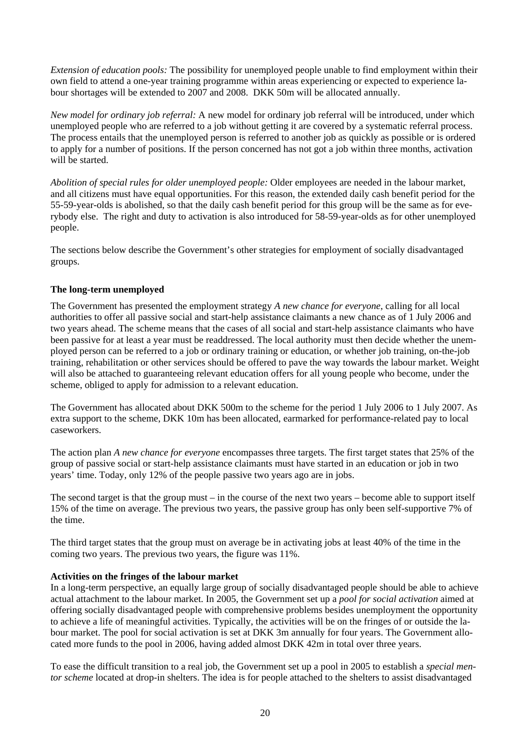*Extension of education pools:* The possibility for unemployed people unable to find employment within their own field to attend a one-year training programme within areas experiencing or expected to experience labour shortages will be extended to 2007 and 2008. DKK 50m will be allocated annually.

*New model for ordinary job referral:* A new model for ordinary job referral will be introduced, under which unemployed people who are referred to a job without getting it are covered by a systematic referral process. The process entails that the unemployed person is referred to another job as quickly as possible or is ordered to apply for a number of positions. If the person concerned has not got a job within three months, activation will be started.

*Abolition of special rules for older unemployed people:* Older employees are needed in the labour market, and all citizens must have equal opportunities. For this reason, the extended daily cash benefit period for the 55-59-year-olds is abolished, so that the daily cash benefit period for this group will be the same as for everybody else. The right and duty to activation is also introduced for 58-59-year-olds as for other unemployed people.

The sections below describe the Government's other strategies for employment of socially disadvantaged groups.

## **The long-term unemployed**

The Government has presented the employment strategy *A new chance for everyone*, calling for all local authorities to offer all passive social and start-help assistance claimants a new chance as of 1 July 2006 and two years ahead. The scheme means that the cases of all social and start-help assistance claimants who have been passive for at least a year must be readdressed. The local authority must then decide whether the unemployed person can be referred to a job or ordinary training or education, or whether job training, on-the-job training, rehabilitation or other services should be offered to pave the way towards the labour market. Weight will also be attached to guaranteeing relevant education offers for all young people who become, under the scheme, obliged to apply for admission to a relevant education.

The Government has allocated about DKK 500m to the scheme for the period 1 July 2006 to 1 July 2007. As extra support to the scheme, DKK 10m has been allocated, earmarked for performance-related pay to local caseworkers.

The action plan *A new chance for everyone* encompasses three targets. The first target states that 25% of the group of passive social or start-help assistance claimants must have started in an education or job in two years' time. Today, only 12% of the people passive two years ago are in jobs.

The second target is that the group must – in the course of the next two years – become able to support itself 15% of the time on average. The previous two years, the passive group has only been self-supportive 7% of the time.

The third target states that the group must on average be in activating jobs at least 40% of the time in the coming two years. The previous two years, the figure was 11%.

#### **Activities on the fringes of the labour market**

In a long-term perspective, an equally large group of socially disadvantaged people should be able to achieve actual attachment to the labour market. In 2005, the Government set up a *pool for social activation* aimed at offering socially disadvantaged people with comprehensive problems besides unemployment the opportunity to achieve a life of meaningful activities. Typically, the activities will be on the fringes of or outside the labour market. The pool for social activation is set at DKK 3m annually for four years. The Government allocated more funds to the pool in 2006, having added almost DKK 42m in total over three years.

To ease the difficult transition to a real job, the Government set up a pool in 2005 to establish a *special mentor scheme* located at drop-in shelters. The idea is for people attached to the shelters to assist disadvantaged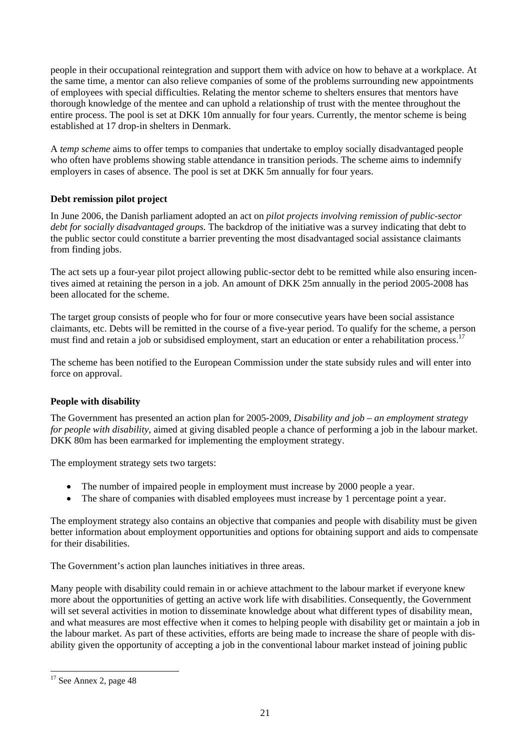people in their occupational reintegration and support them with advice on how to behave at a workplace. At the same time, a mentor can also relieve companies of some of the problems surrounding new appointments of employees with special difficulties. Relating the mentor scheme to shelters ensures that mentors have thorough knowledge of the mentee and can uphold a relationship of trust with the mentee throughout the entire process. The pool is set at DKK 10m annually for four years. Currently, the mentor scheme is being established at 17 drop-in shelters in Denmark.

A *temp scheme* aims to offer temps to companies that undertake to employ socially disadvantaged people who often have problems showing stable attendance in transition periods. The scheme aims to indemnify employers in cases of absence. The pool is set at DKK 5m annually for four years.

# **Debt remission pilot project**

In June 2006, the Danish parliament adopted an act on *pilot projects involving remission of public-sector debt for socially disadvantaged groups.* The backdrop of the initiative was a survey indicating that debt to the public sector could constitute a barrier preventing the most disadvantaged social assistance claimants from finding jobs.

The act sets up a four-year pilot project allowing public-sector debt to be remitted while also ensuring incentives aimed at retaining the person in a job. An amount of DKK 25m annually in the period 2005-2008 has been allocated for the scheme.

The target group consists of people who for four or more consecutive years have been social assistance claimants, etc. Debts will be remitted in the course of a five-year period. To qualify for the scheme, a person must find and retain a job or subsidised employment, start an education or enter a rehabilitation process.<sup>17</sup>

The scheme has been notified to the European Commission under the state subsidy rules and will enter into force on approval.

# **People with disability**

The Government has presented an action plan for 2005-2009, *Disability and job – an employment strategy for people with disability*, aimed at giving disabled people a chance of performing a job in the labour market. DKK 80m has been earmarked for implementing the employment strategy.

The employment strategy sets two targets:

- The number of impaired people in employment must increase by 2000 people a year.
- The share of companies with disabled employees must increase by 1 percentage point a year.

The employment strategy also contains an objective that companies and people with disability must be given better information about employment opportunities and options for obtaining support and aids to compensate for their disabilities.

The Government's action plan launches initiatives in three areas.

Many people with disability could remain in or achieve attachment to the labour market if everyone knew more about the opportunities of getting an active work life with disabilities. Consequently, the Government will set several activities in motion to disseminate knowledge about what different types of disability mean, and what measures are most effective when it comes to helping people with disability get or maintain a job in the labour market. As part of these activities, efforts are being made to increase the share of people with disability given the opportunity of accepting a job in the conventional labour market instead of joining public

l

 $17$  See Annex 2, page 48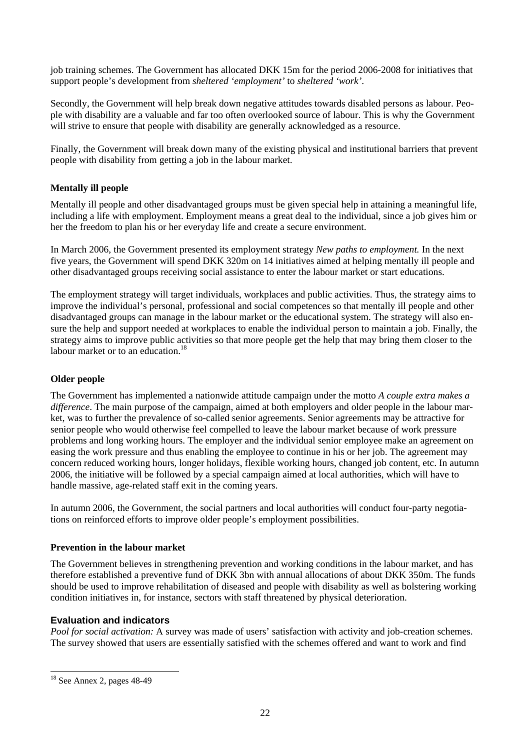job training schemes. The Government has allocated DKK 15m for the period 2006-2008 for initiatives that support people's development from *sheltered 'employment'* to *sheltered 'work'*.

Secondly, the Government will help break down negative attitudes towards disabled persons as labour. People with disability are a valuable and far too often overlooked source of labour. This is why the Government will strive to ensure that people with disability are generally acknowledged as a resource.

Finally, the Government will break down many of the existing physical and institutional barriers that prevent people with disability from getting a job in the labour market.

# **Mentally ill people**

Mentally ill people and other disadvantaged groups must be given special help in attaining a meaningful life, including a life with employment. Employment means a great deal to the individual, since a job gives him or her the freedom to plan his or her everyday life and create a secure environment.

In March 2006, the Government presented its employment strategy *New paths to employment.* In the next five years, the Government will spend DKK 320m on 14 initiatives aimed at helping mentally ill people and other disadvantaged groups receiving social assistance to enter the labour market or start educations.

The employment strategy will target individuals, workplaces and public activities. Thus, the strategy aims to improve the individual's personal, professional and social competences so that mentally ill people and other disadvantaged groups can manage in the labour market or the educational system. The strategy will also ensure the help and support needed at workplaces to enable the individual person to maintain a job. Finally, the strategy aims to improve public activities so that more people get the help that may bring them closer to the labour market or to an education.<sup>18</sup>

# **Older people**

The Government has implemented a nationwide attitude campaign under the motto *A couple extra makes a difference*. The main purpose of the campaign, aimed at both employers and older people in the labour market, was to further the prevalence of so-called senior agreements. Senior agreements may be attractive for senior people who would otherwise feel compelled to leave the labour market because of work pressure problems and long working hours. The employer and the individual senior employee make an agreement on easing the work pressure and thus enabling the employee to continue in his or her job. The agreement may concern reduced working hours, longer holidays, flexible working hours, changed job content, etc. In autumn 2006, the initiative will be followed by a special campaign aimed at local authorities, which will have to handle massive, age-related staff exit in the coming years.

In autumn 2006, the Government, the social partners and local authorities will conduct four-party negotiations on reinforced efforts to improve older people's employment possibilities.

# **Prevention in the labour market**

The Government believes in strengthening prevention and working conditions in the labour market, and has therefore established a preventive fund of DKK 3bn with annual allocations of about DKK 350m. The funds should be used to improve rehabilitation of diseased and people with disability as well as bolstering working condition initiatives in, for instance, sectors with staff threatened by physical deterioration.

# **Evaluation and indicators**

*Pool for social activation:* A survey was made of users' satisfaction with activity and job-creation schemes. The survey showed that users are essentially satisfied with the schemes offered and want to work and find

l

 $18$  See Annex 2, pages 48-49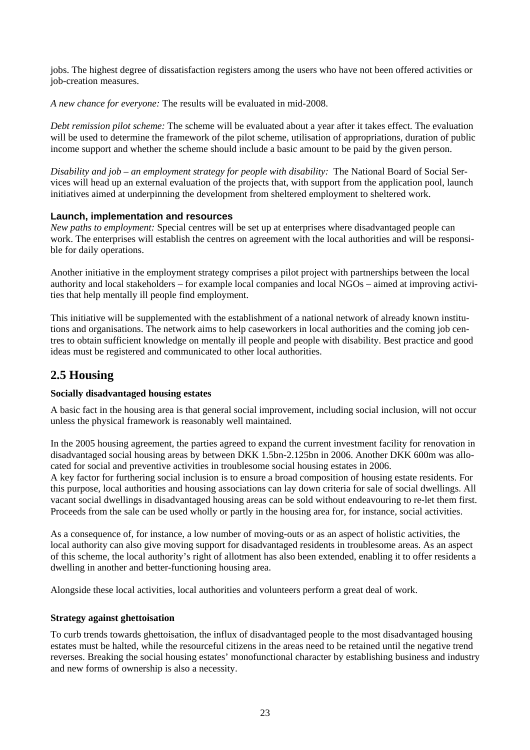jobs. The highest degree of dissatisfaction registers among the users who have not been offered activities or job-creation measures.

*A new chance for everyone:* The results will be evaluated in mid-2008.

*Debt remission pilot scheme:* The scheme will be evaluated about a year after it takes effect. The evaluation will be used to determine the framework of the pilot scheme, utilisation of appropriations, duration of public income support and whether the scheme should include a basic amount to be paid by the given person.

*Disability and job – an employment strategy for people with disability:* The National Board of Social Services will head up an external evaluation of the projects that, with support from the application pool, launch initiatives aimed at underpinning the development from sheltered employment to sheltered work.

## **Launch, implementation and resources**

*New paths to employment:* Special centres will be set up at enterprises where disadvantaged people can work. The enterprises will establish the centres on agreement with the local authorities and will be responsible for daily operations.

Another initiative in the employment strategy comprises a pilot project with partnerships between the local authority and local stakeholders – for example local companies and local NGOs – aimed at improving activities that help mentally ill people find employment.

This initiative will be supplemented with the establishment of a national network of already known institutions and organisations. The network aims to help caseworkers in local authorities and the coming job centres to obtain sufficient knowledge on mentally ill people and people with disability. Best practice and good ideas must be registered and communicated to other local authorities.

# **2.5 Housing**

# **Socially disadvantaged housing estates**

A basic fact in the housing area is that general social improvement, including social inclusion, will not occur unless the physical framework is reasonably well maintained.

In the 2005 housing agreement, the parties agreed to expand the current investment facility for renovation in disadvantaged social housing areas by between DKK 1.5bn-2.125bn in 2006. Another DKK 600m was allocated for social and preventive activities in troublesome social housing estates in 2006.

A key factor for furthering social inclusion is to ensure a broad composition of housing estate residents. For this purpose, local authorities and housing associations can lay down criteria for sale of social dwellings. All vacant social dwellings in disadvantaged housing areas can be sold without endeavouring to re-let them first. Proceeds from the sale can be used wholly or partly in the housing area for, for instance, social activities.

As a consequence of, for instance, a low number of moving-outs or as an aspect of holistic activities, the local authority can also give moving support for disadvantaged residents in troublesome areas. As an aspect of this scheme, the local authority's right of allotment has also been extended, enabling it to offer residents a dwelling in another and better-functioning housing area.

Alongside these local activities, local authorities and volunteers perform a great deal of work.

# **Strategy against ghettoisation**

To curb trends towards ghettoisation, the influx of disadvantaged people to the most disadvantaged housing estates must be halted, while the resourceful citizens in the areas need to be retained until the negative trend reverses. Breaking the social housing estates' monofunctional character by establishing business and industry and new forms of ownership is also a necessity.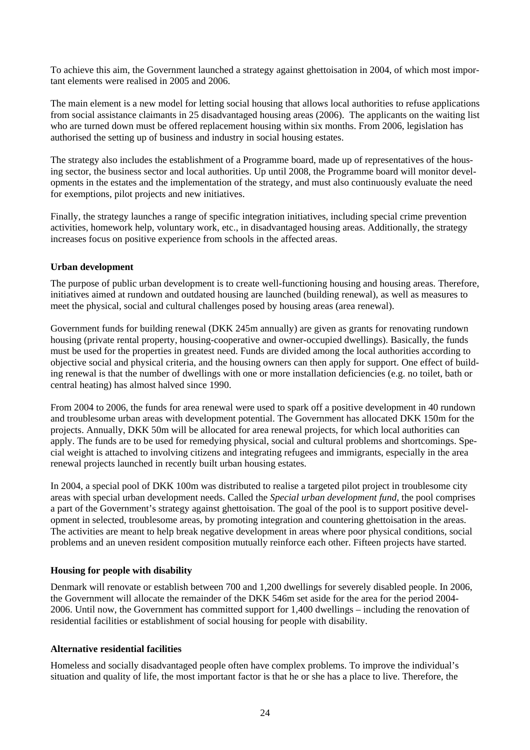To achieve this aim, the Government launched a strategy against ghettoisation in 2004, of which most important elements were realised in 2005 and 2006.

The main element is a new model for letting social housing that allows local authorities to refuse applications from social assistance claimants in 25 disadvantaged housing areas (2006). The applicants on the waiting list who are turned down must be offered replacement housing within six months. From 2006, legislation has authorised the setting up of business and industry in social housing estates.

The strategy also includes the establishment of a Programme board, made up of representatives of the housing sector, the business sector and local authorities. Up until 2008, the Programme board will monitor developments in the estates and the implementation of the strategy, and must also continuously evaluate the need for exemptions, pilot projects and new initiatives.

Finally, the strategy launches a range of specific integration initiatives, including special crime prevention activities, homework help, voluntary work, etc., in disadvantaged housing areas. Additionally, the strategy increases focus on positive experience from schools in the affected areas.

## **Urban development**

The purpose of public urban development is to create well-functioning housing and housing areas. Therefore, initiatives aimed at rundown and outdated housing are launched (building renewal), as well as measures to meet the physical, social and cultural challenges posed by housing areas (area renewal).

Government funds for building renewal (DKK 245m annually) are given as grants for renovating rundown housing (private rental property, housing-cooperative and owner-occupied dwellings). Basically, the funds must be used for the properties in greatest need. Funds are divided among the local authorities according to objective social and physical criteria, and the housing owners can then apply for support. One effect of building renewal is that the number of dwellings with one or more installation deficiencies (e.g. no toilet, bath or central heating) has almost halved since 1990.

From 2004 to 2006, the funds for area renewal were used to spark off a positive development in 40 rundown and troublesome urban areas with development potential. The Government has allocated DKK 150m for the projects. Annually, DKK 50m will be allocated for area renewal projects, for which local authorities can apply. The funds are to be used for remedying physical, social and cultural problems and shortcomings. Special weight is attached to involving citizens and integrating refugees and immigrants, especially in the area renewal projects launched in recently built urban housing estates.

In 2004, a special pool of DKK 100m was distributed to realise a targeted pilot project in troublesome city areas with special urban development needs. Called the *Special urban development fund*, the pool comprises a part of the Government's strategy against ghettoisation. The goal of the pool is to support positive development in selected, troublesome areas, by promoting integration and countering ghettoisation in the areas. The activities are meant to help break negative development in areas where poor physical conditions, social problems and an uneven resident composition mutually reinforce each other. Fifteen projects have started.

# **Housing for people with disability**

Denmark will renovate or establish between 700 and 1,200 dwellings for severely disabled people. In 2006, the Government will allocate the remainder of the DKK 546m set aside for the area for the period 2004- 2006. Until now, the Government has committed support for 1,400 dwellings – including the renovation of residential facilities or establishment of social housing for people with disability.

#### **Alternative residential facilities**

Homeless and socially disadvantaged people often have complex problems. To improve the individual's situation and quality of life, the most important factor is that he or she has a place to live. Therefore, the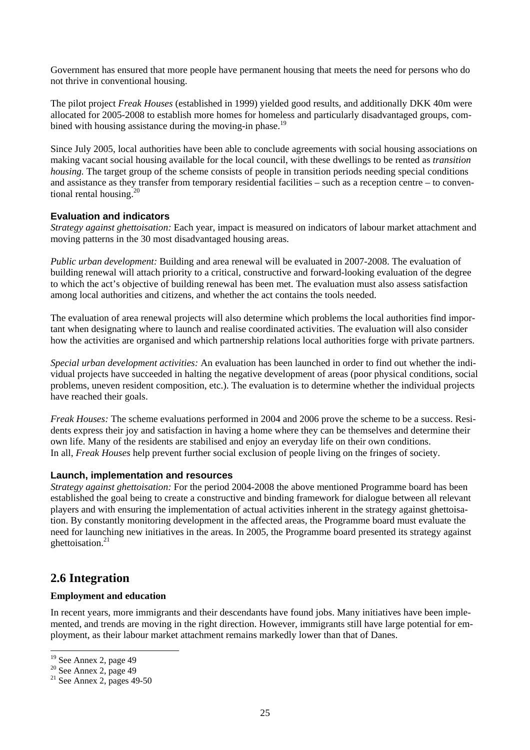Government has ensured that more people have permanent housing that meets the need for persons who do not thrive in conventional housing.

The pilot project *Freak Houses* (established in 1999) yielded good results, and additionally DKK 40m were allocated for 2005-2008 to establish more homes for homeless and particularly disadvantaged groups, combined with housing assistance during the moving-in phase.<sup>19</sup>

Since July 2005, local authorities have been able to conclude agreements with social housing associations on making vacant social housing available for the local council, with these dwellings to be rented as *transition housing*. The target group of the scheme consists of people in transition periods needing special conditions and assistance as they transfer from temporary residential facilities – such as a reception centre – to conventional rental housing. $^{20}$ 

## **Evaluation and indicators**

*Strategy against ghettoisation:* Each year, impact is measured on indicators of labour market attachment and moving patterns in the 30 most disadvantaged housing areas.

*Public urban development:* Building and area renewal will be evaluated in 2007-2008. The evaluation of building renewal will attach priority to a critical, constructive and forward-looking evaluation of the degree to which the act's objective of building renewal has been met. The evaluation must also assess satisfaction among local authorities and citizens, and whether the act contains the tools needed.

The evaluation of area renewal projects will also determine which problems the local authorities find important when designating where to launch and realise coordinated activities. The evaluation will also consider how the activities are organised and which partnership relations local authorities forge with private partners.

*Special urban development activities:* An evaluation has been launched in order to find out whether the individual projects have succeeded in halting the negative development of areas (poor physical conditions, social problems, uneven resident composition, etc.). The evaluation is to determine whether the individual projects have reached their goals.

*Freak Houses:* The scheme evaluations performed in 2004 and 2006 prove the scheme to be a success. Residents express their joy and satisfaction in having a home where they can be themselves and determine their own life. Many of the residents are stabilised and enjoy an everyday life on their own conditions. In all, *Freak Houses* help prevent further social exclusion of people living on the fringes of society.

#### **Launch, implementation and resources**

*Strategy against ghettoisation:* For the period 2004-2008 the above mentioned Programme board has been established the goal being to create a constructive and binding framework for dialogue between all relevant players and with ensuring the implementation of actual activities inherent in the strategy against ghettoisation. By constantly monitoring development in the affected areas, the Programme board must evaluate the need for launching new initiatives in the areas. In 2005, the Programme board presented its strategy against ghettoisation. $21$ 

# **2.6 Integration**

#### **Employment and education**

In recent years, more immigrants and their descendants have found jobs. Many initiatives have been implemented, and trends are moving in the right direction. However, immigrants still have large potential for employment, as their labour market attachment remains markedly lower than that of Danes.

 $\overline{a}$ 

 $19$  See Annex 2, page 49

 $20$  See Annex 2, page 49

 $21$  See Annex 2, pages 49-50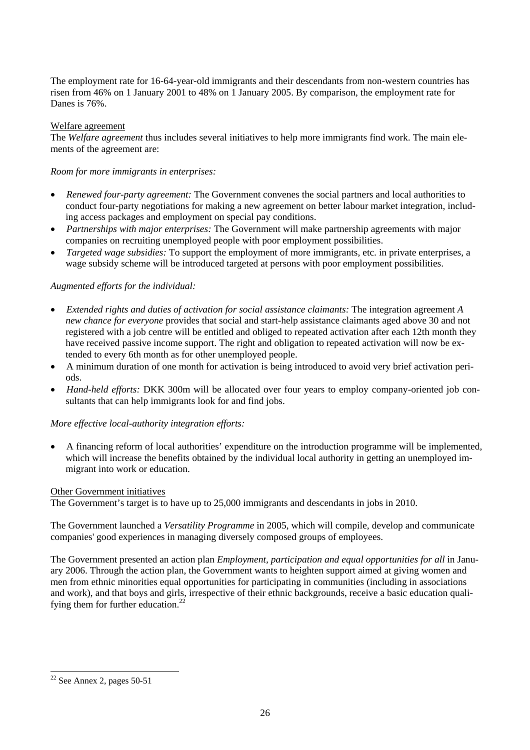The employment rate for 16-64-year-old immigrants and their descendants from non-western countries has risen from 46% on 1 January 2001 to 48% on 1 January 2005. By comparison, the employment rate for Danes is 76%.

## Welfare agreement

The *Welfare agreement* thus includes several initiatives to help more immigrants find work. The main elements of the agreement are:

*Room for more immigrants in enterprises:* 

- *Renewed four-party agreement:* The Government convenes the social partners and local authorities to conduct four-party negotiations for making a new agreement on better labour market integration, including access packages and employment on special pay conditions.
- *Partnerships with major enterprises:* The Government will make partnership agreements with major companies on recruiting unemployed people with poor employment possibilities.
- *Targeted wage subsidies:* To support the employment of more immigrants, etc. in private enterprises, a wage subsidy scheme will be introduced targeted at persons with poor employment possibilities.

## *Augmented efforts for the individual:*

- *Extended rights and duties of activation for social assistance claimants:* The integration agreement *A new chance for everyone* provides that social and start-help assistance claimants aged above 30 and not registered with a job centre will be entitled and obliged to repeated activation after each 12th month they have received passive income support. The right and obligation to repeated activation will now be extended to every 6th month as for other unemployed people.
- A minimum duration of one month for activation is being introduced to avoid very brief activation periods.
- *Hand-held efforts:* DKK 300m will be allocated over four years to employ company-oriented job consultants that can help immigrants look for and find jobs.

#### *More effective local-authority integration efforts:*

• A financing reform of local authorities' expenditure on the introduction programme will be implemented, which will increase the benefits obtained by the individual local authority in getting an unemployed immigrant into work or education.

#### Other Government initiatives

The Government's target is to have up to 25,000 immigrants and descendants in jobs in 2010.

The Government launched a *Versatility Programme* in 2005, which will compile, develop and communicate companies' good experiences in managing diversely composed groups of employees.

The Government presented an action plan *Employment, participation and equal opportunities for all* in January 2006. Through the action plan, the Government wants to heighten support aimed at giving women and men from ethnic minorities equal opportunities for participating in communities (including in associations and work), and that boys and girls, irrespective of their ethnic backgrounds, receive a basic education qualifying them for further education.<sup>22</sup>

l

 $22$  See Annex 2, pages 50-51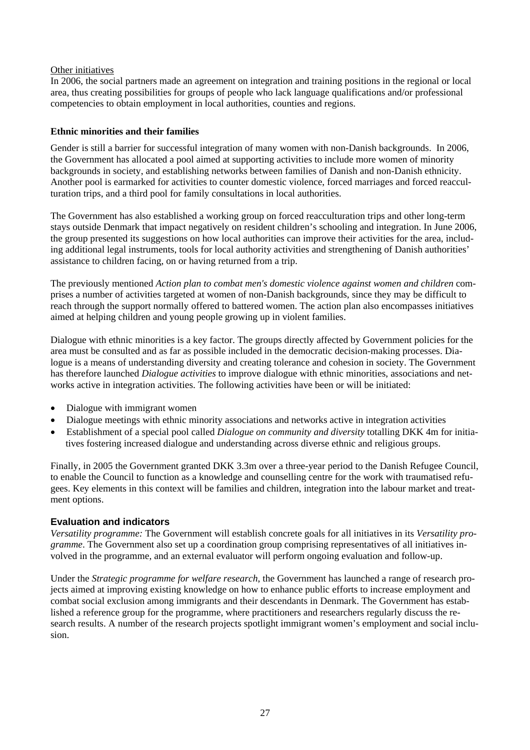#### Other initiatives

In 2006, the social partners made an agreement on integration and training positions in the regional or local area, thus creating possibilities for groups of people who lack language qualifications and/or professional competencies to obtain employment in local authorities, counties and regions.

## **Ethnic minorities and their families**

Gender is still a barrier for successful integration of many women with non-Danish backgrounds. In 2006, the Government has allocated a pool aimed at supporting activities to include more women of minority backgrounds in society, and establishing networks between families of Danish and non-Danish ethnicity. Another pool is earmarked for activities to counter domestic violence, forced marriages and forced reacculturation trips, and a third pool for family consultations in local authorities.

The Government has also established a working group on forced reacculturation trips and other long-term stays outside Denmark that impact negatively on resident children's schooling and integration. In June 2006, the group presented its suggestions on how local authorities can improve their activities for the area, including additional legal instruments, tools for local authority activities and strengthening of Danish authorities' assistance to children facing, on or having returned from a trip.

The previously mentioned *Action plan to combat men's domestic violence against women and children* comprises a number of activities targeted at women of non-Danish backgrounds, since they may be difficult to reach through the support normally offered to battered women. The action plan also encompasses initiatives aimed at helping children and young people growing up in violent families.

Dialogue with ethnic minorities is a key factor. The groups directly affected by Government policies for the area must be consulted and as far as possible included in the democratic decision-making processes. Dialogue is a means of understanding diversity and creating tolerance and cohesion in society. The Government has therefore launched *Dialogue activities* to improve dialogue with ethnic minorities, associations and networks active in integration activities. The following activities have been or will be initiated:

- Dialogue with immigrant women
- Dialogue meetings with ethnic minority associations and networks active in integration activities
- Establishment of a special pool called *Dialogue on community and diversity* totalling DKK 4m for initiatives fostering increased dialogue and understanding across diverse ethnic and religious groups.

Finally, in 2005 the Government granted DKK 3.3m over a three-year period to the Danish Refugee Council, to enable the Council to function as a knowledge and counselling centre for the work with traumatised refugees. Key elements in this context will be families and children, integration into the labour market and treatment options.

# **Evaluation and indicators**

*Versatility programme:* The Government will establish concrete goals for all initiatives in its *Versatility programme*. The Government also set up a coordination group comprising representatives of all initiatives involved in the programme, and an external evaluator will perform ongoing evaluation and follow-up.

Under the *Strategic programme for welfare research*, the Government has launched a range of research projects aimed at improving existing knowledge on how to enhance public efforts to increase employment and combat social exclusion among immigrants and their descendants in Denmark. The Government has established a reference group for the programme, where practitioners and researchers regularly discuss the research results. A number of the research projects spotlight immigrant women's employment and social inclusion.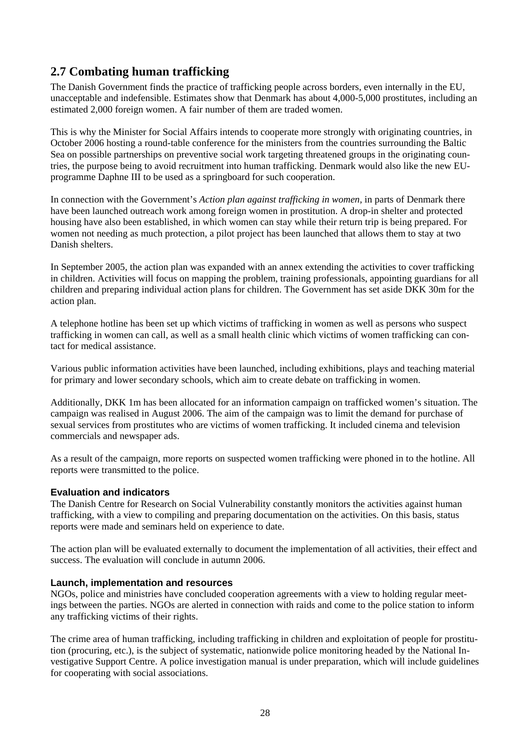# **2.7 Combating human trafficking**

The Danish Government finds the practice of trafficking people across borders, even internally in the EU, unacceptable and indefensible. Estimates show that Denmark has about 4,000-5,000 prostitutes, including an estimated 2,000 foreign women. A fair number of them are traded women.

This is why the Minister for Social Affairs intends to cooperate more strongly with originating countries, in October 2006 hosting a round-table conference for the ministers from the countries surrounding the Baltic Sea on possible partnerships on preventive social work targeting threatened groups in the originating countries, the purpose being to avoid recruitment into human trafficking. Denmark would also like the new EUprogramme Daphne III to be used as a springboard for such cooperation.

In connection with the Government's *Action plan against trafficking in women,* in parts of Denmark there have been launched outreach work among foreign women in prostitution. A drop-in shelter and protected housing have also been established, in which women can stay while their return trip is being prepared. For women not needing as much protection, a pilot project has been launched that allows them to stay at two Danish shelters.

In September 2005, the action plan was expanded with an annex extending the activities to cover trafficking in children. Activities will focus on mapping the problem, training professionals, appointing guardians for all children and preparing individual action plans for children. The Government has set aside DKK 30m for the action plan.

A telephone hotline has been set up which victims of trafficking in women as well as persons who suspect trafficking in women can call, as well as a small health clinic which victims of women trafficking can contact for medical assistance.

Various public information activities have been launched, including exhibitions, plays and teaching material for primary and lower secondary schools, which aim to create debate on trafficking in women.

Additionally, DKK 1m has been allocated for an information campaign on trafficked women's situation. The campaign was realised in August 2006. The aim of the campaign was to limit the demand for purchase of sexual services from prostitutes who are victims of women trafficking. It included cinema and television commercials and newspaper ads.

As a result of the campaign, more reports on suspected women trafficking were phoned in to the hotline. All reports were transmitted to the police.

# **Evaluation and indicators**

The Danish Centre for Research on Social Vulnerability constantly monitors the activities against human trafficking, with a view to compiling and preparing documentation on the activities. On this basis, status reports were made and seminars held on experience to date.

The action plan will be evaluated externally to document the implementation of all activities, their effect and success. The evaluation will conclude in autumn 2006.

# **Launch, implementation and resources**

NGOs, police and ministries have concluded cooperation agreements with a view to holding regular meetings between the parties. NGOs are alerted in connection with raids and come to the police station to inform any trafficking victims of their rights.

The crime area of human trafficking, including trafficking in children and exploitation of people for prostitution (procuring, etc.), is the subject of systematic, nationwide police monitoring headed by the National Investigative Support Centre. A police investigation manual is under preparation, which will include guidelines for cooperating with social associations.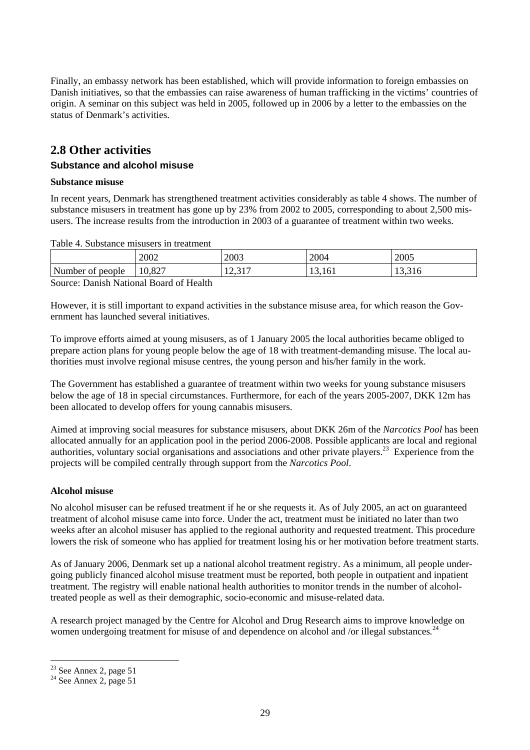Finally, an embassy network has been established, which will provide information to foreign embassies on Danish initiatives, so that the embassies can raise awareness of human trafficking in the victims' countries of origin. A seminar on this subject was held in 2005, followed up in 2006 by a letter to the embassies on the status of Denmark's activities.

# **2.8 Other activities**

# **Substance and alcohol misuse**

## **Substance misuse**

In recent years, Denmark has strengthened treatment activities considerably as table 4 shows. The number of substance misusers in treatment has gone up by 23% from 2002 to 2005, corresponding to about 2,500 misusers. The increase results from the introduction in 2003 of a guarantee of treatment within two weeks.

Table 4. Substance misusers in treatment

|                        | 2002                      | 2003                                | 2004                                      | 2005   |
|------------------------|---------------------------|-------------------------------------|-------------------------------------------|--------|
| Number<br>people<br>ΟĪ | 0.27<br>10,824            | $\sim$ 1 $\sim$<br>$\sim$<br>12, 31 | $\overline{\phantom{a}}$<br>. r<br>17.IVI | 19.910 |
| $\sim$<br>.<br>$\sim$  | $\sim -$<br>$\sim$<br>. . |                                     |                                           |        |

Source: Danish National Board of Health

However, it is still important to expand activities in the substance misuse area, for which reason the Government has launched several initiatives.

To improve efforts aimed at young misusers, as of 1 January 2005 the local authorities became obliged to prepare action plans for young people below the age of 18 with treatment-demanding misuse. The local authorities must involve regional misuse centres, the young person and his/her family in the work.

The Government has established a guarantee of treatment within two weeks for young substance misusers below the age of 18 in special circumstances. Furthermore, for each of the years 2005-2007, DKK 12m has been allocated to develop offers for young cannabis misusers.

Aimed at improving social measures for substance misusers, about DKK 26m of the *Narcotics Pool* has been allocated annually for an application pool in the period 2006-2008. Possible applicants are local and regional authorities, voluntary social organisations and associations and other private players.<sup>23</sup> Experience from the projects will be compiled centrally through support from the *Narcotics Pool*.

# **Alcohol misuse**

No alcohol misuser can be refused treatment if he or she requests it. As of July 2005, an act on guaranteed treatment of alcohol misuse came into force. Under the act, treatment must be initiated no later than two weeks after an alcohol misuser has applied to the regional authority and requested treatment. This procedure lowers the risk of someone who has applied for treatment losing his or her motivation before treatment starts.

As of January 2006, Denmark set up a national alcohol treatment registry. As a minimum, all people undergoing publicly financed alcohol misuse treatment must be reported, both people in outpatient and inpatient treatment. The registry will enable national health authorities to monitor trends in the number of alcoholtreated people as well as their demographic, socio-economic and misuse-related data.

A research project managed by the Centre for Alcohol and Drug Research aims to improve knowledge on women undergoing treatment for misuse of and dependence on alcohol and /or illegal substances.<sup>24</sup>

l

 $2<sup>23</sup>$  See Annex 2, page 51

 $24$  See Annex 2, page 51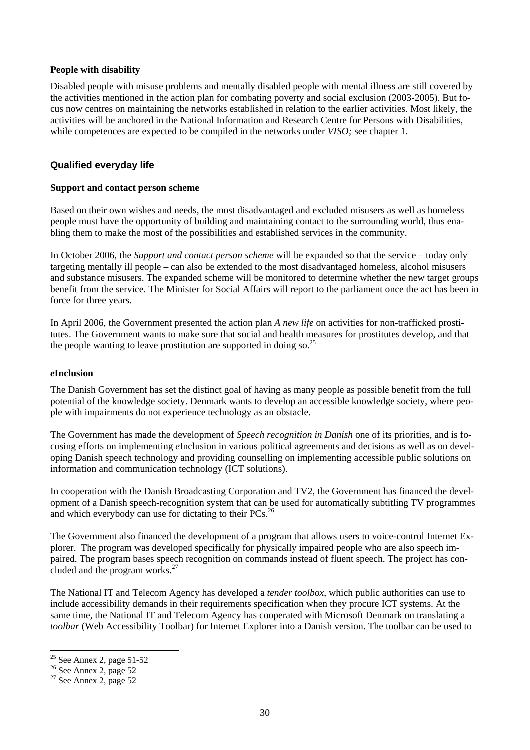#### **People with disability**

Disabled people with misuse problems and mentally disabled people with mental illness are still covered by the activities mentioned in the action plan for combating poverty and social exclusion (2003-2005). But focus now centres on maintaining the networks established in relation to the earlier activities. Most likely, the activities will be anchored in the National Information and Research Centre for Persons with Disabilities, while competences are expected to be compiled in the networks under *VISO;* see chapter 1.

## **Qualified everyday life**

#### **Support and contact person scheme**

Based on their own wishes and needs, the most disadvantaged and excluded misusers as well as homeless people must have the opportunity of building and maintaining contact to the surrounding world, thus enabling them to make the most of the possibilities and established services in the community.

In October 2006, the *Support and contact person scheme* will be expanded so that the service – today only targeting mentally ill people – can also be extended to the most disadvantaged homeless, alcohol misusers and substance misusers. The expanded scheme will be monitored to determine whether the new target groups benefit from the service. The Minister for Social Affairs will report to the parliament once the act has been in force for three years.

In April 2006, the Government presented the action plan *A new life* on activities for non-trafficked prostitutes. The Government wants to make sure that social and health measures for prostitutes develop, and that the people wanting to leave prostitution are supported in doing so.<sup>25</sup>

#### *e***Inclusion**

The Danish Government has set the distinct goal of having as many people as possible benefit from the full potential of the knowledge society. Denmark wants to develop an accessible knowledge society, where people with impairments do not experience technology as an obstacle.

The Government has made the development of *Speech recognition in Danish* one of its priorities, and is focusing efforts on implementing *e*Inclusion in various political agreements and decisions as well as on developing Danish speech technology and providing counselling on implementing accessible public solutions on information and communication technology (ICT solutions).

In cooperation with the Danish Broadcasting Corporation and TV2, the Government has financed the development of a Danish speech-recognition system that can be used for automatically subtitling TV programmes and which everybody can use for dictating to their PCs.<sup>26</sup>

The Government also financed the development of a program that allows users to voice-control Internet Explorer. The program was developed specifically for physically impaired people who are also speech impaired. The program bases speech recognition on commands instead of fluent speech. The project has concluded and the program works.<sup>27</sup>

The National IT and Telecom Agency has developed a *tender toolbox*, which public authorities can use to include accessibility demands in their requirements specification when they procure ICT systems. At the same time, the National IT and Telecom Agency has cooperated with Microsoft Denmark on translating a *toolbar* (Web Accessibility Toolbar) for Internet Explorer into a Danish version. The toolbar can be used to

 $\overline{a}$  $25$  See Annex 2, page 51-52

 $26$  See Annex 2, page 52

 $27$  See Annex 2, page 52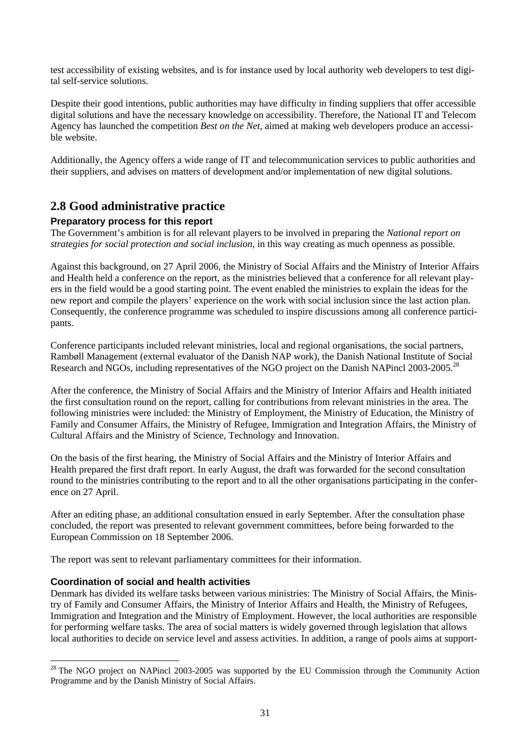test accessibility of existing websites, and is for instance used by local authority web developers to test digital self-service solutions.

Despite their good intentions, public authorities may have difficulty in finding suppliers that offer accessible digital solutions and have the necessary knowledge on accessibility. Therefore, the National IT and Telecom Agency has launched the competition *Best on the Net*, aimed at making web developers produce an accessible website.

Additionally, the Agency offers a wide range of IT and telecommunication services to public authorities and their suppliers, and advises on matters of development and/or implementation of new digital solutions.

# **2.8 Good administrative practice**

# **Preparatory process for this report**

The Government's ambition is for all relevant players to be involved in preparing the *National report on strategies for social protection and social inclusion*, in this way creating as much openness as possible.

Against this background, on 27 April 2006, the Ministry of Social Affairs and the Ministry of Interior Affairs and Health held a conference on the report, as the ministries believed that a conference for all relevant players in the field would be a good starting point. The event enabled the ministries to explain the ideas for the new report and compile the players' experience on the work with social inclusion since the last action plan. Consequently, the conference programme was scheduled to inspire discussions among all conference participants.

Conference participants included relevant ministries, local and regional organisations, the social partners, Rambøll Management (external evaluator of the Danish NAP work), the Danish National Institute of Social Research and NGOs, including representatives of the NGO project on the Danish NAPincl 2003-2005.<sup>28</sup>

After the conference, the Ministry of Social Affairs and the Ministry of Interior Affairs and Health initiated the first consultation round on the report, calling for contributions from relevant ministries in the area. The following ministries were included: the Ministry of Employment, the Ministry of Education, the Ministry of Family and Consumer Affairs, the Ministry of Refugee, Immigration and Integration Affairs, the Ministry of Cultural Affairs and the Ministry of Science, Technology and Innovation.

On the basis of the first hearing, the Ministry of Social Affairs and the Ministry of Interior Affairs and Health prepared the first draft report. In early August, the draft was forwarded for the second consultation round to the ministries contributing to the report and to all the other organisations participating in the conference on 27 April.

After an editing phase, an additional consultation ensued in early September. After the consultation phase concluded, the report was presented to relevant government committees, before being forwarded to the European Commission on 18 September 2006.

The report was sent to relevant parliamentary committees for their information.

# **Coordination of social and health activities**

l

Denmark has divided its welfare tasks between various ministries: The Ministry of Social Affairs, the Ministry of Family and Consumer Affairs, the Ministry of Interior Affairs and Health, the Ministry of Refugees, Immigration and Integration and the Ministry of Employment. However, the local authorities are responsible for performing welfare tasks. The area of social matters is widely governed through legislation that allows local authorities to decide on service level and assess activities. In addition, a range of pools aims at support-

 $^{28}$  The NGO project on NAPincl 2003-2005 was supported by the EU Commission through the Community Action Programme and by the Danish Ministry of Social Affairs.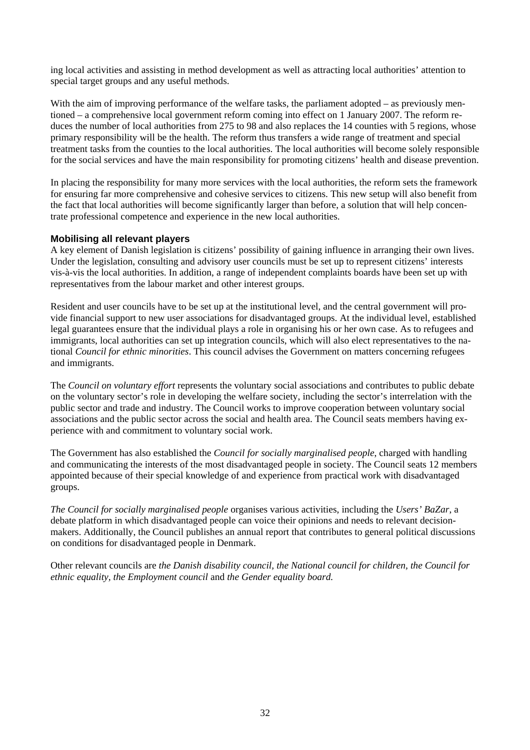ing local activities and assisting in method development as well as attracting local authorities' attention to special target groups and any useful methods.

With the aim of improving performance of the welfare tasks, the parliament adopted – as previously mentioned – a comprehensive local government reform coming into effect on 1 January 2007. The reform reduces the number of local authorities from 275 to 98 and also replaces the 14 counties with 5 regions, whose primary responsibility will be the health. The reform thus transfers a wide range of treatment and special treatment tasks from the counties to the local authorities. The local authorities will become solely responsible for the social services and have the main responsibility for promoting citizens' health and disease prevention.

In placing the responsibility for many more services with the local authorities, the reform sets the framework for ensuring far more comprehensive and cohesive services to citizens. This new setup will also benefit from the fact that local authorities will become significantly larger than before, a solution that will help concentrate professional competence and experience in the new local authorities.

## **Mobilising all relevant players**

A key element of Danish legislation is citizens' possibility of gaining influence in arranging their own lives. Under the legislation, consulting and advisory user councils must be set up to represent citizens' interests vis-à-vis the local authorities. In addition, a range of independent complaints boards have been set up with representatives from the labour market and other interest groups.

Resident and user councils have to be set up at the institutional level, and the central government will provide financial support to new user associations for disadvantaged groups. At the individual level, established legal guarantees ensure that the individual plays a role in organising his or her own case. As to refugees and immigrants, local authorities can set up integration councils, which will also elect representatives to the national *Council for ethnic minorities*. This council advises the Government on matters concerning refugees and immigrants.

The *Council on voluntary effort* represents the voluntary social associations and contributes to public debate on the voluntary sector's role in developing the welfare society, including the sector's interrelation with the public sector and trade and industry. The Council works to improve cooperation between voluntary social associations and the public sector across the social and health area. The Council seats members having experience with and commitment to voluntary social work.

The Government has also established the *Council for socially marginalised people*, charged with handling and communicating the interests of the most disadvantaged people in society. The Council seats 12 members appointed because of their special knowledge of and experience from practical work with disadvantaged groups.

*The Council for socially marginalised people* organises various activities, including the *Users' BaZar*, a debate platform in which disadvantaged people can voice their opinions and needs to relevant decisionmakers. Additionally, the Council publishes an annual report that contributes to general political discussions on conditions for disadvantaged people in Denmark.

Other relevant councils are *the Danish disability council, the National council for children, the Council for ethnic equality, the Employment council* and *the Gender equality board.*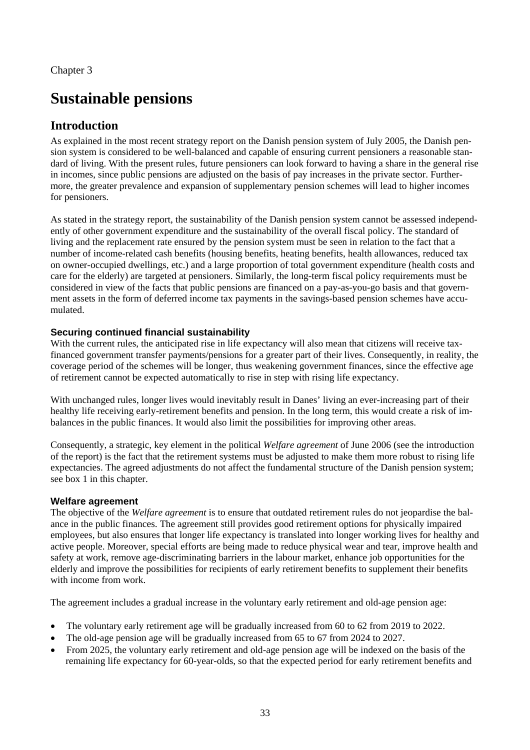# **Sustainable pensions**

# **Introduction**

As explained in the most recent strategy report on the Danish pension system of July 2005, the Danish pension system is considered to be well-balanced and capable of ensuring current pensioners a reasonable standard of living. With the present rules, future pensioners can look forward to having a share in the general rise in incomes, since public pensions are adjusted on the basis of pay increases in the private sector. Furthermore, the greater prevalence and expansion of supplementary pension schemes will lead to higher incomes for pensioners.

As stated in the strategy report, the sustainability of the Danish pension system cannot be assessed independently of other government expenditure and the sustainability of the overall fiscal policy. The standard of living and the replacement rate ensured by the pension system must be seen in relation to the fact that a number of income-related cash benefits (housing benefits, heating benefits, health allowances, reduced tax on owner-occupied dwellings, etc.) and a large proportion of total government expenditure (health costs and care for the elderly) are targeted at pensioners. Similarly, the long-term fiscal policy requirements must be considered in view of the facts that public pensions are financed on a pay-as-you-go basis and that government assets in the form of deferred income tax payments in the savings-based pension schemes have accumulated.

# **Securing continued financial sustainability**

With the current rules, the anticipated rise in life expectancy will also mean that citizens will receive taxfinanced government transfer payments/pensions for a greater part of their lives. Consequently, in reality, the coverage period of the schemes will be longer, thus weakening government finances, since the effective age of retirement cannot be expected automatically to rise in step with rising life expectancy.

With unchanged rules, longer lives would inevitably result in Danes' living an ever-increasing part of their healthy life receiving early-retirement benefits and pension. In the long term, this would create a risk of imbalances in the public finances. It would also limit the possibilities for improving other areas.

Consequently, a strategic, key element in the political *Welfare agreement* of June 2006 (see the introduction of the report) is the fact that the retirement systems must be adjusted to make them more robust to rising life expectancies. The agreed adjustments do not affect the fundamental structure of the Danish pension system; see box 1 in this chapter.

# **Welfare agreement**

The objective of the *Welfare agreement* is to ensure that outdated retirement rules do not jeopardise the balance in the public finances. The agreement still provides good retirement options for physically impaired employees, but also ensures that longer life expectancy is translated into longer working lives for healthy and active people. Moreover, special efforts are being made to reduce physical wear and tear, improve health and safety at work, remove age-discriminating barriers in the labour market, enhance job opportunities for the elderly and improve the possibilities for recipients of early retirement benefits to supplement their benefits with income from work.

The agreement includes a gradual increase in the voluntary early retirement and old-age pension age:

- The voluntary early retirement age will be gradually increased from 60 to 62 from 2019 to 2022.
- The old-age pension age will be gradually increased from 65 to 67 from 2024 to 2027.
- From 2025, the voluntary early retirement and old-age pension age will be indexed on the basis of the remaining life expectancy for 60-year-olds, so that the expected period for early retirement benefits and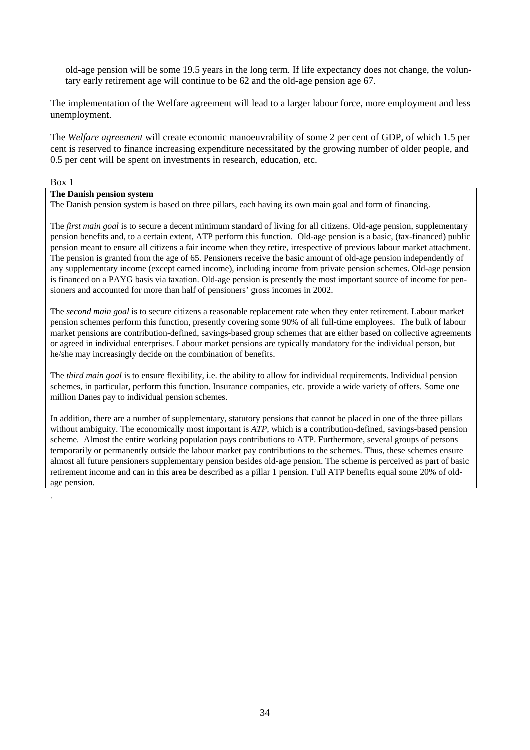old-age pension will be some 19.5 years in the long term. If life expectancy does not change, the voluntary early retirement age will continue to be 62 and the old-age pension age 67.

The implementation of the Welfare agreement will lead to a larger labour force, more employment and less unemployment.

The *Welfare agreement* will create economic manoeuvrability of some 2 per cent of GDP, of which 1.5 per cent is reserved to finance increasing expenditure necessitated by the growing number of older people, and 0.5 per cent will be spent on investments in research, education, etc.

Box 1

.

## **The Danish pension system**

The Danish pension system is based on three pillars, each having its own main goal and form of financing.

The *first main goal* is to secure a decent minimum standard of living for all citizens. Old-age pension, supplementary pension benefits and, to a certain extent, ATP perform this function. Old-age pension is a basic, (tax-financed) public pension meant to ensure all citizens a fair income when they retire, irrespective of previous labour market attachment. The pension is granted from the age of 65. Pensioners receive the basic amount of old-age pension independently of any supplementary income (except earned income), including income from private pension schemes. Old-age pension is financed on a PAYG basis via taxation. Old-age pension is presently the most important source of income for pensioners and accounted for more than half of pensioners' gross incomes in 2002.

The *second main goal* is to secure citizens a reasonable replacement rate when they enter retirement. Labour market pension schemes perform this function, presently covering some 90% of all full-time employees. The bulk of labour market pensions are contribution-defined, savings-based group schemes that are either based on collective agreements or agreed in individual enterprises. Labour market pensions are typically mandatory for the individual person, but he/she may increasingly decide on the combination of benefits.

The *third main goal* is to ensure flexibility, i.e. the ability to allow for individual requirements. Individual pension schemes, in particular, perform this function. Insurance companies, etc. provide a wide variety of offers. Some one million Danes pay to individual pension schemes.

In addition, there are a number of supplementary, statutory pensions that cannot be placed in one of the three pillars without ambiguity. The economically most important is *ATP*, which is a contribution-defined, savings-based pension scheme*.* Almost the entire working population pays contributions to ATP. Furthermore, several groups of persons temporarily or permanently outside the labour market pay contributions to the schemes. Thus, these schemes ensure almost all future pensioners supplementary pension besides old-age pension. The scheme is perceived as part of basic retirement income and can in this area be described as a pillar 1 pension. Full ATP benefits equal some 20% of oldage pension.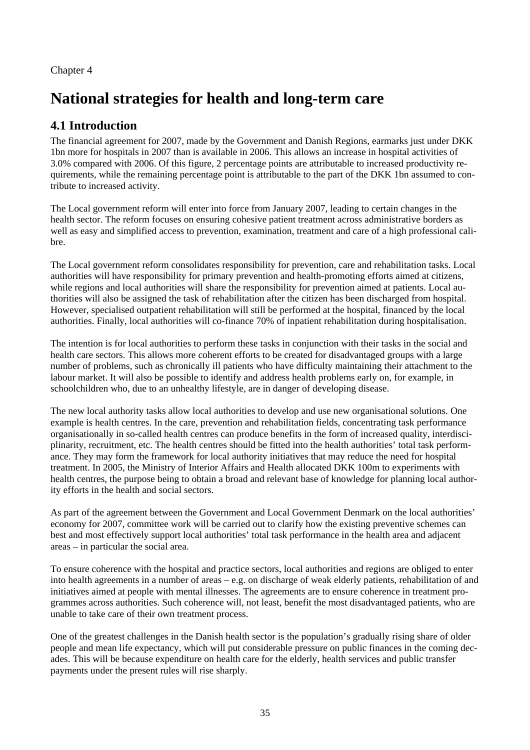Chapter 4

# **National strategies for health and long-term care**

# **4.1 Introduction**

The financial agreement for 2007, made by the Government and Danish Regions, earmarks just under DKK 1bn more for hospitals in 2007 than is available in 2006. This allows an increase in hospital activities of 3.0% compared with 2006. Of this figure, 2 percentage points are attributable to increased productivity requirements, while the remaining percentage point is attributable to the part of the DKK 1bn assumed to contribute to increased activity.

The Local government reform will enter into force from January 2007, leading to certain changes in the health sector. The reform focuses on ensuring cohesive patient treatment across administrative borders as well as easy and simplified access to prevention, examination, treatment and care of a high professional calibre.

The Local government reform consolidates responsibility for prevention, care and rehabilitation tasks. Local authorities will have responsibility for primary prevention and health-promoting efforts aimed at citizens, while regions and local authorities will share the responsibility for prevention aimed at patients. Local authorities will also be assigned the task of rehabilitation after the citizen has been discharged from hospital. However, specialised outpatient rehabilitation will still be performed at the hospital, financed by the local authorities. Finally, local authorities will co-finance 70% of inpatient rehabilitation during hospitalisation.

The intention is for local authorities to perform these tasks in conjunction with their tasks in the social and health care sectors. This allows more coherent efforts to be created for disadvantaged groups with a large number of problems, such as chronically ill patients who have difficulty maintaining their attachment to the labour market. It will also be possible to identify and address health problems early on, for example, in schoolchildren who, due to an unhealthy lifestyle, are in danger of developing disease.

The new local authority tasks allow local authorities to develop and use new organisational solutions. One example is health centres. In the care, prevention and rehabilitation fields, concentrating task performance organisationally in so-called health centres can produce benefits in the form of increased quality, interdisciplinarity, recruitment, etc. The health centres should be fitted into the health authorities' total task performance. They may form the framework for local authority initiatives that may reduce the need for hospital treatment. In 2005, the Ministry of Interior Affairs and Health allocated DKK 100m to experiments with health centres, the purpose being to obtain a broad and relevant base of knowledge for planning local authority efforts in the health and social sectors.

As part of the agreement between the Government and Local Government Denmark on the local authorities' economy for 2007, committee work will be carried out to clarify how the existing preventive schemes can best and most effectively support local authorities' total task performance in the health area and adjacent areas – in particular the social area.

To ensure coherence with the hospital and practice sectors, local authorities and regions are obliged to enter into health agreements in a number of areas – e.g. on discharge of weak elderly patients, rehabilitation of and initiatives aimed at people with mental illnesses. The agreements are to ensure coherence in treatment programmes across authorities. Such coherence will, not least, benefit the most disadvantaged patients, who are unable to take care of their own treatment process.

One of the greatest challenges in the Danish health sector is the population's gradually rising share of older people and mean life expectancy, which will put considerable pressure on public finances in the coming decades. This will be because expenditure on health care for the elderly, health services and public transfer payments under the present rules will rise sharply.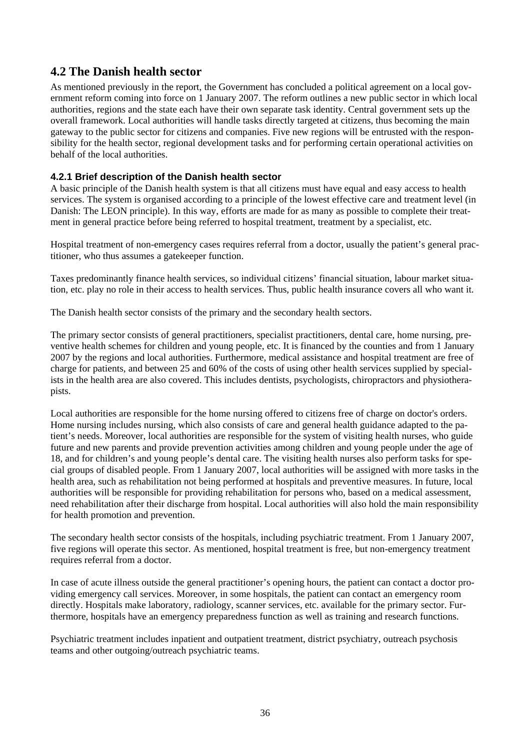# **4.2 The Danish health sector**

As mentioned previously in the report, the Government has concluded a political agreement on a local government reform coming into force on 1 January 2007. The reform outlines a new public sector in which local authorities, regions and the state each have their own separate task identity. Central government sets up the overall framework. Local authorities will handle tasks directly targeted at citizens, thus becoming the main gateway to the public sector for citizens and companies. Five new regions will be entrusted with the responsibility for the health sector, regional development tasks and for performing certain operational activities on behalf of the local authorities.

# **4.2.1 Brief description of the Danish health sector**

A basic principle of the Danish health system is that all citizens must have equal and easy access to health services. The system is organised according to a principle of the lowest effective care and treatment level (in Danish: The LEON principle). In this way, efforts are made for as many as possible to complete their treatment in general practice before being referred to hospital treatment, treatment by a specialist, etc.

Hospital treatment of non-emergency cases requires referral from a doctor, usually the patient's general practitioner, who thus assumes a gatekeeper function.

Taxes predominantly finance health services, so individual citizens' financial situation, labour market situation, etc. play no role in their access to health services. Thus, public health insurance covers all who want it.

The Danish health sector consists of the primary and the secondary health sectors.

The primary sector consists of general practitioners, specialist practitioners, dental care, home nursing, preventive health schemes for children and young people, etc. It is financed by the counties and from 1 January 2007 by the regions and local authorities. Furthermore, medical assistance and hospital treatment are free of charge for patients, and between 25 and 60% of the costs of using other health services supplied by specialists in the health area are also covered. This includes dentists, psychologists, chiropractors and physiotherapists.

Local authorities are responsible for the home nursing offered to citizens free of charge on doctor's orders. Home nursing includes nursing, which also consists of care and general health guidance adapted to the patient's needs. Moreover, local authorities are responsible for the system of visiting health nurses, who guide future and new parents and provide prevention activities among children and young people under the age of 18, and for children's and young people's dental care. The visiting health nurses also perform tasks for special groups of disabled people. From 1 January 2007, local authorities will be assigned with more tasks in the health area, such as rehabilitation not being performed at hospitals and preventive measures. In future, local authorities will be responsible for providing rehabilitation for persons who, based on a medical assessment, need rehabilitation after their discharge from hospital. Local authorities will also hold the main responsibility for health promotion and prevention.

The secondary health sector consists of the hospitals, including psychiatric treatment. From 1 January 2007, five regions will operate this sector. As mentioned, hospital treatment is free, but non-emergency treatment requires referral from a doctor.

In case of acute illness outside the general practitioner's opening hours, the patient can contact a doctor providing emergency call services. Moreover, in some hospitals, the patient can contact an emergency room directly. Hospitals make laboratory, radiology, scanner services, etc. available for the primary sector. Furthermore, hospitals have an emergency preparedness function as well as training and research functions.

Psychiatric treatment includes inpatient and outpatient treatment, district psychiatry, outreach psychosis teams and other outgoing/outreach psychiatric teams.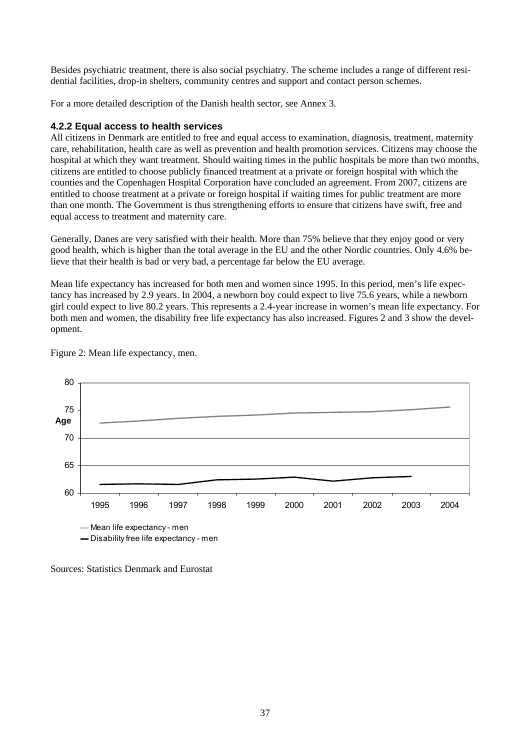Besides psychiatric treatment, there is also social psychiatry. The scheme includes a range of different residential facilities, drop-in shelters, community centres and support and contact person schemes.

For a more detailed description of the Danish health sector, see Annex 3.

#### **4.2.2 Equal access to health services**

All citizens in Denmark are entitled to free and equal access to examination, diagnosis, treatment, maternity care, rehabilitation, health care as well as prevention and health promotion services. Citizens may choose the hospital at which they want treatment. Should waiting times in the public hospitals be more than two months, citizens are entitled to choose publicly financed treatment at a private or foreign hospital with which the counties and the Copenhagen Hospital Corporation have concluded an agreement. From 2007, citizens are entitled to choose treatment at a private or foreign hospital if waiting times for public treatment are more than one month. The Government is thus strengthening efforts to ensure that citizens have swift, free and equal access to treatment and maternity care.

Generally, Danes are very satisfied with their health. More than 75% believe that they enjoy good or very good health, which is higher than the total average in the EU and the other Nordic countries. Only 4.6% believe that their health is bad or very bad, a percentage far below the EU average.

Mean life expectancy has increased for both men and women since 1995. In this period, men's life expectancy has increased by 2.9 years. In 2004, a newborn boy could expect to live 75.6 years, while a newborn girl could expect to live 80.2 years. This represents a 2.4-year increase in women's mean life expectancy. For both men and women, the disability free life expectancy has also increased. Figures 2 and 3 show the development.



Figure 2: Mean life expectancy, men.

Sources: Statistics Denmark and Eurostat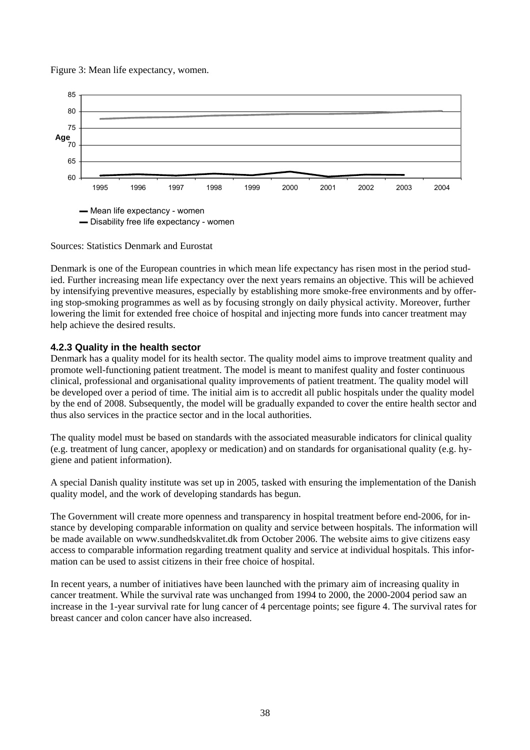Figure 3: Mean life expectancy, women.



Sources: Statistics Denmark and Eurostat

Denmark is one of the European countries in which mean life expectancy has risen most in the period studied. Further increasing mean life expectancy over the next years remains an objective. This will be achieved by intensifying preventive measures, especially by establishing more smoke-free environments and by offering stop-smoking programmes as well as by focusing strongly on daily physical activity. Moreover, further lowering the limit for extended free choice of hospital and injecting more funds into cancer treatment may help achieve the desired results.

## **4.2.3 Quality in the health sector**

Denmark has a quality model for its health sector. The quality model aims to improve treatment quality and promote well-functioning patient treatment. The model is meant to manifest quality and foster continuous clinical, professional and organisational quality improvements of patient treatment. The quality model will be developed over a period of time. The initial aim is to accredit all public hospitals under the quality model by the end of 2008. Subsequently, the model will be gradually expanded to cover the entire health sector and thus also services in the practice sector and in the local authorities.

The quality model must be based on standards with the associated measurable indicators for clinical quality (e.g. treatment of lung cancer, apoplexy or medication) and on standards for organisational quality (e.g. hygiene and patient information).

A special Danish quality institute was set up in 2005, tasked with ensuring the implementation of the Danish quality model, and the work of developing standards has begun.

The Government will create more openness and transparency in hospital treatment before end-2006, for instance by developing comparable information on quality and service between hospitals. The information will be made available on www.sundhedskvalitet.dk from October 2006. The website aims to give citizens easy access to comparable information regarding treatment quality and service at individual hospitals. This information can be used to assist citizens in their free choice of hospital.

In recent years, a number of initiatives have been launched with the primary aim of increasing quality in cancer treatment. While the survival rate was unchanged from 1994 to 2000, the 2000-2004 period saw an increase in the 1-year survival rate for lung cancer of 4 percentage points; see figure 4. The survival rates for breast cancer and colon cancer have also increased.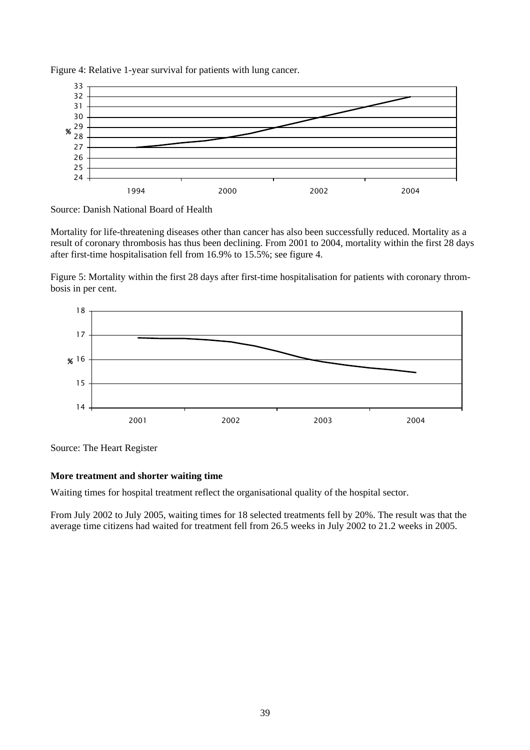

Figure 4: Relative 1-year survival for patients with lung cancer.



Mortality for life-threatening diseases other than cancer has also been successfully reduced. Mortality as a result of coronary thrombosis has thus been declining. From 2001 to 2004, mortality within the first 28 days after first-time hospitalisation fell from 16.9% to 15.5%; see figure 4.

Figure 5: Mortality within the first 28 days after first-time hospitalisation for patients with coronary thrombosis in per cent.



Source: The Heart Register

#### **More treatment and shorter waiting time**

Waiting times for hospital treatment reflect the organisational quality of the hospital sector.

From July 2002 to July 2005, waiting times for 18 selected treatments fell by 20%. The result was that the average time citizens had waited for treatment fell from 26.5 weeks in July 2002 to 21.2 weeks in 2005.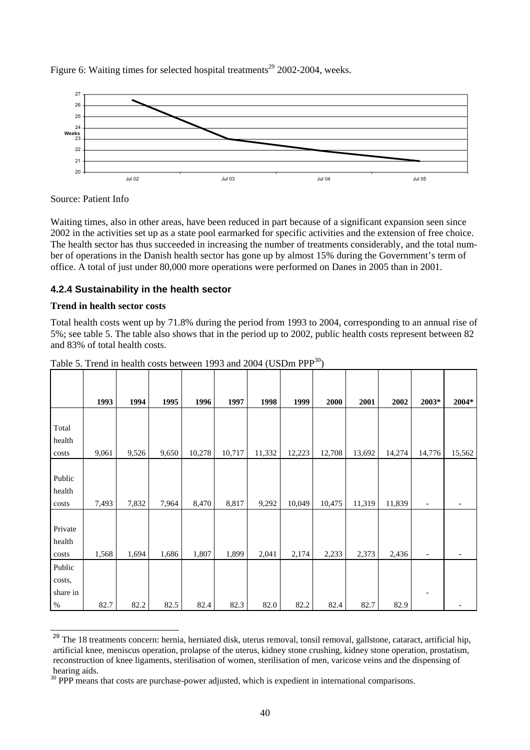Figure 6: Waiting times for selected hospital treatments<sup>29</sup> 2002-2004, weeks.



Source: Patient Info

Waiting times, also in other areas, have been reduced in part because of a significant expansion seen since 2002 in the activities set up as a state pool earmarked for specific activities and the extension of free choice. The health sector has thus succeeded in increasing the number of treatments considerably, and the total number of operations in the Danish health sector has gone up by almost 15% during the Government's term of office. A total of just under 80,000 more operations were performed on Danes in 2005 than in 2001.

# **4.2.4 Sustainability in the health sector**

## **Trend in health sector costs**

l

Total health costs went up by 71.8% during the period from 1993 to 2004, corresponding to an annual rise of 5%; see table 5. The table also shows that in the period up to 2002, public health costs represent between 82 and 83% of total health costs.

|          | 1993  | 1994  | 1995  | 1996   | 1997   | 1998   | 1999   | 2000   | 2001   | 2002   | 2003*                    | 2004*  |
|----------|-------|-------|-------|--------|--------|--------|--------|--------|--------|--------|--------------------------|--------|
|          |       |       |       |        |        |        |        |        |        |        |                          |        |
| Total    |       |       |       |        |        |        |        |        |        |        |                          |        |
| health   |       |       |       |        |        |        |        |        |        |        |                          |        |
| costs    | 9,061 | 9,526 | 9,650 | 10,278 | 10,717 | 11,332 | 12,223 | 12,708 | 13,692 | 14,274 | 14,776                   | 15,562 |
|          |       |       |       |        |        |        |        |        |        |        |                          |        |
| Public   |       |       |       |        |        |        |        |        |        |        |                          |        |
| health   |       |       |       |        |        |        |        |        |        |        |                          |        |
| costs    | 7,493 | 7,832 | 7,964 | 8,470  | 8,817  | 9,292  | 10,049 | 10,475 | 11,319 | 11,839 | $\overline{\phantom{a}}$ |        |
|          |       |       |       |        |        |        |        |        |        |        |                          |        |
| Private  |       |       |       |        |        |        |        |        |        |        |                          |        |
| health   |       |       |       |        |        |        |        |        |        |        |                          |        |
| costs    | 1,568 | 1,694 | 1,686 | 1,807  | 1,899  | 2,041  | 2,174  | 2,233  | 2,373  | 2,436  | -                        |        |
| Public   |       |       |       |        |        |        |        |        |        |        |                          |        |
| costs,   |       |       |       |        |        |        |        |        |        |        |                          |        |
| share in |       |       |       |        |        |        |        |        |        |        |                          |        |
| $\%$     | 82.7  | 82.2  | 82.5  | 82.4   | 82.3   | 82.0   | 82.2   | 82.4   | 82.7   | 82.9   |                          |        |

| Table 5. Trend in health costs between 1993 and 2004 (USDm $PPP^{30}$ ) |  |  |  |  |  |  |  |
|-------------------------------------------------------------------------|--|--|--|--|--|--|--|
|-------------------------------------------------------------------------|--|--|--|--|--|--|--|

<sup>&</sup>lt;sup>29</sup> The 18 treatments concern: hernia, herniated disk, uterus removal, tonsil removal, gallstone, cataract, artificial hip, artificial knee, meniscus operation, prolapse of the uterus, kidney stone crushing, kidney stone operation, prostatism, reconstruction of knee ligaments, sterilisation of women, sterilisation of men, varicose veins and the dispensing of hearing aids.

<sup>&</sup>lt;sup>30</sup> PPP means that costs are purchase-power adjusted, which is expedient in international comparisons.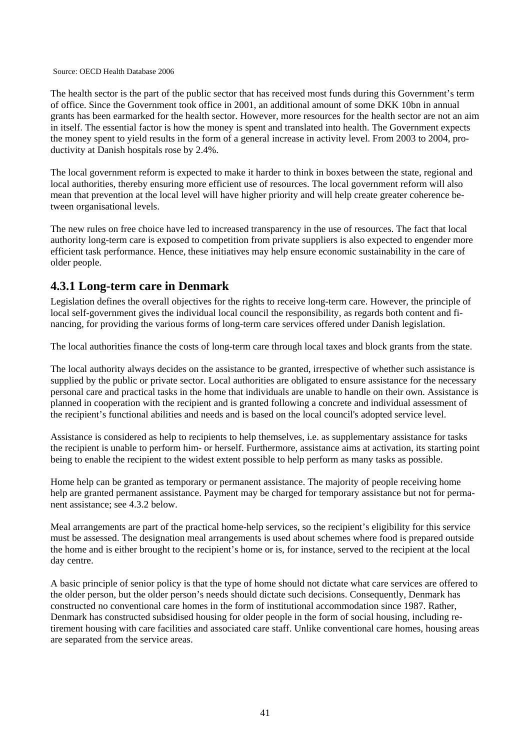#### Source: OECD Health Database 2006

The health sector is the part of the public sector that has received most funds during this Government's term of office. Since the Government took office in 2001, an additional amount of some DKK 10bn in annual grants has been earmarked for the health sector. However, more resources for the health sector are not an aim in itself. The essential factor is how the money is spent and translated into health. The Government expects the money spent to yield results in the form of a general increase in activity level. From 2003 to 2004, productivity at Danish hospitals rose by 2.4%.

The local government reform is expected to make it harder to think in boxes between the state, regional and local authorities, thereby ensuring more efficient use of resources. The local government reform will also mean that prevention at the local level will have higher priority and will help create greater coherence between organisational levels.

The new rules on free choice have led to increased transparency in the use of resources. The fact that local authority long-term care is exposed to competition from private suppliers is also expected to engender more efficient task performance. Hence, these initiatives may help ensure economic sustainability in the care of older people.

# **4.3.1 Long-term care in Denmark**

Legislation defines the overall objectives for the rights to receive long-term care. However, the principle of local self-government gives the individual local council the responsibility, as regards both content and financing, for providing the various forms of long-term care services offered under Danish legislation.

The local authorities finance the costs of long-term care through local taxes and block grants from the state.

The local authority always decides on the assistance to be granted, irrespective of whether such assistance is supplied by the public or private sector. Local authorities are obligated to ensure assistance for the necessary personal care and practical tasks in the home that individuals are unable to handle on their own. Assistance is planned in cooperation with the recipient and is granted following a concrete and individual assessment of the recipient's functional abilities and needs and is based on the local council's adopted service level.

Assistance is considered as help to recipients to help themselves, i.e. as supplementary assistance for tasks the recipient is unable to perform him- or herself. Furthermore, assistance aims at activation, its starting point being to enable the recipient to the widest extent possible to help perform as many tasks as possible.

Home help can be granted as temporary or permanent assistance. The majority of people receiving home help are granted permanent assistance. Payment may be charged for temporary assistance but not for permanent assistance; see 4.3.2 below.

Meal arrangements are part of the practical home-help services, so the recipient's eligibility for this service must be assessed. The designation meal arrangements is used about schemes where food is prepared outside the home and is either brought to the recipient's home or is, for instance, served to the recipient at the local day centre.

A basic principle of senior policy is that the type of home should not dictate what care services are offered to the older person, but the older person's needs should dictate such decisions. Consequently, Denmark has constructed no conventional care homes in the form of institutional accommodation since 1987. Rather, Denmark has constructed subsidised housing for older people in the form of social housing, including retirement housing with care facilities and associated care staff. Unlike conventional care homes, housing areas are separated from the service areas.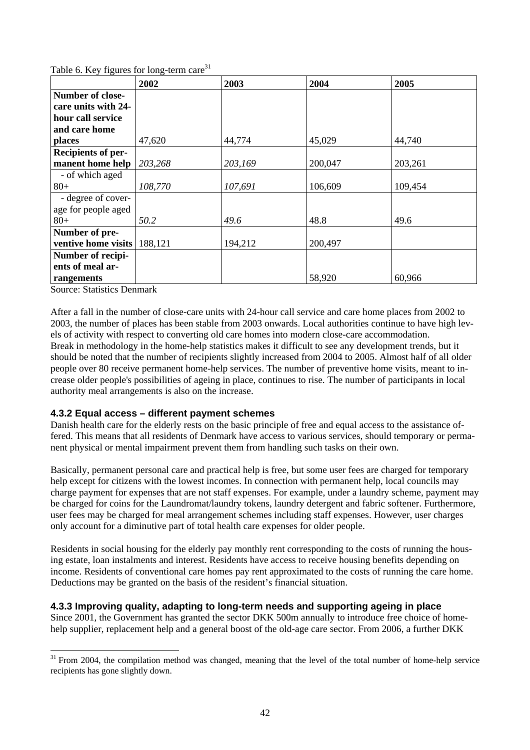|  |  | Table 6. Key figures for long-term care <sup>31</sup> |  |
|--|--|-------------------------------------------------------|--|
|  |  |                                                       |  |

|                           | 2002    | 2003    | 2004    | 2005    |
|---------------------------|---------|---------|---------|---------|
| Number of close-          |         |         |         |         |
| care units with 24-       |         |         |         |         |
| hour call service         |         |         |         |         |
| and care home             |         |         |         |         |
| places                    | 47,620  | 44,774  | 45,029  | 44,740  |
| <b>Recipients of per-</b> |         |         |         |         |
| manent home help          | 203,268 | 203,169 | 200,047 | 203,261 |
| - of which aged           |         |         |         |         |
| $80+$                     | 108,770 | 107,691 | 106,609 | 109,454 |
| - degree of cover-        |         |         |         |         |
| age for people aged       |         |         |         |         |
| $80 +$                    | 50.2    | 49.6    | 48.8    | 49.6    |
| Number of pre-            |         |         |         |         |
| ventive home visits       | 188,121 | 194,212 | 200,497 |         |
| Number of recipi-         |         |         |         |         |
| ents of meal ar-          |         |         |         |         |
| rangements                |         |         | 58,920  | 60,966  |

Source: Statistics Denmark

After a fall in the number of close-care units with 24-hour call service and care home places from 2002 to 2003, the number of places has been stable from 2003 onwards. Local authorities continue to have high levels of activity with respect to converting old care homes into modern close-care accommodation. Break in methodology in the home-help statistics makes it difficult to see any development trends, but it should be noted that the number of recipients slightly increased from 2004 to 2005. Almost half of all older people over 80 receive permanent home-help services. The number of preventive home visits, meant to increase older people's possibilities of ageing in place, continues to rise. The number of participants in local authority meal arrangements is also on the increase.

# **4.3.2 Equal access – different payment schemes**

Danish health care for the elderly rests on the basic principle of free and equal access to the assistance offered. This means that all residents of Denmark have access to various services, should temporary or permanent physical or mental impairment prevent them from handling such tasks on their own.

Basically, permanent personal care and practical help is free, but some user fees are charged for temporary help except for citizens with the lowest incomes. In connection with permanent help, local councils may charge payment for expenses that are not staff expenses. For example, under a laundry scheme, payment may be charged for coins for the Laundromat/laundry tokens, laundry detergent and fabric softener. Furthermore, user fees may be charged for meal arrangement schemes including staff expenses. However, user charges only account for a diminutive part of total health care expenses for older people.

Residents in social housing for the elderly pay monthly rent corresponding to the costs of running the housing estate, loan instalments and interest. Residents have access to receive housing benefits depending on income. Residents of conventional care homes pay rent approximated to the costs of running the care home. Deductions may be granted on the basis of the resident's financial situation.

# **4.3.3 Improving quality, adapting to long-term needs and supporting ageing in place**

Since 2001, the Government has granted the sector DKK 500m annually to introduce free choice of homehelp supplier, replacement help and a general boost of the old-age care sector. From 2006, a further DKK

 $\overline{a}$  $31$  From 2004, the compilation method was changed, meaning that the level of the total number of home-help service recipients has gone slightly down.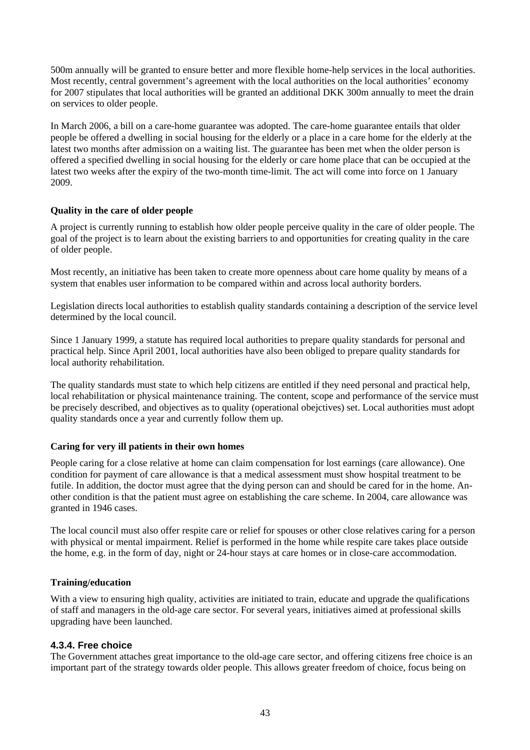500m annually will be granted to ensure better and more flexible home-help services in the local authorities. Most recently, central government's agreement with the local authorities on the local authorities' economy for 2007 stipulates that local authorities will be granted an additional DKK 300m annually to meet the drain on services to older people.

In March 2006, a bill on a care-home guarantee was adopted. The care-home guarantee entails that older people be offered a dwelling in social housing for the elderly or a place in a care home for the elderly at the latest two months after admission on a waiting list. The guarantee has been met when the older person is offered a specified dwelling in social housing for the elderly or care home place that can be occupied at the latest two weeks after the expiry of the two-month time-limit. The act will come into force on 1 January 2009.

# **Quality in the care of older people**

A project is currently running to establish how older people perceive quality in the care of older people. The goal of the project is to learn about the existing barriers to and opportunities for creating quality in the care of older people.

Most recently, an initiative has been taken to create more openness about care home quality by means of a system that enables user information to be compared within and across local authority borders.

Legislation directs local authorities to establish quality standards containing a description of the service level determined by the local council.

Since 1 January 1999, a statute has required local authorities to prepare quality standards for personal and practical help. Since April 2001, local authorities have also been obliged to prepare quality standards for local authority rehabilitation.

The quality standards must state to which help citizens are entitled if they need personal and practical help, local rehabilitation or physical maintenance training. The content, scope and performance of the service must be precisely described, and objectives as to quality (operational obejctives) set. Local authorities must adopt quality standards once a year and currently follow them up.

#### **Caring for very ill patients in their own homes**

People caring for a close relative at home can claim compensation for lost earnings (care allowance). One condition for payment of care allowance is that a medical assessment must show hospital treatment to be futile. In addition, the doctor must agree that the dying person can and should be cared for in the home. Another condition is that the patient must agree on establishing the care scheme. In 2004, care allowance was granted in 1946 cases.

The local council must also offer respite care or relief for spouses or other close relatives caring for a person with physical or mental impairment. Relief is performed in the home while respite care takes place outside the home, e.g. in the form of day, night or 24-hour stays at care homes or in close-care accommodation.

#### **Training/education**

With a view to ensuring high quality, activities are initiated to train, educate and upgrade the qualifications of staff and managers in the old-age care sector. For several years, initiatives aimed at professional skills upgrading have been launched.

# **4.3.4. Free choice**

The Government attaches great importance to the old-age care sector, and offering citizens free choice is an important part of the strategy towards older people. This allows greater freedom of choice, focus being on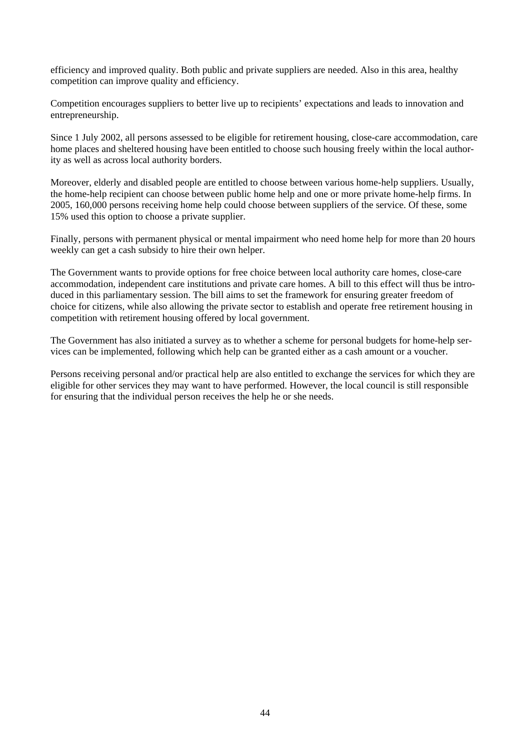efficiency and improved quality. Both public and private suppliers are needed. Also in this area, healthy competition can improve quality and efficiency.

Competition encourages suppliers to better live up to recipients' expectations and leads to innovation and entrepreneurship.

Since 1 July 2002, all persons assessed to be eligible for retirement housing, close-care accommodation, care home places and sheltered housing have been entitled to choose such housing freely within the local authority as well as across local authority borders.

Moreover, elderly and disabled people are entitled to choose between various home-help suppliers. Usually, the home-help recipient can choose between public home help and one or more private home-help firms. In 2005, 160,000 persons receiving home help could choose between suppliers of the service. Of these, some 15% used this option to choose a private supplier.

Finally, persons with permanent physical or mental impairment who need home help for more than 20 hours weekly can get a cash subsidy to hire their own helper.

The Government wants to provide options for free choice between local authority care homes, close-care accommodation, independent care institutions and private care homes. A bill to this effect will thus be introduced in this parliamentary session. The bill aims to set the framework for ensuring greater freedom of choice for citizens, while also allowing the private sector to establish and operate free retirement housing in competition with retirement housing offered by local government.

The Government has also initiated a survey as to whether a scheme for personal budgets for home-help services can be implemented, following which help can be granted either as a cash amount or a voucher.

Persons receiving personal and/or practical help are also entitled to exchange the services for which they are eligible for other services they may want to have performed. However, the local council is still responsible for ensuring that the individual person receives the help he or she needs.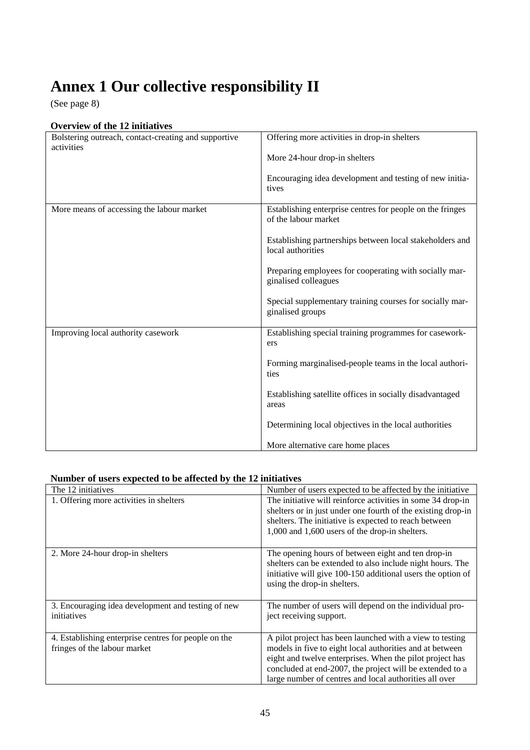# **Annex 1 Our collective responsibility II**

(See page 8)

# **Overview of the 12 initiatives**

| Bolstering outreach, contact-creating and supportive<br>activities | Offering more activities in drop-in shelters                                      |
|--------------------------------------------------------------------|-----------------------------------------------------------------------------------|
|                                                                    | More 24-hour drop-in shelters                                                     |
|                                                                    | Encouraging idea development and testing of new initia-                           |
|                                                                    | tives                                                                             |
| More means of accessing the labour market                          | Establishing enterprise centres for people on the fringes<br>of the labour market |
|                                                                    |                                                                                   |
|                                                                    | Establishing partnerships between local stakeholders and<br>local authorities     |
|                                                                    | Preparing employees for cooperating with socially mar-                            |
|                                                                    | ginalised colleagues                                                              |
|                                                                    | Special supplementary training courses for socially mar-                          |
|                                                                    | ginalised groups                                                                  |
|                                                                    |                                                                                   |
| Improving local authority casework                                 | Establishing special training programmes for casework-<br>ers                     |
|                                                                    |                                                                                   |
|                                                                    | Forming marginalised-people teams in the local authori-<br>ties                   |
|                                                                    |                                                                                   |
|                                                                    | Establishing satellite offices in socially disadvantaged                          |
|                                                                    | areas                                                                             |
|                                                                    | Determining local objectives in the local authorities                             |
|                                                                    | More alternative care home places                                                 |

# **Number of users expected to be affected by the 12 initiatives**

| The 12 initiatives                                                                   | Number of users expected to be affected by the initiative                                                                                                                                                                                                                                              |
|--------------------------------------------------------------------------------------|--------------------------------------------------------------------------------------------------------------------------------------------------------------------------------------------------------------------------------------------------------------------------------------------------------|
| 1. Offering more activities in shelters                                              | The initiative will reinforce activities in some 34 drop-in<br>shelters or in just under one fourth of the existing drop-in<br>shelters. The initiative is expected to reach between<br>1,000 and 1,600 users of the drop-in shelters.                                                                 |
| 2. More 24-hour drop-in shelters                                                     | The opening hours of between eight and ten drop-in<br>shelters can be extended to also include night hours. The<br>initiative will give 100-150 additional users the option of<br>using the drop-in shelters.                                                                                          |
| 3. Encouraging idea development and testing of new<br>initiatives                    | The number of users will depend on the individual pro-<br>ject receiving support.                                                                                                                                                                                                                      |
| 4. Establishing enterprise centres for people on the<br>fringes of the labour market | A pilot project has been launched with a view to testing<br>models in five to eight local authorities and at between<br>eight and twelve enterprises. When the pilot project has<br>concluded at end-2007, the project will be extended to a<br>large number of centres and local authorities all over |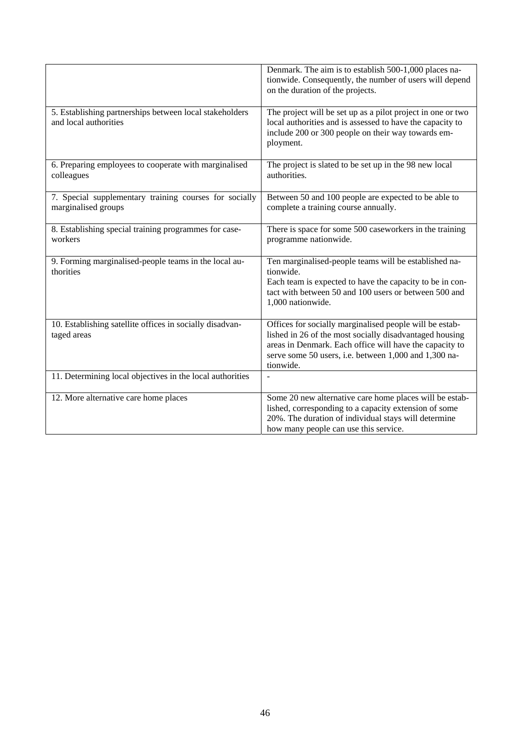|                                                                                  | Denmark. The aim is to establish 500-1,000 places na-<br>tionwide. Consequently, the number of users will depend<br>on the duration of the projects.                                                                                                |
|----------------------------------------------------------------------------------|-----------------------------------------------------------------------------------------------------------------------------------------------------------------------------------------------------------------------------------------------------|
| 5. Establishing partnerships between local stakeholders<br>and local authorities | The project will be set up as a pilot project in one or two<br>local authorities and is assessed to have the capacity to<br>include 200 or 300 people on their way towards em-<br>ployment.                                                         |
| 6. Preparing employees to cooperate with marginalised<br>colleagues              | The project is slated to be set up in the 98 new local<br>authorities.                                                                                                                                                                              |
| 7. Special supplementary training courses for socially<br>marginalised groups    | Between 50 and 100 people are expected to be able to<br>complete a training course annually.                                                                                                                                                        |
| 8. Establishing special training programmes for case-<br>workers                 | There is space for some 500 caseworkers in the training<br>programme nationwide.                                                                                                                                                                    |
| 9. Forming marginalised-people teams in the local au-<br>thorities               | Ten marginalised-people teams will be established na-<br>tionwide.<br>Each team is expected to have the capacity to be in con-<br>tact with between 50 and 100 users or between 500 and<br>1,000 nationwide.                                        |
| 10. Establishing satellite offices in socially disadvan-<br>taged areas          | Offices for socially marginalised people will be estab-<br>lished in 26 of the most socially disadvantaged housing<br>areas in Denmark. Each office will have the capacity to<br>serve some 50 users, i.e. between 1,000 and 1,300 na-<br>tionwide. |
| 11. Determining local objectives in the local authorities                        |                                                                                                                                                                                                                                                     |
| 12. More alternative care home places                                            | Some 20 new alternative care home places will be estab-<br>lished, corresponding to a capacity extension of some<br>20%. The duration of individual stays will determine<br>how many people can use this service.                                   |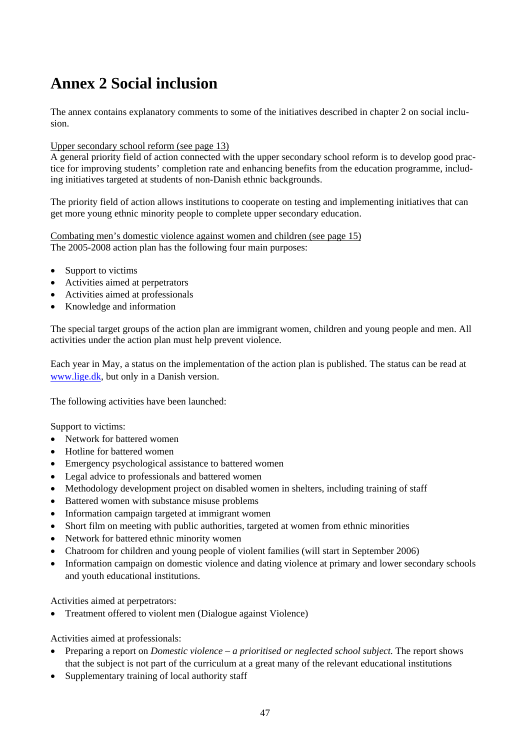# **Annex 2 Social inclusion**

The annex contains explanatory comments to some of the initiatives described in chapter 2 on social inclusion.

#### Upper secondary school reform (see page 13)

A general priority field of action connected with the upper secondary school reform is to develop good practice for improving students' completion rate and enhancing benefits from the education programme, including initiatives targeted at students of non-Danish ethnic backgrounds.

The priority field of action allows institutions to cooperate on testing and implementing initiatives that can get more young ethnic minority people to complete upper secondary education.

Combating men's domestic violence against women and children (see page 15) The 2005-2008 action plan has the following four main purposes:

- Support to victims
- Activities aimed at perpetrators
- Activities aimed at professionals
- Knowledge and information

The special target groups of the action plan are immigrant women, children and young people and men. All activities under the action plan must help prevent violence.

Each year in May, a status on the implementation of the action plan is published. The status can be read at www.lige.dk, but only in a Danish version.

The following activities have been launched:

Support to victims:

- Network for battered women
- Hotline for battered women
- Emergency psychological assistance to battered women
- Legal advice to professionals and battered women
- Methodology development project on disabled women in shelters, including training of staff
- Battered women with substance misuse problems
- Information campaign targeted at immigrant women
- Short film on meeting with public authorities, targeted at women from ethnic minorities
- Network for battered ethnic minority women
- Chatroom for children and young people of violent families (will start in September 2006)
- Information campaign on domestic violence and dating violence at primary and lower secondary schools and youth educational institutions.

Activities aimed at perpetrators:

• Treatment offered to violent men (Dialogue against Violence)

Activities aimed at professionals:

- Preparing a report on *Domestic violence a prioritised or neglected school subject*. The report shows that the subject is not part of the curriculum at a great many of the relevant educational institutions
- Supplementary training of local authority staff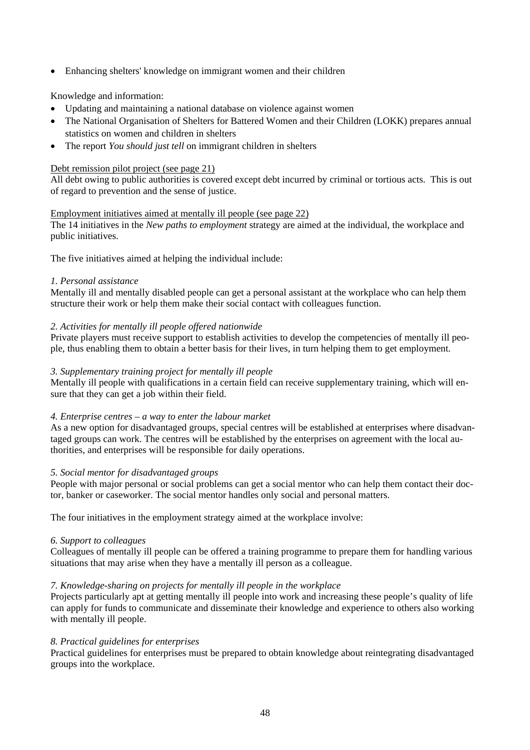• Enhancing shelters' knowledge on immigrant women and their children

## Knowledge and information:

- Updating and maintaining a national database on violence against women
- The National Organisation of Shelters for Battered Women and their Children (LOKK) prepares annual statistics on women and children in shelters
- The report *You should just tell* on immigrant children in shelters

#### Debt remission pilot project (see page 21)

All debt owing to public authorities is covered except debt incurred by criminal or tortious acts. This is out of regard to prevention and the sense of justice.

#### Employment initiatives aimed at mentally ill people (see page 22)

The 14 initiatives in the *New paths to employment* strategy are aimed at the individual, the workplace and public initiatives.

The five initiatives aimed at helping the individual include:

#### *1. Personal assistance*

Mentally ill and mentally disabled people can get a personal assistant at the workplace who can help them structure their work or help them make their social contact with colleagues function.

## *2. Activities for mentally ill people offered nationwide*

Private players must receive support to establish activities to develop the competencies of mentally ill people, thus enabling them to obtain a better basis for their lives, in turn helping them to get employment.

#### *3. Supplementary training project for mentally ill people*

Mentally ill people with qualifications in a certain field can receive supplementary training, which will ensure that they can get a job within their field.

#### *4. Enterprise centres – a way to enter the labour market*

As a new option for disadvantaged groups, special centres will be established at enterprises where disadvantaged groups can work. The centres will be established by the enterprises on agreement with the local authorities, and enterprises will be responsible for daily operations.

#### *5. Social mentor for disadvantaged groups*

People with major personal or social problems can get a social mentor who can help them contact their doctor, banker or caseworker. The social mentor handles only social and personal matters.

The four initiatives in the employment strategy aimed at the workplace involve:

#### *6. Support to colleagues*

Colleagues of mentally ill people can be offered a training programme to prepare them for handling various situations that may arise when they have a mentally ill person as a colleague.

#### *7. Knowledge-sharing on projects for mentally ill people in the workplace*

Projects particularly apt at getting mentally ill people into work and increasing these people's quality of life can apply for funds to communicate and disseminate their knowledge and experience to others also working with mentally ill people.

#### *8. Practical guidelines for enterprises*

Practical guidelines for enterprises must be prepared to obtain knowledge about reintegrating disadvantaged groups into the workplace.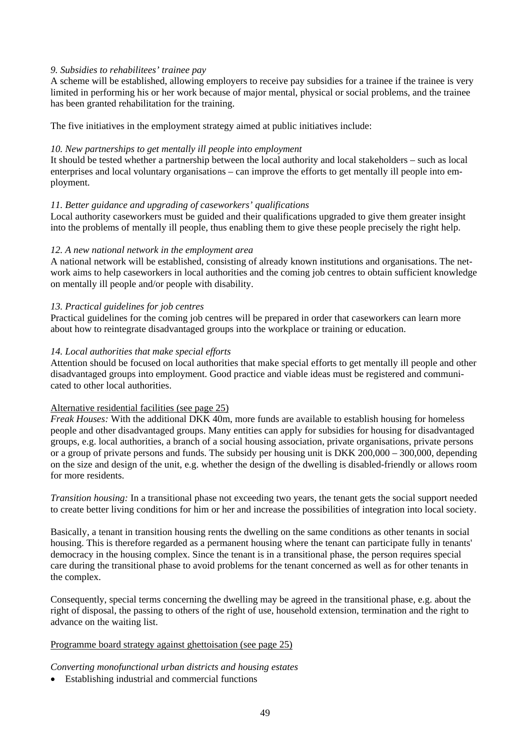#### *9. Subsidies to rehabilitees' trainee pay*

A scheme will be established, allowing employers to receive pay subsidies for a trainee if the trainee is very limited in performing his or her work because of major mental, physical or social problems, and the trainee has been granted rehabilitation for the training.

The five initiatives in the employment strategy aimed at public initiatives include:

#### *10. New partnerships to get mentally ill people into employment*

It should be tested whether a partnership between the local authority and local stakeholders – such as local enterprises and local voluntary organisations – can improve the efforts to get mentally ill people into employment.

#### *11. Better guidance and upgrading of caseworkers' qualifications*

Local authority caseworkers must be guided and their qualifications upgraded to give them greater insight into the problems of mentally ill people, thus enabling them to give these people precisely the right help.

#### *12. A new national network in the employment area*

A national network will be established, consisting of already known institutions and organisations. The network aims to help caseworkers in local authorities and the coming job centres to obtain sufficient knowledge on mentally ill people and/or people with disability.

#### *13. Practical guidelines for job centres*

Practical guidelines for the coming job centres will be prepared in order that caseworkers can learn more about how to reintegrate disadvantaged groups into the workplace or training or education.

#### *14. Local authorities that make special efforts*

Attention should be focused on local authorities that make special efforts to get mentally ill people and other disadvantaged groups into employment. Good practice and viable ideas must be registered and communicated to other local authorities.

#### Alternative residential facilities (see page 25)

*Freak Houses:* With the additional DKK 40m, more funds are available to establish housing for homeless people and other disadvantaged groups. Many entities can apply for subsidies for housing for disadvantaged groups, e.g. local authorities, a branch of a social housing association, private organisations, private persons or a group of private persons and funds. The subsidy per housing unit is DKK 200,000 – 300,000, depending on the size and design of the unit, e.g. whether the design of the dwelling is disabled-friendly or allows room for more residents.

*Transition housing:* In a transitional phase not exceeding two years, the tenant gets the social support needed to create better living conditions for him or her and increase the possibilities of integration into local society.

Basically, a tenant in transition housing rents the dwelling on the same conditions as other tenants in social housing. This is therefore regarded as a permanent housing where the tenant can participate fully in tenants' democracy in the housing complex. Since the tenant is in a transitional phase, the person requires special care during the transitional phase to avoid problems for the tenant concerned as well as for other tenants in the complex.

Consequently, special terms concerning the dwelling may be agreed in the transitional phase, e.g. about the right of disposal, the passing to others of the right of use, household extension, termination and the right to advance on the waiting list.

#### Programme board strategy against ghettoisation (see page 25)

*Converting monofunctional urban districts and housing estates* 

• Establishing industrial and commercial functions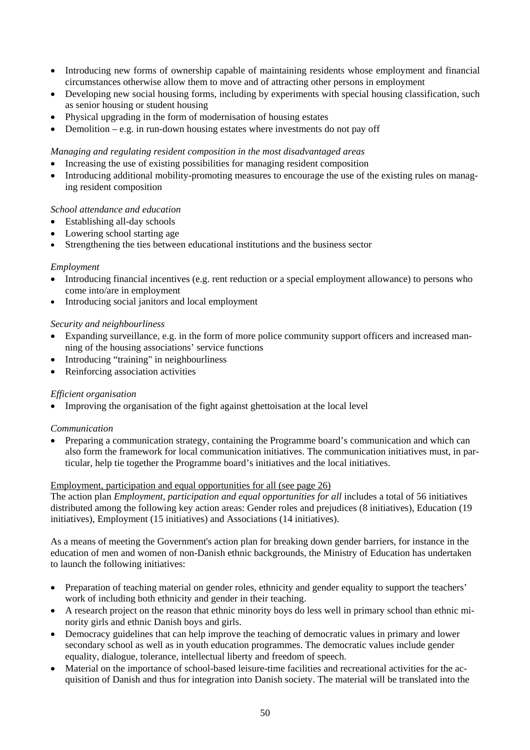- Introducing new forms of ownership capable of maintaining residents whose employment and financial circumstances otherwise allow them to move and of attracting other persons in employment
- Developing new social housing forms, including by experiments with special housing classification, such as senior housing or student housing
- Physical upgrading in the form of modernisation of housing estates
- Demolition e.g. in run-down housing estates where investments do not pay off

#### *Managing and regulating resident composition in the most disadvantaged areas*

- Increasing the use of existing possibilities for managing resident composition
- Introducing additional mobility-promoting measures to encourage the use of the existing rules on managing resident composition

#### *School attendance and education*

- Establishing all-day schools
- Lowering school starting age
- Strengthening the ties between educational institutions and the business sector

#### *Employment*

- Introducing financial incentives (e.g. rent reduction or a special employment allowance) to persons who come into/are in employment
- Introducing social janitors and local employment

#### *Security and neighbourliness*

- Expanding surveillance, e.g. in the form of more police community support officers and increased manning of the housing associations' service functions
- Introducing "training" in neighbourliness
- Reinforcing association activities

#### *Efficient organisation*

• Improving the organisation of the fight against ghettoisation at the local level

#### *Communication*

• Preparing a communication strategy, containing the Programme board's communication and which can also form the framework for local communication initiatives. The communication initiatives must, in particular, help tie together the Programme board's initiatives and the local initiatives.

#### Employment, participation and equal opportunities for all (see page 26)

The action plan *Employment, participation and equal opportunities for all* includes a total of 56 initiatives distributed among the following key action areas: Gender roles and prejudices (8 initiatives), Education (19 initiatives), Employment (15 initiatives) and Associations (14 initiatives).

As a means of meeting the Government's action plan for breaking down gender barriers, for instance in the education of men and women of non-Danish ethnic backgrounds, the Ministry of Education has undertaken to launch the following initiatives:

- Preparation of teaching material on gender roles, ethnicity and gender equality to support the teachers' work of including both ethnicity and gender in their teaching.
- A research project on the reason that ethnic minority boys do less well in primary school than ethnic minority girls and ethnic Danish boys and girls.
- Democracy guidelines that can help improve the teaching of democratic values in primary and lower secondary school as well as in youth education programmes. The democratic values include gender equality, dialogue, tolerance, intellectual liberty and freedom of speech.
- Material on the importance of school-based leisure-time facilities and recreational activities for the acquisition of Danish and thus for integration into Danish society. The material will be translated into the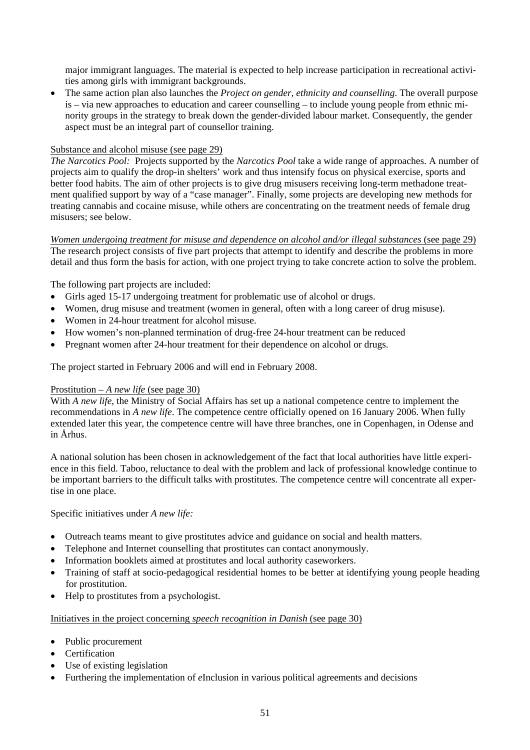major immigrant languages. The material is expected to help increase participation in recreational activities among girls with immigrant backgrounds.

• The same action plan also launches the *Project on gender, ethnicity and counselling*. The overall purpose is – via new approaches to education and career counselling – to include young people from ethnic minority groups in the strategy to break down the gender-divided labour market. Consequently, the gender aspect must be an integral part of counsellor training.

#### Substance and alcohol misuse (see page 29)

*The Narcotics Pool:* Projects supported by the *Narcotics Pool* take a wide range of approaches. A number of projects aim to qualify the drop-in shelters' work and thus intensify focus on physical exercise, sports and better food habits. The aim of other projects is to give drug misusers receiving long-term methadone treatment qualified support by way of a "case manager". Finally, some projects are developing new methods for treating cannabis and cocaine misuse, while others are concentrating on the treatment needs of female drug misusers; see below.

*Women undergoing treatment for misuse and dependence on alcohol and/or illegal substances (see page 29)* The research project consists of five part projects that attempt to identify and describe the problems in more detail and thus form the basis for action, with one project trying to take concrete action to solve the problem.

The following part projects are included:

- Girls aged 15-17 undergoing treatment for problematic use of alcohol or drugs.
- Women, drug misuse and treatment (women in general, often with a long career of drug misuse).
- Women in 24-hour treatment for alcohol misuse.
- How women's non-planned termination of drug-free 24-hour treatment can be reduced
- Pregnant women after 24-hour treatment for their dependence on alcohol or drugs.

The project started in February 2006 and will end in February 2008.

#### Prostitution – *A new life* (see page 30)

With *A new life*, the Ministry of Social Affairs has set up a national competence centre to implement the recommendations in *A new life*. The competence centre officially opened on 16 January 2006. When fully extended later this year, the competence centre will have three branches, one in Copenhagen, in Odense and in Århus.

A national solution has been chosen in acknowledgement of the fact that local authorities have little experience in this field. Taboo, reluctance to deal with the problem and lack of professional knowledge continue to be important barriers to the difficult talks with prostitutes. The competence centre will concentrate all expertise in one place.

Specific initiatives under *A new life:*

- Outreach teams meant to give prostitutes advice and guidance on social and health matters.
- Telephone and Internet counselling that prostitutes can contact anonymously.
- Information booklets aimed at prostitutes and local authority caseworkers.
- Training of staff at socio-pedagogical residential homes to be better at identifying young people heading for prostitution.
- Help to prostitutes from a psychologist.

#### Initiatives in the project concerning *speech recognition in Danish* (see page 30)

- Public procurement
- Certification
- Use of existing legislation
- Furthering the implementation of *e*Inclusion in various political agreements and decisions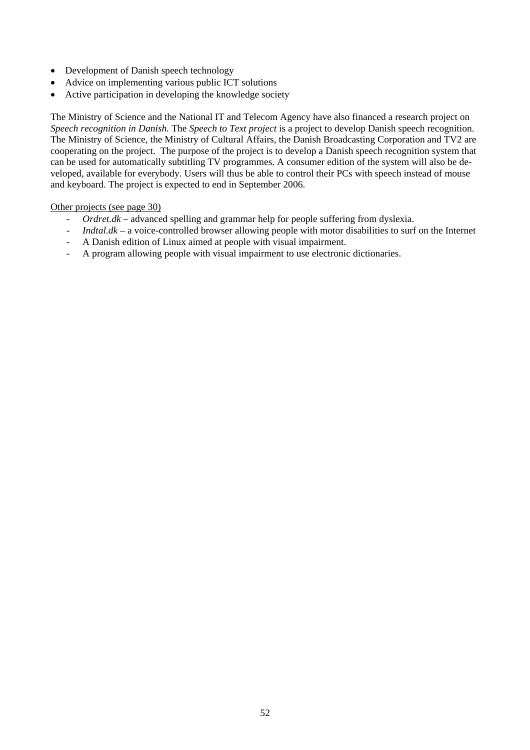- Development of Danish speech technology
- Advice on implementing various public ICT solutions
- Active participation in developing the knowledge society

The Ministry of Science and the National IT and Telecom Agency have also financed a research project on *Speech recognition in Danish.* The *Speech to Text project* is a project to develop Danish speech recognition. The Ministry of Science, the Ministry of Cultural Affairs, the Danish Broadcasting Corporation and TV2 are cooperating on the project. The purpose of the project is to develop a Danish speech recognition system that can be used for automatically subtitling TV programmes. A consumer edition of the system will also be developed, available for everybody. Users will thus be able to control their PCs with speech instead of mouse and keyboard. The project is expected to end in September 2006.

#### Other projects (see page 30)

- *Ordret.dk*  advanced spelling and grammar help for people suffering from dyslexia.
- *Indtal.dk* a voice-controlled browser allowing people with motor disabilities to surf on the Internet
- A Danish edition of Linux aimed at people with visual impairment.
- A program allowing people with visual impairment to use electronic dictionaries.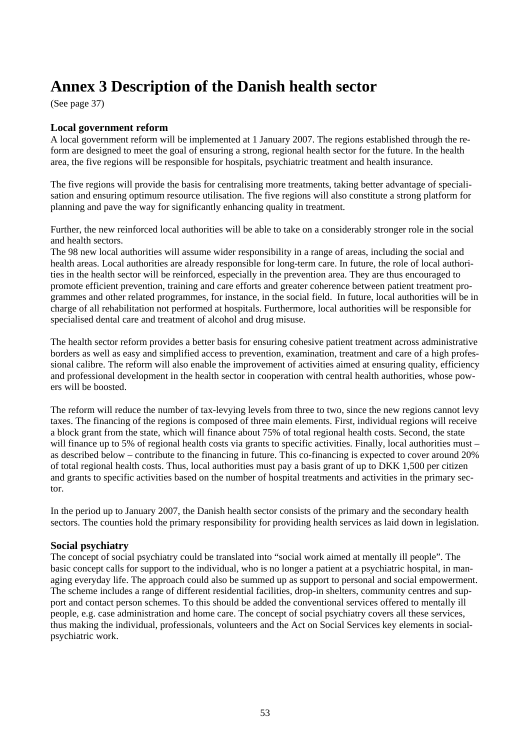# **Annex 3 Description of the Danish health sector**

(See page 37)

# **Local government reform**

A local government reform will be implemented at 1 January 2007. The regions established through the reform are designed to meet the goal of ensuring a strong, regional health sector for the future. In the health area, the five regions will be responsible for hospitals, psychiatric treatment and health insurance.

The five regions will provide the basis for centralising more treatments, taking better advantage of specialisation and ensuring optimum resource utilisation. The five regions will also constitute a strong platform for planning and pave the way for significantly enhancing quality in treatment.

Further, the new reinforced local authorities will be able to take on a considerably stronger role in the social and health sectors.

The 98 new local authorities will assume wider responsibility in a range of areas, including the social and health areas. Local authorities are already responsible for long-term care. In future, the role of local authorities in the health sector will be reinforced, especially in the prevention area. They are thus encouraged to promote efficient prevention, training and care efforts and greater coherence between patient treatment programmes and other related programmes, for instance, in the social field. In future, local authorities will be in charge of all rehabilitation not performed at hospitals. Furthermore, local authorities will be responsible for specialised dental care and treatment of alcohol and drug misuse.

The health sector reform provides a better basis for ensuring cohesive patient treatment across administrative borders as well as easy and simplified access to prevention, examination, treatment and care of a high professional calibre. The reform will also enable the improvement of activities aimed at ensuring quality, efficiency and professional development in the health sector in cooperation with central health authorities, whose powers will be boosted.

The reform will reduce the number of tax-levying levels from three to two, since the new regions cannot levy taxes. The financing of the regions is composed of three main elements. First, individual regions will receive a block grant from the state, which will finance about 75% of total regional health costs. Second, the state will finance up to 5% of regional health costs via grants to specific activities. Finally, local authorities must – as described below – contribute to the financing in future. This co-financing is expected to cover around 20% of total regional health costs. Thus, local authorities must pay a basis grant of up to DKK 1,500 per citizen and grants to specific activities based on the number of hospital treatments and activities in the primary sector.

In the period up to January 2007, the Danish health sector consists of the primary and the secondary health sectors. The counties hold the primary responsibility for providing health services as laid down in legislation.

# **Social psychiatry**

The concept of social psychiatry could be translated into "social work aimed at mentally ill people". The basic concept calls for support to the individual, who is no longer a patient at a psychiatric hospital, in managing everyday life. The approach could also be summed up as support to personal and social empowerment. The scheme includes a range of different residential facilities, drop-in shelters, community centres and support and contact person schemes. To this should be added the conventional services offered to mentally ill people, e.g. case administration and home care. The concept of social psychiatry covers all these services, thus making the individual, professionals, volunteers and the Act on Social Services key elements in socialpsychiatric work.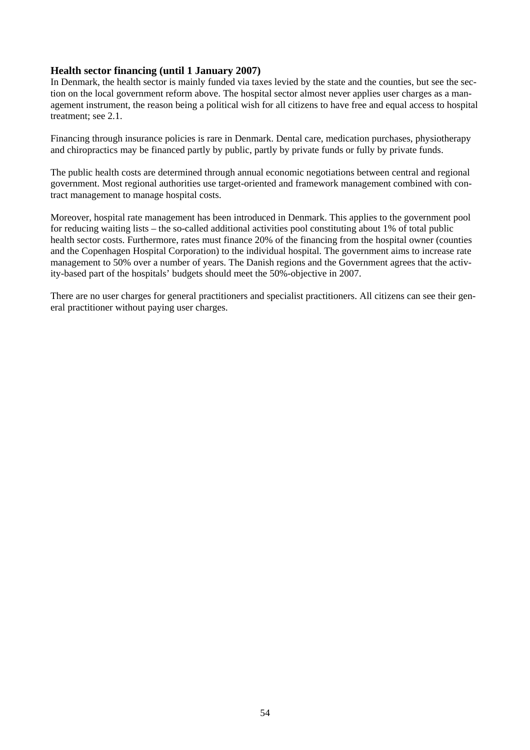# **Health sector financing (until 1 January 2007)**

In Denmark, the health sector is mainly funded via taxes levied by the state and the counties, but see the section on the local government reform above. The hospital sector almost never applies user charges as a management instrument, the reason being a political wish for all citizens to have free and equal access to hospital treatment; see 2.1.

Financing through insurance policies is rare in Denmark. Dental care, medication purchases, physiotherapy and chiropractics may be financed partly by public, partly by private funds or fully by private funds.

The public health costs are determined through annual economic negotiations between central and regional government. Most regional authorities use target-oriented and framework management combined with contract management to manage hospital costs.

Moreover, hospital rate management has been introduced in Denmark. This applies to the government pool for reducing waiting lists – the so-called additional activities pool constituting about 1% of total public health sector costs. Furthermore, rates must finance 20% of the financing from the hospital owner (counties and the Copenhagen Hospital Corporation) to the individual hospital. The government aims to increase rate management to 50% over a number of years. The Danish regions and the Government agrees that the activity-based part of the hospitals' budgets should meet the 50%-objective in 2007.

There are no user charges for general practitioners and specialist practitioners. All citizens can see their general practitioner without paying user charges.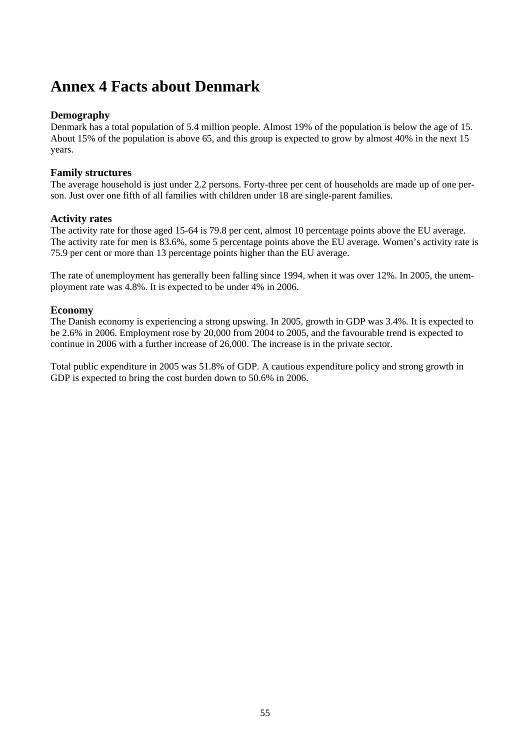# **Annex 4 Facts about Denmark**

# **Demography**

Denmark has a total population of 5.4 million people. Almost 19% of the population is below the age of 15. About 15% of the population is above 65, and this group is expected to grow by almost 40% in the next 15 years.

# **Family structures**

The average household is just under 2.2 persons. Forty-three per cent of households are made up of one person. Just over one fifth of all families with children under 18 are single-parent families.

# **Activity rates**

The activity rate for those aged 15-64 is 79.8 per cent, almost 10 percentage points above the EU average. The activity rate for men is 83.6%, some 5 percentage points above the EU average. Women's activity rate is 75.9 per cent or more than 13 percentage points higher than the EU average.

The rate of unemployment has generally been falling since 1994, when it was over 12%. In 2005, the unemployment rate was 4.8%. It is expected to be under 4% in 2006.

# **Economy**

The Danish economy is experiencing a strong upswing. In 2005, growth in GDP was 3.4%. It is expected to be 2.6% in 2006. Employment rose by 20,000 from 2004 to 2005, and the favourable trend is expected to continue in 2006 with a further increase of 26,000. The increase is in the private sector.

Total public expenditure in 2005 was 51.8% of GDP. A cautious expenditure policy and strong growth in GDP is expected to bring the cost burden down to 50.6% in 2006.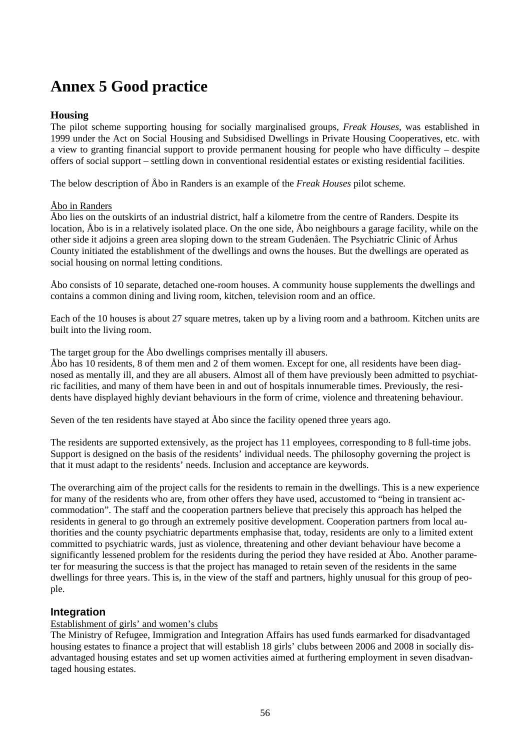# **Annex 5 Good practice**

# **Housing**

The pilot scheme supporting housing for socially marginalised groups, *Freak Houses,* was established in 1999 under the Act on Social Housing and Subsidised Dwellings in Private Housing Cooperatives, etc. with a view to granting financial support to provide permanent housing for people who have difficulty – despite offers of social support – settling down in conventional residential estates or existing residential facilities.

The below description of Åbo in Randers is an example of the *Freak Houses* pilot scheme*.* 

# Åbo in Randers

Åbo lies on the outskirts of an industrial district, half a kilometre from the centre of Randers. Despite its location, Åbo is in a relatively isolated place. On the one side, Åbo neighbours a garage facility, while on the other side it adjoins a green area sloping down to the stream Gudenåen. The Psychiatric Clinic of Århus County initiated the establishment of the dwellings and owns the houses. But the dwellings are operated as social housing on normal letting conditions.

Åbo consists of 10 separate, detached one-room houses. A community house supplements the dwellings and contains a common dining and living room, kitchen, television room and an office.

Each of the 10 houses is about 27 square metres, taken up by a living room and a bathroom. Kitchen units are built into the living room.

The target group for the Åbo dwellings comprises mentally ill abusers.

Åbo has 10 residents, 8 of them men and 2 of them women. Except for one, all residents have been diagnosed as mentally ill, and they are all abusers. Almost all of them have previously been admitted to psychiatric facilities, and many of them have been in and out of hospitals innumerable times. Previously, the residents have displayed highly deviant behaviours in the form of crime, violence and threatening behaviour.

Seven of the ten residents have stayed at Åbo since the facility opened three years ago.

The residents are supported extensively, as the project has 11 employees, corresponding to 8 full-time jobs. Support is designed on the basis of the residents' individual needs. The philosophy governing the project is that it must adapt to the residents' needs. Inclusion and acceptance are keywords.

The overarching aim of the project calls for the residents to remain in the dwellings. This is a new experience for many of the residents who are, from other offers they have used, accustomed to "being in transient accommodation". The staff and the cooperation partners believe that precisely this approach has helped the residents in general to go through an extremely positive development. Cooperation partners from local authorities and the county psychiatric departments emphasise that, today, residents are only to a limited extent committed to psychiatric wards, just as violence, threatening and other deviant behaviour have become a significantly lessened problem for the residents during the period they have resided at Åbo. Another parameter for measuring the success is that the project has managed to retain seven of the residents in the same dwellings for three years. This is, in the view of the staff and partners, highly unusual for this group of people.

# **Integration**

# Establishment of girls' and women's clubs

The Ministry of Refugee, Immigration and Integration Affairs has used funds earmarked for disadvantaged housing estates to finance a project that will establish 18 girls' clubs between 2006 and 2008 in socially disadvantaged housing estates and set up women activities aimed at furthering employment in seven disadvantaged housing estates.